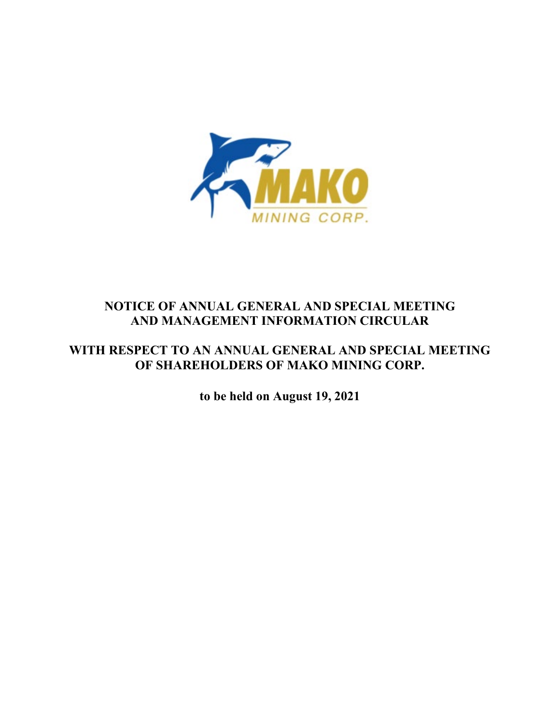

# **NOTICE OF ANNUAL GENERAL AND SPECIAL MEETING AND MANAGEMENT INFORMATION CIRCULAR**

# **WITH RESPECT TO AN ANNUAL GENERAL AND SPECIAL MEETING OF SHAREHOLDERS OF MAKO MINING CORP.**

**to be held on August 19, 2021**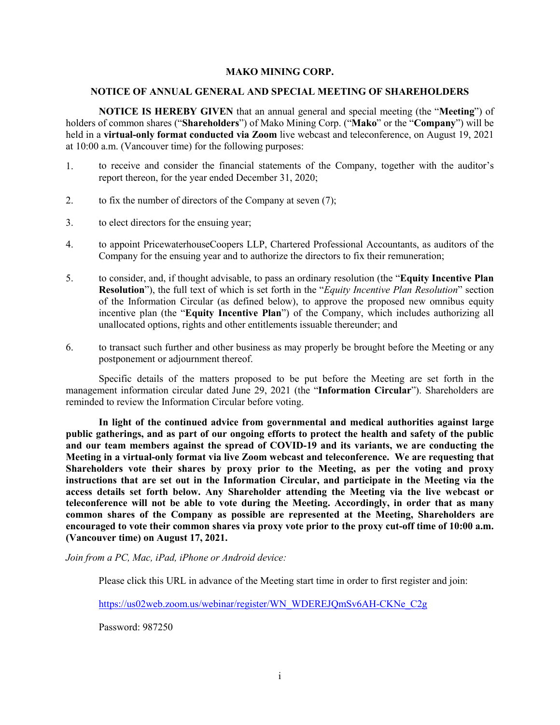#### **MAKO MINING CORP.**

#### **NOTICE OF ANNUAL GENERAL AND SPECIAL MEETING OF SHAREHOLDERS**

**NOTICE IS HEREBY GIVEN** that an annual general and special meeting (the "**Meeting**") of holders of common shares ("**Shareholders**") of Mako Mining Corp. ("**Mako**" or the "**Company**") will be held in a **virtual-only format conducted via Zoom** live webcast and teleconference, on August 19, 2021 at 10:00 a.m. (Vancouver time) for the following purposes:

- 1. to receive and consider the financial statements of the Company, together with the auditor's report thereon, for the year ended December 31, 2020;
- 2. to fix the number of directors of the Company at seven (7);
- 3. to elect directors for the ensuing year;
- 4. to appoint PricewaterhouseCoopers LLP, Chartered Professional Accountants, as auditors of the Company for the ensuing year and to authorize the directors to fix their remuneration;
- 5. to consider, and, if thought advisable, to pass an ordinary resolution (the "**Equity Incentive Plan Resolution**"), the full text of which is set forth in the "*Equity Incentive Plan Resolution*" section of the Information Circular (as defined below), to approve the proposed new omnibus equity incentive plan (the "**Equity Incentive Plan**") of the Company, which includes authorizing all unallocated options, rights and other entitlements issuable thereunder; and
- 6. to transact such further and other business as may properly be brought before the Meeting or any postponement or adjournment thereof.

Specific details of the matters proposed to be put before the Meeting are set forth in the management information circular dated June 29, 2021 (the "**Information Circular**"). Shareholders are reminded to review the Information Circular before voting.

**In light of the continued advice from governmental and medical authorities against large public gatherings, and as part of our ongoing efforts to protect the health and safety of the public and our team members against the spread of COVID-19 and its variants, we are conducting the Meeting in a virtual-only format via live Zoom webcast and teleconference. We are requesting that Shareholders vote their shares by proxy prior to the Meeting, as per the voting and proxy instructions that are set out in the Information Circular, and participate in the Meeting via the access details set forth below. Any Shareholder attending the Meeting via the live webcast or teleconference will not be able to vote during the Meeting. Accordingly, in order that as many common shares of the Company as possible are represented at the Meeting, Shareholders are encouraged to vote their common shares via proxy vote prior to the proxy cut-off time of 10:00 a.m. (Vancouver time) on August 17, 2021.**

*Join from a PC, Mac, iPad, iPhone or Android device:*

Please click this URL in advance of the Meeting start time in order to first register and join:

[https://us02web.zoom.us/webinar/register/WN\\_WDEREJQmSv6AH-CKNe\\_C2g](https://us02web.zoom.us/webinar/register/WN_WDEREJQmSv6AH-CKNe_C2g)

Password: 987250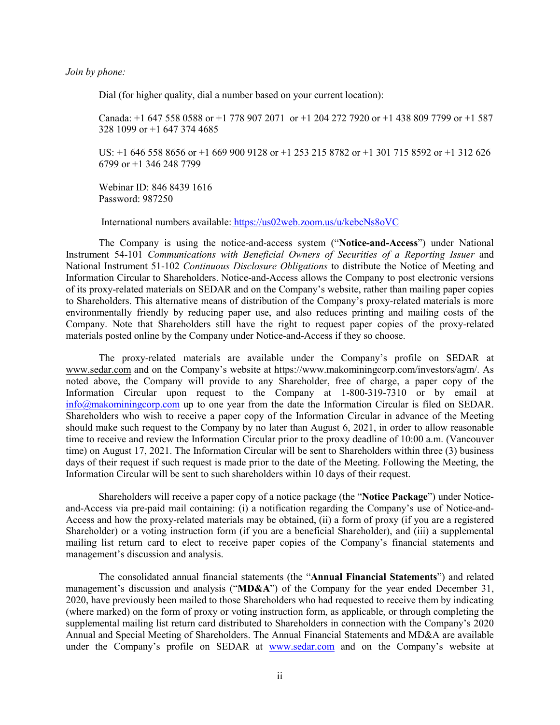*Join by phone:*

Dial (for higher quality, dial a number based on your current location):

Canada: +1 647 558 0588 or +1 778 907 2071 or +1 204 272 7920 or +1 438 809 7799 or +1 587 328 1099 or +1 647 374 4685

US: +1 646 558 8656 or +1 669 900 9128 or +1 253 215 8782 or +1 301 715 8592 or +1 312 626 6799 or +1 346 248 7799

 Webinar ID: 846 8439 1616 Password: 987250

International numbers available: [https://us02web.zoom.us/u/kebcNs8oVC](https://protect-eu.mimecast.com/s/Z8-PC9m6ImkK3NiEKeki?domain=us02web.zoom.us)

The Company is using the notice-and-access system ("**Notice-and-Access**") under National Instrument 54-101 *Communications with Beneficial Owners of Securities of a Reporting Issuer* and National Instrument 51-102 *Continuous Disclosure Obligations* to distribute the Notice of Meeting and Information Circular to Shareholders. Notice-and-Access allows the Company to post electronic versions of its proxy-related materials on SEDAR and on the Company's website, rather than mailing paper copies to Shareholders. This alternative means of distribution of the Company's proxy-related materials is more environmentally friendly by reducing paper use, and also reduces printing and mailing costs of the Company. Note that Shareholders still have the right to request paper copies of the proxy-related materials posted online by the Company under Notice-and-Access if they so choose.

The proxy-related materials are available under the Company's profile on SEDAR at [www.sedar.com](http://www.sedar.com/) and on the Company's website at [https://www.makominingcorp.com/investors/agm/.](https://makominingcorp.com/investors/agm/) As noted above, the Company will provide to any Shareholder, free of charge, a paper copy of the Information Circular upon request to the Company at 1-800-319-7310 or by email at [info@makominingcorp.com](mailto:info@makominingcorp.com) up to one year from the date the Information Circular is filed on SEDAR. Shareholders who wish to receive a paper copy of the Information Circular in advance of the Meeting should make such request to the Company by no later than August 6, 2021, in order to allow reasonable time to receive and review the Information Circular prior to the proxy deadline of 10:00 a.m. (Vancouver time) on August 17, 2021. The Information Circular will be sent to Shareholders within three (3) business days of their request if such request is made prior to the date of the Meeting. Following the Meeting, the Information Circular will be sent to such shareholders within 10 days of their request.

Shareholders will receive a paper copy of a notice package (the "**Notice Package**") under Noticeand-Access via pre-paid mail containing: (i) a notification regarding the Company's use of Notice-and-Access and how the proxy-related materials may be obtained, (ii) a form of proxy (if you are a registered Shareholder) or a voting instruction form (if you are a beneficial Shareholder), and (iii) a supplemental mailing list return card to elect to receive paper copies of the Company's financial statements and management's discussion and analysis.

The consolidated annual financial statements (the "**Annual Financial Statements**") and related management's discussion and analysis ("**MD&A**") of the Company for the year ended December 31, 2020, have previously been mailed to those Shareholders who had requested to receive them by indicating (where marked) on the form of proxy or voting instruction form, as applicable, or through completing the supplemental mailing list return card distributed to Shareholders in connection with the Company's 2020 Annual and Special Meeting of Shareholders. The Annual Financial Statements and MD&A are available under the Company's profile on SEDAR at [www.sedar.com](http://www.sedar.com/) and on the Company's website at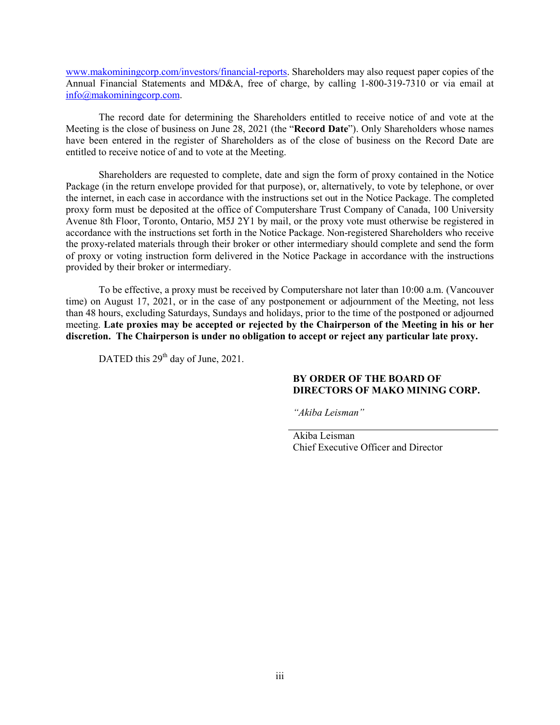[www.makominingcorp.com/investors/financial-reports.](http://www.makominingcorp.com/investors/financial-reports) Shareholders may also request paper copies of the Annual Financial Statements and MD&A, free of charge, by calling 1-800-319-7310 or via email at [info@makominingcorp.com.](mailto:info@makominingcorp.com)

The record date for determining the Shareholders entitled to receive notice of and vote at the Meeting is the close of business on June 28, 2021 (the "**Record Date**"). Only Shareholders whose names have been entered in the register of Shareholders as of the close of business on the Record Date are entitled to receive notice of and to vote at the Meeting.

Shareholders are requested to complete, date and sign the form of proxy contained in the Notice Package (in the return envelope provided for that purpose), or, alternatively, to vote by telephone, or over the internet, in each case in accordance with the instructions set out in the Notice Package. The completed proxy form must be deposited at the office of Computershare Trust Company of Canada, 100 University Avenue 8th Floor, Toronto, Ontario, M5J 2Y1 by mail, or the proxy vote must otherwise be registered in accordance with the instructions set forth in the Notice Package. Non-registered Shareholders who receive the proxy-related materials through their broker or other intermediary should complete and send the form of proxy or voting instruction form delivered in the Notice Package in accordance with the instructions provided by their broker or intermediary.

To be effective, a proxy must be received by Computershare not later than 10:00 a.m. (Vancouver time) on August 17, 2021, or in the case of any postponement or adjournment of the Meeting, not less than 48 hours, excluding Saturdays, Sundays and holidays, prior to the time of the postponed or adjourned meeting. **Late proxies may be accepted or rejected by the Chairperson of the Meeting in his or her discretion. The Chairperson is under no obligation to accept or reject any particular late proxy.**

DATED this 29<sup>th</sup> day of June, 2021.

## **BY ORDER OF THE BOARD OF DIRECTORS OF MAKO MINING CORP.**

*"Akiba Leisman"*

Akiba Leisman Chief Executive Officer and Director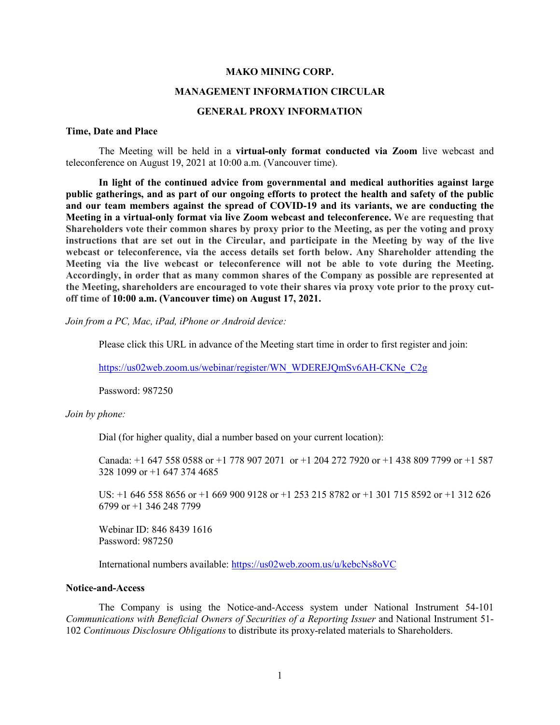#### **MAKO MINING CORP.**

#### **MANAGEMENT INFORMATION CIRCULAR**

#### **GENERAL PROXY INFORMATION**

#### **Time, Date and Place**

The Meeting will be held in a **virtual-only format conducted via Zoom** live webcast and teleconference on August 19, 2021 at 10:00 a.m. (Vancouver time).

**In light of the continued advice from governmental and medical authorities against large public gatherings, and as part of our ongoing efforts to protect the health and safety of the public and our team members against the spread of COVID-19 and its variants, we are conducting the Meeting in a virtual-only format via live Zoom webcast and teleconference. We are requesting that Shareholders vote their common shares by proxy prior to the Meeting, as per the voting and proxy instructions that are set out in the Circular, and participate in the Meeting by way of the live webcast or teleconference, via the access details set forth below. Any Shareholder attending the Meeting via the live webcast or teleconference will not be able to vote during the Meeting. Accordingly, in order that as many common shares of the Company as possible are represented at the Meeting, shareholders are encouraged to vote their shares via proxy vote prior to the proxy cutoff time of 10:00 a.m. (Vancouver time) on August 17, 2021.**

*Join from a PC, Mac, iPad, iPhone or Android device:*

Please click this URL in advance of the Meeting start time in order to first register and join:

[https://us02web.zoom.us/webinar/register/WN\\_WDEREJQmSv6AH-CKNe\\_C2g](https://us02web.zoom.us/webinar/register/WN_WDEREJQmSv6AH-CKNe_C2g)

Password: 987250

*Join by phone:*

Dial (for higher quality, dial a number based on your current location):

Canada: +1 647 558 0588 or +1 778 907 2071 or +1 204 272 7920 or +1 438 809 7799 or +1 587 328 1099 or +1 647 374 4685

US: +1 646 558 8656 or +1 669 900 9128 or +1 253 215 8782 or +1 301 715 8592 or +1 312 626 6799 or +1 346 248 7799

 Webinar ID: 846 8439 1616 Password: 987250

International numbers available: [https://us02web.zoom.us/u/kebcNs8oVC](https://protect-eu.mimecast.com/s/Z8-PC9m6ImkK3NiEKeki?domain=us02web.zoom.us)

#### **Notice-and-Access**

The Company is using the Notice-and-Access system under National Instrument 54-101 *Communications with Beneficial Owners of Securities of a Reporting Issuer* and National Instrument 51- 102 *Continuous Disclosure Obligations* to distribute its proxy-related materials to Shareholders.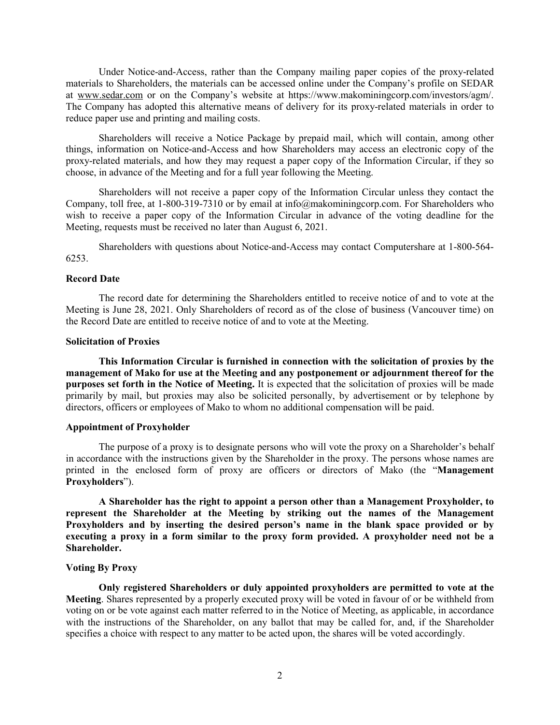Under Notice-and-Access, rather than the Company mailing paper copies of the proxy-related materials to Shareholders, the materials can be accessed online under the Company's profile on SEDAR at [www.sedar.com](http://www.sedar.com/) or on the Company's website at [https://www.makominingcorp.com/investors/agm/.](https://makominingcorp.com/investors/agm/) The Company has adopted this alternative means of delivery for its proxy-related materials in order to reduce paper use and printing and mailing costs.

Shareholders will receive a Notice Package by prepaid mail, which will contain, among other things, information on Notice-and-Access and how Shareholders may access an electronic copy of the proxy-related materials, and how they may request a paper copy of the Information Circular, if they so choose, in advance of the Meeting and for a full year following the Meeting.

Shareholders will not receive a paper copy of the Information Circular unless they contact the Company, toll free, at 1-800-319-7310 or by email at info@makominingcorp.com. For Shareholders who wish to receive a paper copy of the Information Circular in advance of the voting deadline for the Meeting, requests must be received no later than August 6, 2021.

Shareholders with questions about Notice-and-Access may contact Computershare at 1-800-564- 6253.

## **Record Date**

The record date for determining the Shareholders entitled to receive notice of and to vote at the Meeting is June 28, 2021. Only Shareholders of record as of the close of business (Vancouver time) on the Record Date are entitled to receive notice of and to vote at the Meeting.

#### **Solicitation of Proxies**

**This Information Circular is furnished in connection with the solicitation of proxies by the management of Mako for use at the Meeting and any postponement or adjournment thereof for the purposes set forth in the Notice of Meeting.** It is expected that the solicitation of proxies will be made primarily by mail, but proxies may also be solicited personally, by advertisement or by telephone by directors, officers or employees of Mako to whom no additional compensation will be paid.

#### **Appointment of Proxyholder**

The purpose of a proxy is to designate persons who will vote the proxy on a Shareholder's behalf in accordance with the instructions given by the Shareholder in the proxy. The persons whose names are printed in the enclosed form of proxy are officers or directors of Mako (the "**Management Proxyholders**").

**A Shareholder has the right to appoint a person other than a Management Proxyholder, to represent the Shareholder at the Meeting by striking out the names of the Management Proxyholders and by inserting the desired person's name in the blank space provided or by executing a proxy in a form similar to the proxy form provided. A proxyholder need not be a Shareholder.**

#### **Voting By Proxy**

**Only registered Shareholders or duly appointed proxyholders are permitted to vote at the Meeting**. Shares represented by a properly executed proxy will be voted in favour of or be withheld from voting on or be vote against each matter referred to in the Notice of Meeting, as applicable, in accordance with the instructions of the Shareholder, on any ballot that may be called for, and, if the Shareholder specifies a choice with respect to any matter to be acted upon, the shares will be voted accordingly.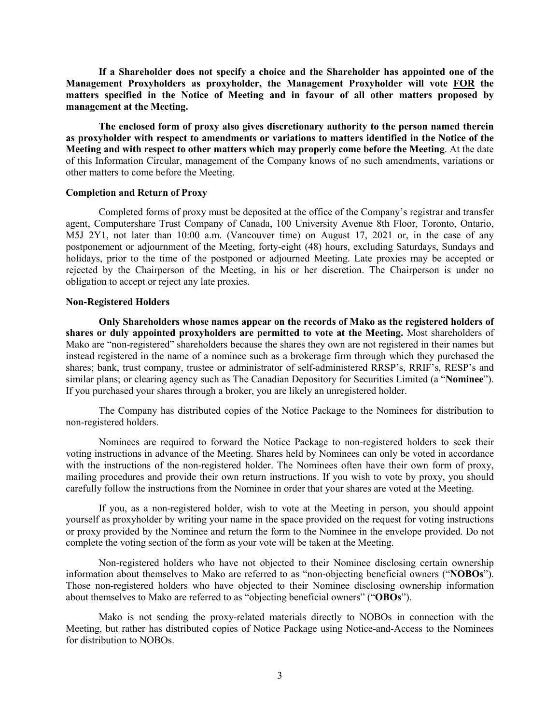**If a Shareholder does not specify a choice and the Shareholder has appointed one of the Management Proxyholders as proxyholder, the Management Proxyholder will vote FOR the matters specified in the Notice of Meeting and in favour of all other matters proposed by management at the Meeting.**

**The enclosed form of proxy also gives discretionary authority to the person named therein as proxyholder with respect to amendments or variations to matters identified in the Notice of the Meeting and with respect to other matters which may properly come before the Meeting**. At the date of this Information Circular, management of the Company knows of no such amendments, variations or other matters to come before the Meeting.

#### **Completion and Return of Proxy**

Completed forms of proxy must be deposited at the office of the Company's registrar and transfer agent, Computershare Trust Company of Canada, 100 University Avenue 8th Floor, Toronto, Ontario, M5J 2Y1, not later than 10:00 a.m. (Vancouver time) on August 17, 2021 or, in the case of any postponement or adjournment of the Meeting, forty-eight (48) hours, excluding Saturdays, Sundays and holidays, prior to the time of the postponed or adjourned Meeting. Late proxies may be accepted or rejected by the Chairperson of the Meeting, in his or her discretion. The Chairperson is under no obligation to accept or reject any late proxies.

### **Non-Registered Holders**

**Only Shareholders whose names appear on the records of Mako as the registered holders of shares or duly appointed proxyholders are permitted to vote at the Meeting.** Most shareholders of Mako are "non-registered" shareholders because the shares they own are not registered in their names but instead registered in the name of a nominee such as a brokerage firm through which they purchased the shares; bank, trust company, trustee or administrator of self-administered RRSP's, RRIF's, RESP's and similar plans; or clearing agency such as The Canadian Depository for Securities Limited (a "**Nominee**"). If you purchased your shares through a broker, you are likely an unregistered holder.

The Company has distributed copies of the Notice Package to the Nominees for distribution to non-registered holders.

Nominees are required to forward the Notice Package to non-registered holders to seek their voting instructions in advance of the Meeting. Shares held by Nominees can only be voted in accordance with the instructions of the non-registered holder. The Nominees often have their own form of proxy, mailing procedures and provide their own return instructions. If you wish to vote by proxy, you should carefully follow the instructions from the Nominee in order that your shares are voted at the Meeting.

If you, as a non-registered holder, wish to vote at the Meeting in person, you should appoint yourself as proxyholder by writing your name in the space provided on the request for voting instructions or proxy provided by the Nominee and return the form to the Nominee in the envelope provided. Do not complete the voting section of the form as your vote will be taken at the Meeting.

Non-registered holders who have not objected to their Nominee disclosing certain ownership information about themselves to Mako are referred to as "non-objecting beneficial owners ("**NOBOs**"). Those non-registered holders who have objected to their Nominee disclosing ownership information about themselves to Mako are referred to as "objecting beneficial owners" ("**OBOs**").

Mako is not sending the proxy-related materials directly to NOBOs in connection with the Meeting, but rather has distributed copies of Notice Package using Notice-and-Access to the Nominees for distribution to NOBOs.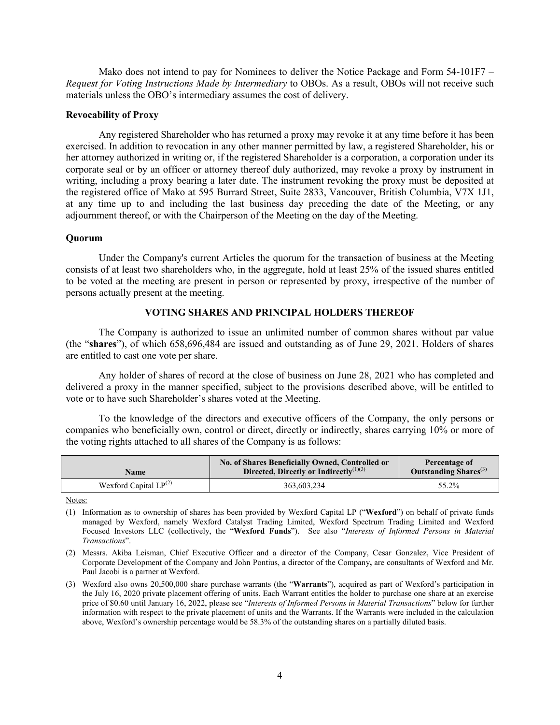Mako does not intend to pay for Nominees to deliver the Notice Package and Form 54-101F7 – *Request for Voting Instructions Made by Intermediary* to OBOs. As a result, OBOs will not receive such materials unless the OBO's intermediary assumes the cost of delivery.

#### **Revocability of Proxy**

Any registered Shareholder who has returned a proxy may revoke it at any time before it has been exercised. In addition to revocation in any other manner permitted by law, a registered Shareholder, his or her attorney authorized in writing or, if the registered Shareholder is a corporation, a corporation under its corporate seal or by an officer or attorney thereof duly authorized, may revoke a proxy by instrument in writing, including a proxy bearing a later date. The instrument revoking the proxy must be deposited at the registered office of Mako at 595 Burrard Street, Suite 2833, Vancouver, British Columbia, V7X 1J1, at any time up to and including the last business day preceding the date of the Meeting, or any adjournment thereof, or with the Chairperson of the Meeting on the day of the Meeting.

#### **Quorum**

Under the Company's current Articles the quorum for the transaction of business at the Meeting consists of at least two shareholders who, in the aggregate, hold at least 25% of the issued shares entitled to be voted at the meeting are present in person or represented by proxy, irrespective of the number of persons actually present at the meeting.

## **VOTING SHARES AND PRINCIPAL HOLDERS THEREOF**

The Company is authorized to issue an unlimited number of common shares without par value (the "**shares**"), of which 658,696,484 are issued and outstanding as of June 29, 2021. Holders of shares are entitled to cast one vote per share.

Any holder of shares of record at the close of business on June 28, 2021 who has completed and delivered a proxy in the manner specified, subject to the provisions described above, will be entitled to vote or to have such Shareholder's shares voted at the Meeting.

To the knowledge of the directors and executive officers of the Company, the only persons or companies who beneficially own, control or direct, directly or indirectly, shares carrying 10% or more of the voting rights attached to all shares of the Company is as follows:

| Name                       | No. of Shares Beneficially Owned, Controlled or<br>Directed, Directly or Indirectly <sup>(1)(3)</sup> | Percentage of<br>Outstanding Shares <sup>(3)</sup> |
|----------------------------|-------------------------------------------------------------------------------------------------------|----------------------------------------------------|
| Wexford Capital $LP^{(2)}$ | 363,603,234                                                                                           | 55.2%                                              |

Notes:

<sup>(1)</sup> Information as to ownership of shares has been provided by Wexford Capital LP ("**Wexford**") on behalf of private funds managed by Wexford, namely Wexford Catalyst Trading Limited, Wexford Spectrum Trading Limited and Wexford Focused Investors LLC (collectively, the "**Wexford Funds**"). See also "*Interests of Informed Persons in Material Transactions*".

<sup>(2)</sup> Messrs. Akiba Leisman, Chief Executive Officer and a director of the Company, Cesar Gonzalez, Vice President of Corporate Development of the Company and John Pontius, a director of the Company**,** are consultants of Wexford and Mr. Paul Jacobi is a partner at Wexford.

<sup>(3)</sup> Wexford also owns 20,500,000 share purchase warrants (the "**Warrants**"), acquired as part of Wexford's participation in the July 16, 2020 private placement offering of units. Each Warrant entitles the holder to purchase one share at an exercise price of \$0.60 until January 16, 2022, please see "*Interests of Informed Persons in Material Transactions*" below for further information with respect to the private placement of units and the Warrants. If the Warrants were included in the calculation above, Wexford's ownership percentage would be 58.3% of the outstanding shares on a partially diluted basis.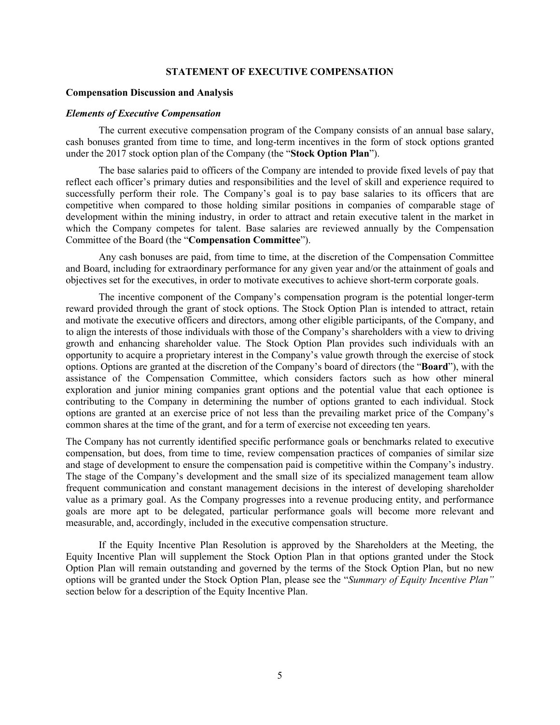#### **STATEMENT OF EXECUTIVE COMPENSATION**

#### **Compensation Discussion and Analysis**

#### *Elements of Executive Compensation*

The current executive compensation program of the Company consists of an annual base salary, cash bonuses granted from time to time, and long-term incentives in the form of stock options granted under the 2017 stock option plan of the Company (the "**Stock Option Plan**").

The base salaries paid to officers of the Company are intended to provide fixed levels of pay that reflect each officer's primary duties and responsibilities and the level of skill and experience required to successfully perform their role. The Company's goal is to pay base salaries to its officers that are competitive when compared to those holding similar positions in companies of comparable stage of development within the mining industry, in order to attract and retain executive talent in the market in which the Company competes for talent. Base salaries are reviewed annually by the Compensation Committee of the Board (the "**Compensation Committee**").

Any cash bonuses are paid, from time to time, at the discretion of the Compensation Committee and Board, including for extraordinary performance for any given year and/or the attainment of goals and objectives set for the executives, in order to motivate executives to achieve short-term corporate goals.

The incentive component of the Company's compensation program is the potential longer-term reward provided through the grant of stock options. The Stock Option Plan is intended to attract, retain and motivate the executive officers and directors, among other eligible participants, of the Company, and to align the interests of those individuals with those of the Company's shareholders with a view to driving growth and enhancing shareholder value. The Stock Option Plan provides such individuals with an opportunity to acquire a proprietary interest in the Company's value growth through the exercise of stock options. Options are granted at the discretion of the Company's board of directors (the "**Board**"), with the assistance of the Compensation Committee, which considers factors such as how other mineral exploration and junior mining companies grant options and the potential value that each optionee is contributing to the Company in determining the number of options granted to each individual. Stock options are granted at an exercise price of not less than the prevailing market price of the Company's common shares at the time of the grant, and for a term of exercise not exceeding ten years.

The Company has not currently identified specific performance goals or benchmarks related to executive compensation, but does, from time to time, review compensation practices of companies of similar size and stage of development to ensure the compensation paid is competitive within the Company's industry. The stage of the Company's development and the small size of its specialized management team allow frequent communication and constant management decisions in the interest of developing shareholder value as a primary goal. As the Company progresses into a revenue producing entity, and performance goals are more apt to be delegated, particular performance goals will become more relevant and measurable, and, accordingly, included in the executive compensation structure.

If the Equity Incentive Plan Resolution is approved by the Shareholders at the Meeting, the Equity Incentive Plan will supplement the Stock Option Plan in that options granted under the Stock Option Plan will remain outstanding and governed by the terms of the Stock Option Plan, but no new options will be granted under the Stock Option Plan, please see the "*Summary of Equity Incentive Plan"*  section below for a description of the Equity Incentive Plan.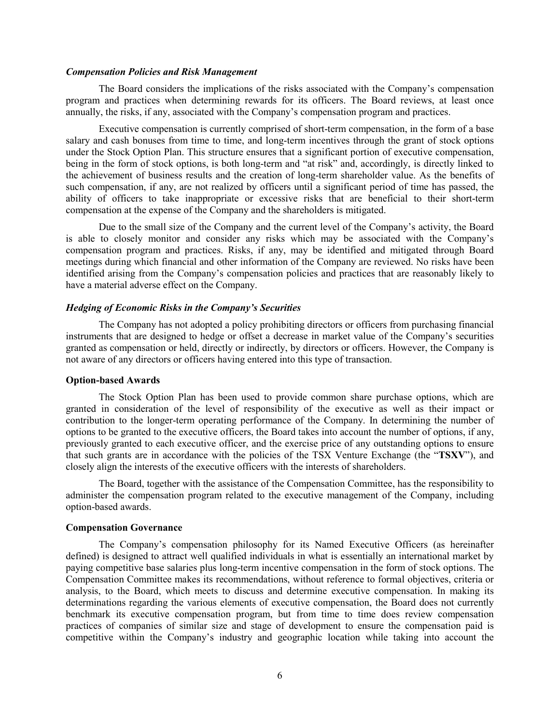#### *Compensation Policies and Risk Management*

The Board considers the implications of the risks associated with the Company's compensation program and practices when determining rewards for its officers. The Board reviews, at least once annually, the risks, if any, associated with the Company's compensation program and practices.

Executive compensation is currently comprised of short-term compensation, in the form of a base salary and cash bonuses from time to time, and long-term incentives through the grant of stock options under the Stock Option Plan. This structure ensures that a significant portion of executive compensation, being in the form of stock options, is both long-term and "at risk" and, accordingly, is directly linked to the achievement of business results and the creation of long-term shareholder value. As the benefits of such compensation, if any, are not realized by officers until a significant period of time has passed, the ability of officers to take inappropriate or excessive risks that are beneficial to their short-term compensation at the expense of the Company and the shareholders is mitigated.

Due to the small size of the Company and the current level of the Company's activity, the Board is able to closely monitor and consider any risks which may be associated with the Company's compensation program and practices. Risks, if any, may be identified and mitigated through Board meetings during which financial and other information of the Company are reviewed. No risks have been identified arising from the Company's compensation policies and practices that are reasonably likely to have a material adverse effect on the Company.

### *Hedging of Economic Risks in the Company's Securities*

The Company has not adopted a policy prohibiting directors or officers from purchasing financial instruments that are designed to hedge or offset a decrease in market value of the Company's securities granted as compensation or held, directly or indirectly, by directors or officers. However, the Company is not aware of any directors or officers having entered into this type of transaction.

#### **Option-based Awards**

The Stock Option Plan has been used to provide common share purchase options, which are granted in consideration of the level of responsibility of the executive as well as their impact or contribution to the longer-term operating performance of the Company. In determining the number of options to be granted to the executive officers, the Board takes into account the number of options, if any, previously granted to each executive officer, and the exercise price of any outstanding options to ensure that such grants are in accordance with the policies of the TSX Venture Exchange (the "**TSXV**"), and closely align the interests of the executive officers with the interests of shareholders.

The Board, together with the assistance of the Compensation Committee, has the responsibility to administer the compensation program related to the executive management of the Company, including option-based awards.

#### **Compensation Governance**

The Company's compensation philosophy for its Named Executive Officers (as hereinafter defined) is designed to attract well qualified individuals in what is essentially an international market by paying competitive base salaries plus long-term incentive compensation in the form of stock options. The Compensation Committee makes its recommendations, without reference to formal objectives, criteria or analysis, to the Board, which meets to discuss and determine executive compensation. In making its determinations regarding the various elements of executive compensation, the Board does not currently benchmark its executive compensation program, but from time to time does review compensation practices of companies of similar size and stage of development to ensure the compensation paid is competitive within the Company's industry and geographic location while taking into account the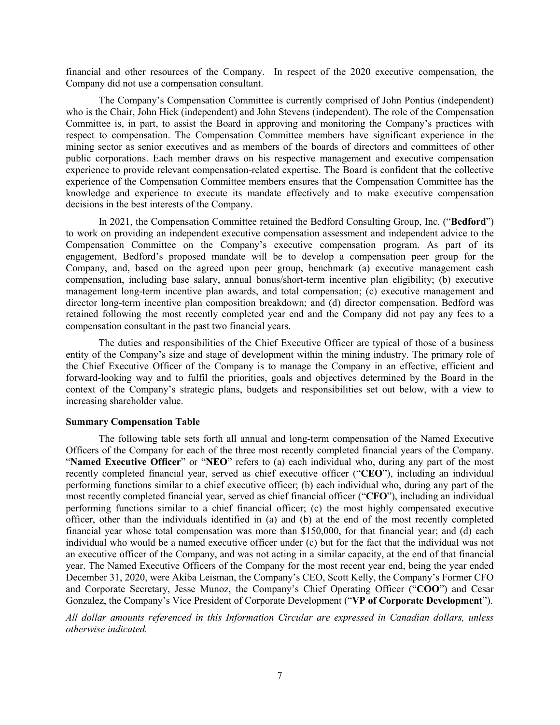financial and other resources of the Company. In respect of the 2020 executive compensation, the Company did not use a compensation consultant.

The Company's Compensation Committee is currently comprised of John Pontius (independent) who is the Chair, John Hick (independent) and John Stevens (independent). The role of the Compensation Committee is, in part, to assist the Board in approving and monitoring the Company's practices with respect to compensation. The Compensation Committee members have significant experience in the mining sector as senior executives and as members of the boards of directors and committees of other public corporations. Each member draws on his respective management and executive compensation experience to provide relevant compensation-related expertise. The Board is confident that the collective experience of the Compensation Committee members ensures that the Compensation Committee has the knowledge and experience to execute its mandate effectively and to make executive compensation decisions in the best interests of the Company.

In 2021, the Compensation Committee retained the Bedford Consulting Group, Inc. ("**Bedford**") to work on providing an independent executive compensation assessment and independent advice to the Compensation Committee on the Company's executive compensation program. As part of its engagement, Bedford's proposed mandate will be to develop a compensation peer group for the Company, and, based on the agreed upon peer group, benchmark (a) executive management cash compensation, including base salary, annual bonus/short-term incentive plan eligibility; (b) executive management long-term incentive plan awards, and total compensation; (c) executive management and director long-term incentive plan composition breakdown; and (d) director compensation. Bedford was retained following the most recently completed year end and the Company did not pay any fees to a compensation consultant in the past two financial years.

The duties and responsibilities of the Chief Executive Officer are typical of those of a business entity of the Company's size and stage of development within the mining industry. The primary role of the Chief Executive Officer of the Company is to manage the Company in an effective, efficient and forward-looking way and to fulfil the priorities, goals and objectives determined by the Board in the context of the Company's strategic plans, budgets and responsibilities set out below, with a view to increasing shareholder value.

#### **Summary Compensation Table**

The following table sets forth all annual and long-term compensation of the Named Executive Officers of the Company for each of the three most recently completed financial years of the Company. "**Named Executive Officer**" or "**NEO**" refers to (a) each individual who, during any part of the most recently completed financial year, served as chief executive officer ("**CEO**"), including an individual performing functions similar to a chief executive officer; (b) each individual who, during any part of the most recently completed financial year, served as chief financial officer ("**CFO**"), including an individual performing functions similar to a chief financial officer; (c) the most highly compensated executive officer, other than the individuals identified in (a) and (b) at the end of the most recently completed financial year whose total compensation was more than \$150,000, for that financial year; and (d) each individual who would be a named executive officer under (c) but for the fact that the individual was not an executive officer of the Company, and was not acting in a similar capacity, at the end of that financial year. The Named Executive Officers of the Company for the most recent year end, being the year ended December 31, 2020, were Akiba Leisman, the Company's CEO, Scott Kelly, the Company's Former CFO and Corporate Secretary, Jesse Munoz, the Company's Chief Operating Officer ("**COO**") and Cesar Gonzalez, the Company's Vice President of Corporate Development ("**VP of Corporate Development**").

*All dollar amounts referenced in this Information Circular are expressed in Canadian dollars, unless otherwise indicated.*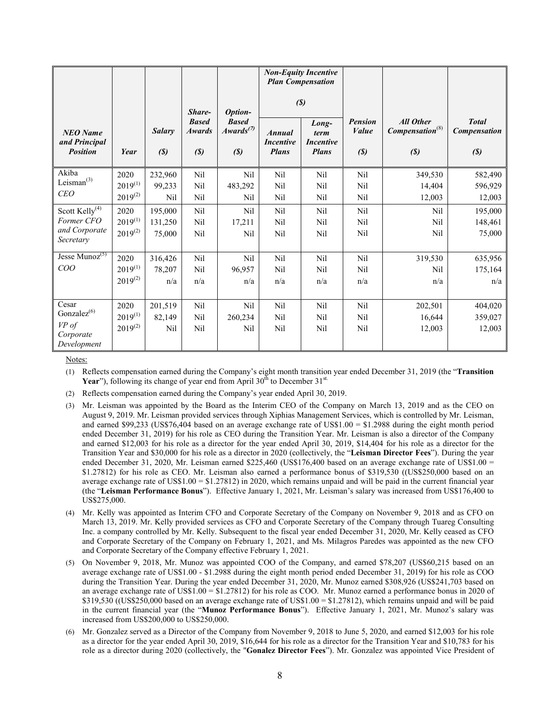|                                       |              |                            |                               |                                       |                                  | <b>Non-Equity Incentive</b><br><b>Plan Compensation</b> |                             |                                       |                              |
|---------------------------------------|--------------|----------------------------|-------------------------------|---------------------------------------|----------------------------------|---------------------------------------------------------|-----------------------------|---------------------------------------|------------------------------|
|                                       |              |                            | Share-                        | Option-                               | $\left( \mathcal{S}\right)$      |                                                         |                             |                                       |                              |
| <b>NEO</b> Name                       |              | <b>Salary</b>              | <b>Based</b><br><b>Awards</b> | <b>Based</b><br>Awards <sup>(7)</sup> | <b>Annual</b>                    | Long-<br>term                                           | <b>Pension</b><br>Value     | <b>All Other</b><br>$Compensation(8)$ | <b>Total</b><br>Compensation |
| and Principal<br><b>Position</b>      | Year         | $\left( \mathbf{S}\right)$ | (S)                           | (S)                                   | <b>Incentive</b><br><b>Plans</b> | <b>Incentive</b><br><b>Plans</b>                        | $\left( \mathcal{S}\right)$ | (S)                                   | (S)                          |
| Akiba                                 | 2020         | 232,960                    | Nil                           | Nil                                   | Nil                              | Nil                                                     | Nil                         | 349,530                               | 582,490                      |
| Leisman $^{(3)}$                      | $2019^{(1)}$ | 99,233                     | Nil                           | 483,292                               | Nil                              | Nil                                                     | Nil                         | 14,404                                | 596,929                      |
| <b>CEO</b>                            | $2019^{(2)}$ | Nil                        | Nil                           | Nil                                   | Nil                              | Nil                                                     | Nil                         | 12,003                                | 12,003                       |
| Scott $Kelly$ <sup>(4)</sup>          | 2020         | 195,000                    | Nil                           | Nil                                   | Nil                              | Nil                                                     | Nil                         | Nil                                   | 195,000                      |
| Former CFO                            | $2019^{(1)}$ | 131,250                    | Nil                           | 17,211                                | Nil                              | Nil                                                     | Nil                         | Nil                                   | 148,461                      |
| and Corporate<br>Secretary            | $2019^{(2)}$ | 75,000                     | Nil                           | Nil                                   | Nil                              | Nil                                                     | Nil                         | Nil                                   | 75,000                       |
| Jesse $\overline{\text{Munoz}}^{(5)}$ | 2020         | 316,426                    | Nil                           | Nil                                   | Nil                              | Nil                                                     | Nil                         | 319,530                               | 635,956                      |
| COO                                   | $2019^{(1)}$ | 78,207                     | Nil                           | 96,957                                | Nil                              | Nil                                                     | Nil                         | Nil                                   | 175,164                      |
|                                       | $2019^{(2)}$ | n/a                        | n/a                           | n/a                                   | n/a                              | n/a                                                     | n/a                         | n/a                                   | n/a                          |
| Cesar                                 | 2020         | 201,519                    | Nil                           | Nil                                   | Nil                              | Nil                                                     | Nil                         | 202,501                               | 404,020                      |
| Gonzalez $^{(6)}$                     | $2019^{(1)}$ | 82,149                     | Nil                           | 260,234                               | Nil                              | Nil                                                     | Nil                         | 16,644                                | 359,027                      |
| VP of                                 | $2019^{(2)}$ | Nil                        | Nil                           | Nil                                   | Nil                              | Nil                                                     | Nil                         | 12,003                                | 12,003                       |
| Corporate<br>Development              |              |                            |                               |                                       |                                  |                                                         |                             |                                       |                              |

Notes:

(1) Reflects compensation earned during the Company's eight month transition year ended December 31, 2019 (the "**Transition**  Year"), following its change of year end from April 30<sup>th</sup> to December 31<sup>st.</sup>

- (2) Reflects compensation earned during the Company's year ended April 30, 2019.
- (3) Mr. Leisman was appointed by the Board as the Interim CEO of the Company on March 13, 2019 and as the CEO on August 9, 2019. Mr. Leisman provided services through Xiphias Management Services, which is controlled by Mr. Leisman, and earned \$99,233 (US\$76,404 based on an average exchange rate of US\$1.00 = \$1.2988 during the eight month period ended December 31, 2019) for his role as CEO during the Transition Year. Mr. Leisman is also a director of the Company and earned \$12,003 for his role as a director for the year ended April 30, 2019, \$14,404 for his role as a director for the Transition Year and \$30,000 for his role as a director in 2020 (collectively, the "**Leisman Director Fees**"). During the year ended December 31, 2020, Mr. Leisman earned \$225,460 (US\$176,400 based on an average exchange rate of US\$1.00 = \$1.27812) for his role as CEO. Mr. Leisman also earned a performance bonus of \$319,530 ((US\$250,000 based on an average exchange rate of US\$1.00 = \$1.27812) in 2020, which remains unpaid and will be paid in the current financial year (the "**Leisman Performance Bonus**"). Effective January 1, 2021, Mr. Leisman's salary was increased from US\$176,400 to US\$275,000.
- (4) Mr. Kelly was appointed as Interim CFO and Corporate Secretary of the Company on November 9, 2018 and as CFO on March 13, 2019. Mr. Kelly provided services as CFO and Corporate Secretary of the Company through Tuareg Consulting Inc. a company controlled by Mr. Kelly. Subsequent to the fiscal year ended December 31, 2020, Mr. Kelly ceased as CFO and Corporate Secretary of the Company on February 1, 2021, and Ms. Milagros Paredes was appointed as the new CFO and Corporate Secretary of the Company effective February 1, 2021.
- (5) On November 9, 2018, Mr. Munoz was appointed COO of the Company, and earned \$78,207 (US\$60,215 based on an average exchange rate of US\$1.00 - \$1.2988 during the eight month period ended December 31, 2019) for his role as COO during the Transition Year. During the year ended December 31, 2020, Mr. Munoz earned \$308,926 (US\$241,703 based on an average exchange rate of US\$1.00 = \$1.27812) for his role as COO. Mr. Munoz earned a performance bonus in 2020 of \$319,530 ((US\$250,000 based on an average exchange rate of US\$1.00 = \$1.27812), which remains unpaid and will be paid in the current financial year (the "**Munoz Performance Bonus**"). Effective January 1, 2021, Mr. Munoz's salary was increased from US\$200,000 to US\$250,000.
- (6) Mr. Gonzalez served as a Director of the Company from November 9, 2018 to June 5, 2020, and earned \$12,003 for his role as a director for the year ended April 30, 2019, \$16,644 for his role as a director for the Transition Year and \$10,783 for his role as a director during 2020 (collectively, the "**Gonalez Director Fees**"). Mr. Gonzalez was appointed Vice President of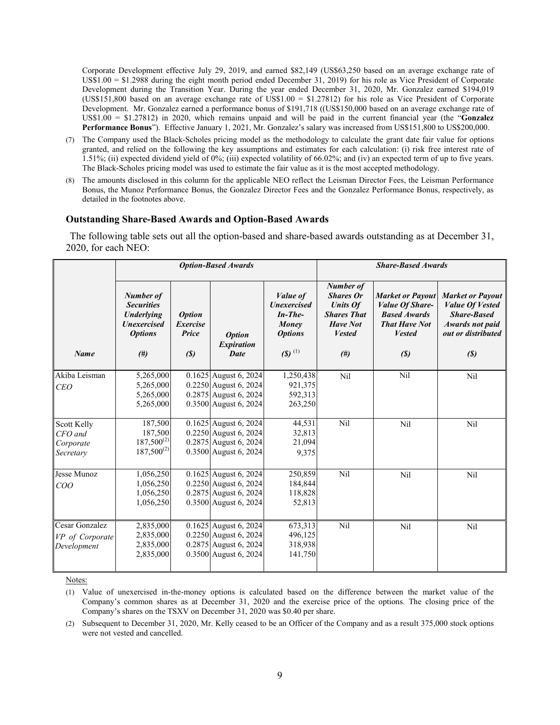Corporate Development effective July 29, 2019, and earned \$82,149 (US\$63,250 based on an average exchange rate of US\$1.00 = \$1.2988 during the eight month period ended December 31, 2019) for his role as Vice President of Corporate Development during the Transition Year. During the year ended December 31, 2020, Mr. Gonzalez earned \$194,019 (US\$151,800 based on an average exchange rate of US\$1.00 = \$1.27812) for his role as Vice President of Corporate Development. Mr. Gonzalez earned a performance bonus of \$191,718 ((US\$150,000 based on an average exchange rate of US\$1.00 = \$1.27812) in 2020, which remains unpaid and will be paid in the current financial year (the "**Gonzalez Performance Bonus**"). Effective January 1, 2021, Mr. Gonzalez's salary was increased from US\$151,800 to US\$200,000.

- (7) The Company used the Black-Scholes pricing model as the methodology to calculate the grant date fair value for options granted, and relied on the following the key assumptions and estimates for each calculation: (i) risk free interest rate of 1.51%; (ii) expected dividend yield of 0%; (iii) expected volatility of 66.02%; and (iv) an expected term of up to five years. The Black-Scholes pricing model was used to estimate the fair value as it is the most accepted methodology.
- (8) The amounts disclosed in this column for the applicable NEO reflect the Leisman Director Fees, the Leisman Performance Bonus, the Munoz Performance Bonus, the Gonzalez Director Fees and the Gonzalez Performance Bonus, respectively, as detailed in the footnotes above.

#### **Outstanding Share-Based Awards and Option-Based Awards**

The following table sets out all the option-based and share-based awards outstanding as at December 31, 2020, for each NEO:

|                                                         | <b>Option-Based Awards</b>                                                                  |                                                  |                                                                                                               |                                                                                | <b>Share-Based Awards</b>                                                                                         |                                                                                                                   |                                                                                                                         |
|---------------------------------------------------------|---------------------------------------------------------------------------------------------|--------------------------------------------------|---------------------------------------------------------------------------------------------------------------|--------------------------------------------------------------------------------|-------------------------------------------------------------------------------------------------------------------|-------------------------------------------------------------------------------------------------------------------|-------------------------------------------------------------------------------------------------------------------------|
|                                                         | Number of<br><b>Securities</b><br><b>Underlying</b><br><b>Unexercised</b><br><b>Options</b> | <i><b>Option</b></i><br><b>Exercise</b><br>Price | <b>Option</b><br><b>Expiration</b>                                                                            | <i>Value of</i><br><b>Unexercised</b><br>$In$ -The-<br>Money<br><b>Options</b> | <b>Number of</b><br><b>Shares Or</b><br><b>Units Of</b><br><b>Shares That</b><br><b>Have Not</b><br><b>Vested</b> | <b>Market or Payout</b><br><b>Value Of Share-</b><br><b>Based Awards</b><br><b>That Have Not</b><br><b>Vested</b> | <b>Market or Payout</b><br><b>Value Of Vested</b><br><b>Share-Based</b><br><b>Awards not paid</b><br>out or distributed |
| <b>Name</b>                                             | #)                                                                                          | (S)                                              | <b>Date</b>                                                                                                   | $(5)$ <sup>(1)</sup>                                                           | #)                                                                                                                | (S)                                                                                                               | (S)                                                                                                                     |
| Akiba Leisman<br><i>CEO</i>                             | 5,265,000<br>5,265,000<br>5,265,000<br>5,265,000                                            |                                                  | $\overline{0.1625}$ August 6, 2024<br>0.2250 August 6, 2024<br>0.2875 August 6, 2024<br>0.3500 August 6, 2024 | 1,250,438<br>921,375<br>592,313<br>263,250                                     | Nil                                                                                                               | Nil                                                                                                               | Nil                                                                                                                     |
| Scott Kelly<br>CFO and<br>Corporate<br>Secretary        | 187,500<br>187,500<br>$187,500^{(2)}$<br>$187,500^{(2)}$                                    |                                                  | $\overline{0.1625}$ August 6, 2024<br>0.2250 August 6, 2024<br>0.2875 August 6, 2024<br>0.3500 August 6, 2024 | 44,531<br>32,813<br>21,094<br>9,375                                            | Nil                                                                                                               | Nil                                                                                                               | Nil                                                                                                                     |
| Jesse Munoz<br>COO                                      | 1,056,250<br>1,056,250<br>1,056,250<br>1,056,250                                            |                                                  | $0.1625$ August 6, 2024<br>0.2250 August 6, 2024<br>$0.2875$ August 6, 2024<br>0.3500 August 6, 2024          | 250,859<br>184,844<br>118,828<br>52,813                                        | Nil                                                                                                               | Nil                                                                                                               | Nil                                                                                                                     |
| <b>Cesar Gonzalez</b><br>VP of Corporate<br>Development | 2,835,000<br>2,835,000<br>2,835,000<br>2,835,000                                            |                                                  | 0.1625 August 6, 2024<br>$0.2250$ August 6, 2024<br>0.2875 August 6, 2024<br>0.3500 August 6, 2024            | 673,313<br>496,125<br>318,938<br>141,750                                       | Nil                                                                                                               | Nil                                                                                                               | Nil                                                                                                                     |

Notes:

(2) Subsequent to December 31, 2020, Mr. Kelly ceased to be an Officer of the Company and as a result 375,000 stock options were not vested and cancelled.

<sup>(1)</sup> Value of unexercised in-the-money options is calculated based on the difference between the market value of the Company's common shares as at December 31, 2020 and the exercise price of the options. The closing price of the Company's shares on the TSXV on December 31, 2020 was \$0.40 per share.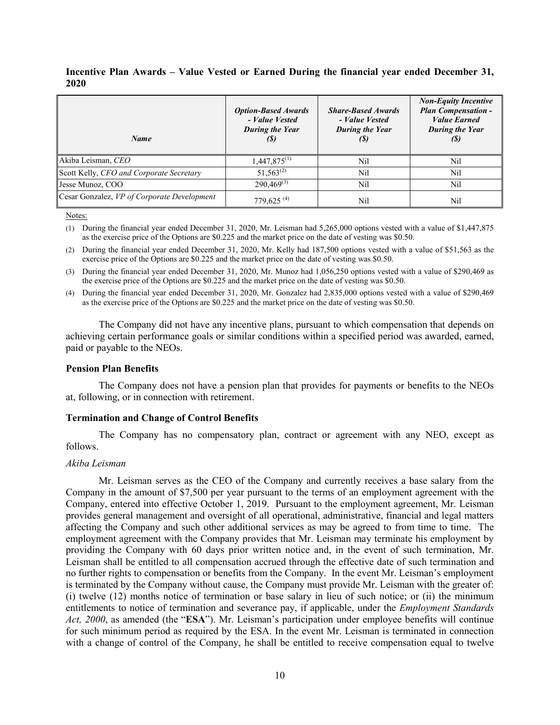| Name                                        | <b>Option-Based Awards</b><br>- Value Vested<br>During the Year<br>(S) | <b>Share-Based Awards</b><br>- Value Vested<br>During the Year<br>(\$) | <b>Non-Equity Incentive</b><br><b>Plan Compensation -</b><br><b>Value Earned</b><br><b>During the Year</b><br>(S) |
|---------------------------------------------|------------------------------------------------------------------------|------------------------------------------------------------------------|-------------------------------------------------------------------------------------------------------------------|
| Akiba Leisman, CEO                          | $1,447,875^{(1)}$                                                      | Nil                                                                    | Nil                                                                                                               |
| Scott Kelly, CFO and Corporate Secretary    | $51,563^{(2)}$                                                         | Nil                                                                    | Nil                                                                                                               |
| Jesse Munoz, COO                            | $290,469^{(3)}$                                                        | Nil                                                                    | Nil                                                                                                               |
| Cesar Gonzalez, VP of Corporate Development | 779,625 <sup>(4)</sup>                                                 | Nil                                                                    | Nil                                                                                                               |

**Incentive Plan Awards – Value Vested or Earned During the financial year ended December 31, 2020**

Notes:

(1) During the financial year ended December 31, 2020, Mr. Leisman had 5,265,000 options vested with a value of \$1,447,875 as the exercise price of the Options are \$0.225 and the market price on the date of vesting was \$0.50.

(2) During the financial year ended December 31, 2020, Mr. Kelly had 187,500 options vested with a value of \$51,563 as the exercise price of the Options are \$0.225 and the market price on the date of vesting was \$0.50.

(3) During the financial year ended December 31, 2020, Mr. Munoz had 1,056,250 options vested with a value of \$290,469 as the exercise price of the Options are \$0.225 and the market price on the date of vesting was \$0.50.

(4) During the financial year ended December 31, 2020, Mr. Gonzalez had 2,835,000 options vested with a value of \$290,469 as the exercise price of the Options are \$0.225 and the market price on the date of vesting was \$0.50.

The Company did not have any incentive plans, pursuant to which compensation that depends on achieving certain performance goals or similar conditions within a specified period was awarded, earned, paid or payable to the NEOs.

#### **Pension Plan Benefits**

The Company does not have a pension plan that provides for payments or benefits to the NEOs at, following, or in connection with retirement.

#### **Termination and Change of Control Benefits**

The Company has no compensatory plan, contract or agreement with any NEO, except as follows.

#### *Akiba Leisman*

Mr. Leisman serves as the CEO of the Company and currently receives a base salary from the Company in the amount of \$7,500 per year pursuant to the terms of an employment agreement with the Company, entered into effective October 1, 2019. Pursuant to the employment agreement, Mr. Leisman provides general management and oversight of all operational, administrative, financial and legal matters affecting the Company and such other additional services as may be agreed to from time to time. The employment agreement with the Company provides that Mr. Leisman may terminate his employment by providing the Company with 60 days prior written notice and, in the event of such termination, Mr. Leisman shall be entitled to all compensation accrued through the effective date of such termination and no further rights to compensation or benefits from the Company. In the event Mr. Leisman's employment is terminated by the Company without cause, the Company must provide Mr. Leisman with the greater of: (i) twelve (12) months notice of termination or base salary in lieu of such notice; or (ii) the minimum entitlements to notice of termination and severance pay, if applicable, under the *Employment Standards Act, 2000*, as amended (the "**ESA**"). Mr. Leisman's participation under employee benefits will continue for such minimum period as required by the ESA. In the event Mr. Leisman is terminated in connection with a change of control of the Company, he shall be entitled to receive compensation equal to twelve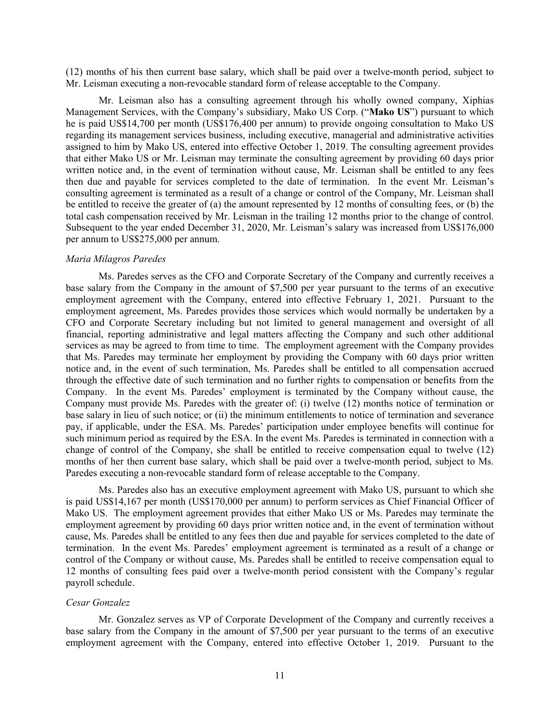(12) months of his then current base salary, which shall be paid over a twelve-month period, subject to Mr. Leisman executing a non-revocable standard form of release acceptable to the Company.

Mr. Leisman also has a consulting agreement through his wholly owned company, Xiphias Management Services, with the Company's subsidiary, Mako US Corp. ("**Mako US**") pursuant to which he is paid US\$14,700 per month (US\$176,400 per annum) to provide ongoing consultation to Mako US regarding its management services business, including executive, managerial and administrative activities assigned to him by Mako US, entered into effective October 1, 2019. The consulting agreement provides that either Mako US or Mr. Leisman may terminate the consulting agreement by providing 60 days prior written notice and, in the event of termination without cause, Mr. Leisman shall be entitled to any fees then due and payable for services completed to the date of termination. In the event Mr. Leisman's consulting agreement is terminated as a result of a change or control of the Company, Mr. Leisman shall be entitled to receive the greater of (a) the amount represented by 12 months of consulting fees, or (b) the total cash compensation received by Mr. Leisman in the trailing 12 months prior to the change of control. Subsequent to the year ended December 31, 2020, Mr. Leisman's salary was increased from US\$176,000 per annum to US\$275,000 per annum.

#### *Maria Milagros Paredes*

Ms. Paredes serves as the CFO and Corporate Secretary of the Company and currently receives a base salary from the Company in the amount of \$7,500 per year pursuant to the terms of an executive employment agreement with the Company, entered into effective February 1, 2021. Pursuant to the employment agreement, Ms. Paredes provides those services which would normally be undertaken by a CFO and Corporate Secretary including but not limited to general management and oversight of all financial, reporting administrative and legal matters affecting the Company and such other additional services as may be agreed to from time to time. The employment agreement with the Company provides that Ms. Paredes may terminate her employment by providing the Company with 60 days prior written notice and, in the event of such termination, Ms. Paredes shall be entitled to all compensation accrued through the effective date of such termination and no further rights to compensation or benefits from the Company. In the event Ms. Paredes' employment is terminated by the Company without cause, the Company must provide Ms. Paredes with the greater of: (i) twelve (12) months notice of termination or base salary in lieu of such notice; or (ii) the minimum entitlements to notice of termination and severance pay, if applicable, under the ESA. Ms. Paredes' participation under employee benefits will continue for such minimum period as required by the ESA. In the event Ms. Paredes is terminated in connection with a change of control of the Company, she shall be entitled to receive compensation equal to twelve (12) months of her then current base salary, which shall be paid over a twelve-month period, subject to Ms. Paredes executing a non-revocable standard form of release acceptable to the Company.

Ms. Paredes also has an executive employment agreement with Mako US, pursuant to which she is paid US\$14,167 per month (US\$170,000 per annum) to perform services as Chief Financial Officer of Mako US. The employment agreement provides that either Mako US or Ms. Paredes may terminate the employment agreement by providing 60 days prior written notice and, in the event of termination without cause, Ms. Paredes shall be entitled to any fees then due and payable for services completed to the date of termination. In the event Ms. Paredes' employment agreement is terminated as a result of a change or control of the Company or without cause, Ms. Paredes shall be entitled to receive compensation equal to 12 months of consulting fees paid over a twelve-month period consistent with the Company's regular payroll schedule.

#### *Cesar Gonzalez*

Mr. Gonzalez serves as VP of Corporate Development of the Company and currently receives a base salary from the Company in the amount of \$7,500 per year pursuant to the terms of an executive employment agreement with the Company, entered into effective October 1, 2019. Pursuant to the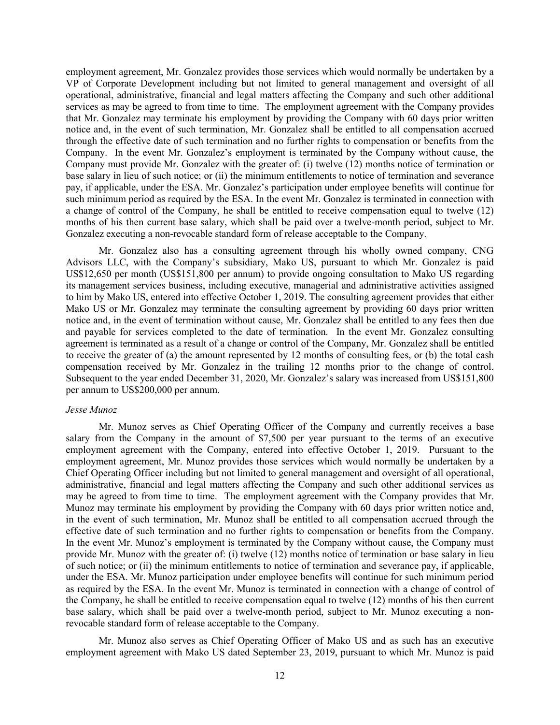employment agreement, Mr. Gonzalez provides those services which would normally be undertaken by a VP of Corporate Development including but not limited to general management and oversight of all operational, administrative, financial and legal matters affecting the Company and such other additional services as may be agreed to from time to time. The employment agreement with the Company provides that Mr. Gonzalez may terminate his employment by providing the Company with 60 days prior written notice and, in the event of such termination, Mr. Gonzalez shall be entitled to all compensation accrued through the effective date of such termination and no further rights to compensation or benefits from the Company. In the event Mr. Gonzalez's employment is terminated by the Company without cause, the Company must provide Mr. Gonzalez with the greater of: (i) twelve (12) months notice of termination or base salary in lieu of such notice; or (ii) the minimum entitlements to notice of termination and severance pay, if applicable, under the ESA. Mr. Gonzalez's participation under employee benefits will continue for such minimum period as required by the ESA. In the event Mr. Gonzalez is terminated in connection with a change of control of the Company, he shall be entitled to receive compensation equal to twelve (12) months of his then current base salary, which shall be paid over a twelve-month period, subject to Mr. Gonzalez executing a non-revocable standard form of release acceptable to the Company.

Mr. Gonzalez also has a consulting agreement through his wholly owned company, CNG Advisors LLC, with the Company's subsidiary, Mako US, pursuant to which Mr. Gonzalez is paid US\$12,650 per month (US\$151,800 per annum) to provide ongoing consultation to Mako US regarding its management services business, including executive, managerial and administrative activities assigned to him by Mako US, entered into effective October 1, 2019. The consulting agreement provides that either Mako US or Mr. Gonzalez may terminate the consulting agreement by providing 60 days prior written notice and, in the event of termination without cause, Mr. Gonzalez shall be entitled to any fees then due and payable for services completed to the date of termination. In the event Mr. Gonzalez consulting agreement is terminated as a result of a change or control of the Company, Mr. Gonzalez shall be entitled to receive the greater of (a) the amount represented by 12 months of consulting fees, or (b) the total cash compensation received by Mr. Gonzalez in the trailing 12 months prior to the change of control. Subsequent to the year ended December 31, 2020, Mr. Gonzalez's salary was increased from US\$151,800 per annum to US\$200,000 per annum.

#### *Jesse Munoz*

Mr. Munoz serves as Chief Operating Officer of the Company and currently receives a base salary from the Company in the amount of \$7,500 per year pursuant to the terms of an executive employment agreement with the Company, entered into effective October 1, 2019. Pursuant to the employment agreement, Mr. Munoz provides those services which would normally be undertaken by a Chief Operating Officer including but not limited to general management and oversight of all operational, administrative, financial and legal matters affecting the Company and such other additional services as may be agreed to from time to time. The employment agreement with the Company provides that Mr. Munoz may terminate his employment by providing the Company with 60 days prior written notice and, in the event of such termination, Mr. Munoz shall be entitled to all compensation accrued through the effective date of such termination and no further rights to compensation or benefits from the Company. In the event Mr. Munoz's employment is terminated by the Company without cause, the Company must provide Mr. Munoz with the greater of: (i) twelve (12) months notice of termination or base salary in lieu of such notice; or (ii) the minimum entitlements to notice of termination and severance pay, if applicable, under the ESA. Mr. Munoz participation under employee benefits will continue for such minimum period as required by the ESA. In the event Mr. Munoz is terminated in connection with a change of control of the Company, he shall be entitled to receive compensation equal to twelve (12) months of his then current base salary, which shall be paid over a twelve-month period, subject to Mr. Munoz executing a nonrevocable standard form of release acceptable to the Company.

Mr. Munoz also serves as Chief Operating Officer of Mako US and as such has an executive employment agreement with Mako US dated September 23, 2019, pursuant to which Mr. Munoz is paid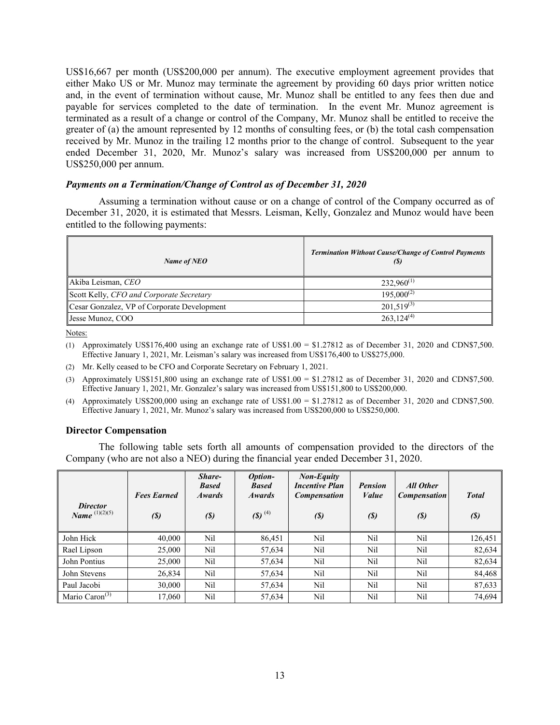US\$16,667 per month (US\$200,000 per annum). The executive employment agreement provides that either Mako US or Mr. Munoz may terminate the agreement by providing 60 days prior written notice and, in the event of termination without cause, Mr. Munoz shall be entitled to any fees then due and payable for services completed to the date of termination. In the event Mr. Munoz agreement is terminated as a result of a change or control of the Company, Mr. Munoz shall be entitled to receive the greater of (a) the amount represented by 12 months of consulting fees, or (b) the total cash compensation received by Mr. Munoz in the trailing 12 months prior to the change of control. Subsequent to the year ended December 31, 2020, Mr. Munoz's salary was increased from US\$200,000 per annum to US\$250,000 per annum.

## *Payments on a Termination/Change of Control as of December 31, 2020*

Assuming a termination without cause or on a change of control of the Company occurred as of December 31, 2020, it is estimated that Messrs. Leisman, Kelly, Gonzalez and Munoz would have been entitled to the following payments:

| Name of NEO                                 | <b>Termination Without Cause/Change of Control Payments</b><br>(S) |
|---------------------------------------------|--------------------------------------------------------------------|
| Akiba Leisman, CEO                          | $232,960^{(1)}$                                                    |
| Scott Kelly, CFO and Corporate Secretary    | $195,000^{(2)}$                                                    |
| Cesar Gonzalez, VP of Corporate Development | $201,519^{(3)}$                                                    |
| Jesse Munoz, COO                            | $263.124^{(4)}$                                                    |

Notes:

- (1) Approximately US\$176,400 using an exchange rate of US\$1.00 = \$1.27812 as of December 31, 2020 and CDN\$7,500. Effective January 1, 2021, Mr. Leisman's salary was increased from US\$176,400 to US\$275,000.
- (2) Mr. Kelly ceased to be CFO and Corporate Secretary on February 1, 2021.
- (3) Approximately US\$151,800 using an exchange rate of US\$1.00 = \$1.27812 as of December 31, 2020 and CDN\$7,500. Effective January 1, 2021, Mr. Gonzalez's salary was increased from US\$151,800 to US\$200,000.
- (4) Approximately US\$200,000 using an exchange rate of US\$1.00 = \$1.27812 as of December 31, 2020 and CDN\$7,500. Effective January 1, 2021, Mr. Munoz's salary was increased from US\$200,000 to US\$250,000.

## **Director Compensation**

The following table sets forth all amounts of compensation provided to the directors of the Company (who are not also a NEO) during the financial year ended December 31, 2020.

| <b>Director</b><br><i>Name</i> $^{(1)(2)(5)}$ | <b>Fees Earned</b><br>$\left( \mathcal{S}\right)$ | Share-<br><b>Based</b><br><b>Awards</b><br>(S) | Option-<br><b>Based</b><br><b>Awards</b><br>$(5)$ <sup>(4)</sup> | <b>Non-Equity</b><br><b>Incentive Plan</b><br><b>Compensation</b><br>$\left( \mathcal{S}\right)$ | <b>Pension</b><br>Value<br>$\binom{S}{ }$ | All Other<br><b>Compensation</b><br>$\left( \mathcal{S}\right)$ | <b>Total</b><br>$\left( \mathcal{S}\right)$ |
|-----------------------------------------------|---------------------------------------------------|------------------------------------------------|------------------------------------------------------------------|--------------------------------------------------------------------------------------------------|-------------------------------------------|-----------------------------------------------------------------|---------------------------------------------|
| John Hick                                     | 40,000                                            | Nil                                            | 86,451                                                           | Nil                                                                                              | Nil                                       | Nil                                                             | 126,451                                     |
| Rael Lipson                                   | 25,000                                            | Nil                                            | 57,634                                                           | Nil                                                                                              | Nil                                       | Nil                                                             | 82,634                                      |
| John Pontius                                  | 25,000                                            | Nil                                            | 57,634                                                           | Nil                                                                                              | Nil                                       | Nil                                                             | 82,634                                      |
| John Stevens                                  | 26,834                                            | Nil                                            | 57,634                                                           | Nil                                                                                              | Nil                                       | Nil                                                             | 84,468                                      |
| Paul Jacobi                                   | 30,000                                            | Nil                                            | 57,634                                                           | Nil                                                                                              | Nil                                       | Nil                                                             | 87,633                                      |
| Mario Caron $(3)$                             | 17,060                                            | Nil                                            | 57,634                                                           | Nil                                                                                              | Nil                                       | Nil                                                             | 74.694                                      |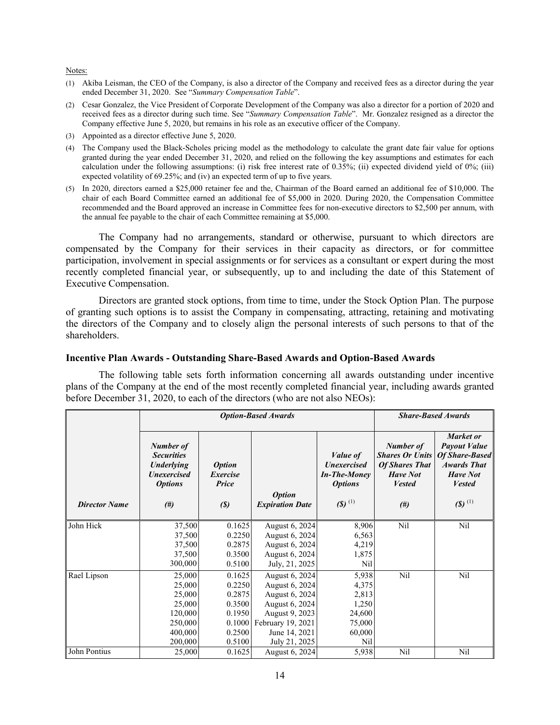Notes:

- (1) Akiba Leisman, the CEO of the Company, is also a director of the Company and received fees as a director during the year ended December 31, 2020. See "*Summary Compensation Table*".
- (2) Cesar Gonzalez, the Vice President of Corporate Development of the Company was also a director for a portion of 2020 and received fees as a director during such time. See "*Summary Compensation Table*". Mr. Gonzalez resigned as a director the Company effective June 5, 2020, but remains in his role as an executive officer of the Company.
- (3) Appointed as a director effective June 5, 2020.
- (4) The Company used the Black-Scholes pricing model as the methodology to calculate the grant date fair value for options granted during the year ended December 31, 2020, and relied on the following the key assumptions and estimates for each calculation under the following assumptions: (i) risk free interest rate of 0.35%; (ii) expected dividend yield of 0%; (iii) expected volatility of 69.25%; and (iv) an expected term of up to five years.
- (5) In 2020, directors earned a \$25,000 retainer fee and the, Chairman of the Board earned an additional fee of \$10,000. The chair of each Board Committee earned an additional fee of \$5,000 in 2020. During 2020, the Compensation Committee recommended and the Board approved an increase in Committee fees for non-executive directors to \$2,500 per annum, with the annual fee payable to the chair of each Committee remaining at \$5,000.

The Company had no arrangements, standard or otherwise, pursuant to which directors are compensated by the Company for their services in their capacity as directors, or for committee participation, involvement in special assignments or for services as a consultant or expert during the most recently completed financial year, or subsequently, up to and including the date of this Statement of Executive Compensation.

Directors are granted stock options, from time to time, under the Stock Option Plan. The purpose of granting such options is to assist the Company in compensating, attracting, retaining and motivating the directors of the Company and to closely align the personal interests of such persons to that of the shareholders.

## **Incentive Plan Awards - Outstanding Share-Based Awards and Option-Based Awards**

The following table sets forth information concerning all awards outstanding under incentive plans of the Company at the end of the most recently completed financial year, including awards granted before December 31, 2020, to each of the directors (who are not also NEOs):

|                      |                                                                                                       | <b>Option-Based Awards</b>                           |                                         |                                                                                                 |                                                                                                            | <b>Share-Based Awards</b>                                                                                                            |  |  |
|----------------------|-------------------------------------------------------------------------------------------------------|------------------------------------------------------|-----------------------------------------|-------------------------------------------------------------------------------------------------|------------------------------------------------------------------------------------------------------------|--------------------------------------------------------------------------------------------------------------------------------------|--|--|
| <b>Director Name</b> | Number of<br><b>Securities</b><br><b>Underlying</b><br><b>Unexercised</b><br><b>Options</b><br>$(\#)$ | <b>Option</b><br>Exercise<br>Price<br>$\binom{S}{ }$ | <b>Option</b><br><b>Expiration Date</b> | <i>Value of</i><br><b>Unexercised</b><br><b>In-The-Money</b><br><b>Options</b><br>(\$) $^{(1)}$ | Number of<br><b>Shares Or Units</b><br><b>Of Shares That</b><br><b>Have Not</b><br><b>Vested</b><br>$(\#)$ | Market or<br><b>Payout Value</b><br>Of Share-Based<br><b>Awards That</b><br><b>Have Not</b><br><b>Vested</b><br>$(5)$ <sup>(1)</sup> |  |  |
| John Hick            | 37,500                                                                                                | 0.1625                                               | August 6, 2024                          | 8,906                                                                                           | Nil                                                                                                        | Nil                                                                                                                                  |  |  |
|                      | 37,500                                                                                                | 0.2250                                               | August 6, 2024                          | 6,563                                                                                           |                                                                                                            |                                                                                                                                      |  |  |
|                      | 37,500                                                                                                | 0.2875                                               | August 6, 2024                          | 4,219                                                                                           |                                                                                                            |                                                                                                                                      |  |  |
|                      | 37,500                                                                                                | 0.3500                                               | August 6, 2024                          | 1,875                                                                                           |                                                                                                            |                                                                                                                                      |  |  |
|                      | 300,000                                                                                               | 0.5100                                               | July, 21, 2025                          | Nil                                                                                             |                                                                                                            |                                                                                                                                      |  |  |
| Rael Lipson          | 25,000                                                                                                | 0.1625                                               | August 6, 2024                          | 5,938                                                                                           | Nil                                                                                                        | Nil                                                                                                                                  |  |  |
|                      | 25,000                                                                                                | 0.2250                                               | August 6, 2024                          | 4,375                                                                                           |                                                                                                            |                                                                                                                                      |  |  |
|                      | 25,000                                                                                                | 0.2875                                               | August 6, 2024                          | 2,813                                                                                           |                                                                                                            |                                                                                                                                      |  |  |
|                      | 25,000                                                                                                | 0.3500                                               | August 6, 2024                          | 1,250                                                                                           |                                                                                                            |                                                                                                                                      |  |  |
|                      | 120,000                                                                                               | 0.1950                                               | August 9, 2023                          | 24,600                                                                                          |                                                                                                            |                                                                                                                                      |  |  |
|                      | 250,000                                                                                               | 0.1000                                               | February 19, 2021                       | 75,000                                                                                          |                                                                                                            |                                                                                                                                      |  |  |
|                      | 400,000                                                                                               | 0.2500                                               | June 14, 2021                           | 60,000                                                                                          |                                                                                                            |                                                                                                                                      |  |  |
| John Pontius         | 200,000                                                                                               | 0.5100                                               | July 21, 2025                           | Nil                                                                                             |                                                                                                            |                                                                                                                                      |  |  |
|                      | 25,000                                                                                                | 0.1625                                               | August 6, 2024                          | 5,938                                                                                           | Nil                                                                                                        | Nil                                                                                                                                  |  |  |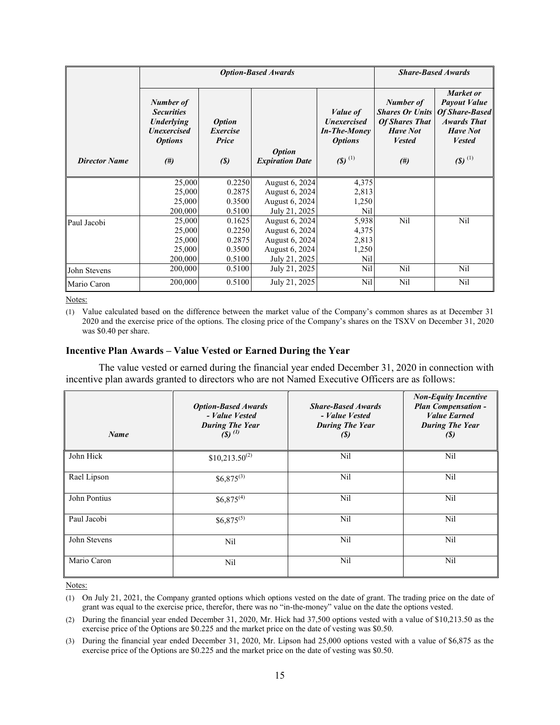|                      |                                                                                                         | <b>Option-Based Awards</b>                                  | <b>Share-Based Awards</b>                                                             |                                                                                                        |                                                                                                            |                                                                                                                                             |
|----------------------|---------------------------------------------------------------------------------------------------------|-------------------------------------------------------------|---------------------------------------------------------------------------------------|--------------------------------------------------------------------------------------------------------|------------------------------------------------------------------------------------------------------------|---------------------------------------------------------------------------------------------------------------------------------------------|
| <b>Director Name</b> | Number of<br><b>Securities</b><br><b>Underlying</b><br><b>Unexercised</b><br><b>Options</b><br>$^{(#)}$ | <i><b>Option</b></i><br>Exercise<br>Price<br>$\binom{S}{ }$ | <b>Option</b><br><b>Expiration Date</b>                                               | Value of<br><b><i>Unexercised</i></b><br><b>In-The-Money</b><br><b>Options</b><br>$(5)$ <sup>(1)</sup> | Number of<br><b>Shares Or Units</b><br><b>Of Shares That</b><br><b>Have Not</b><br><b>Vested</b><br>$(\#)$ | Market or<br><b>Payout Value</b><br><b>Of Share-Based</b><br><b>Awards That</b><br><b>Have Not</b><br><b>Vested</b><br>$(5)$ <sup>(1)</sup> |
|                      | 25,000<br>25,000                                                                                        | 0.2250<br>0.2875                                            | August 6, 2024<br>August 6, 2024                                                      | 4,375<br>2,813                                                                                         |                                                                                                            |                                                                                                                                             |
|                      | 25,000<br>200,000                                                                                       | 0.3500<br>0.5100                                            | August 6, 2024<br>July 21, 2025                                                       | 1,250<br>Nil                                                                                           |                                                                                                            |                                                                                                                                             |
| Paul Jacobi          | 25,000<br>25,000<br>25,000<br>25,000<br>200,000                                                         | 0.1625<br>0.2250<br>0.2875<br>0.3500<br>0.5100              | August 6, 2024<br>August 6, 2024<br>August 6, 2024<br>August 6, 2024<br>July 21, 2025 | 5,938<br>4,375<br>2,813<br>1,250<br>Nil                                                                | Nil                                                                                                        | Nil                                                                                                                                         |
| John Stevens         | 200,000                                                                                                 | 0.5100                                                      | July 21, 2025                                                                         | Nil                                                                                                    | Nil                                                                                                        | Nil                                                                                                                                         |
| Mario Caron          | 200,000                                                                                                 | 0.5100                                                      | July 21, 2025                                                                         | Nil                                                                                                    | Nil                                                                                                        | Nil                                                                                                                                         |

Notes:

(1) Value calculated based on the difference between the market value of the Company's common shares as at December 31 2020 and the exercise price of the options. The closing price of the Company's shares on the TSXV on December 31, 2020 was \$0.40 per share.

#### **Incentive Plan Awards – Value Vested or Earned During the Year**

The value vested or earned during the financial year ended December 31, 2020 in connection with incentive plan awards granted to directors who are not Named Executive Officers are as follows:

| <b>Name</b>  | <b>Option-Based Awards</b><br>- Value Vested<br><b>During The Year</b><br>$(8)$ (1) | <b>Share-Based Awards</b><br>- Value Vested<br><b>During The Year</b><br>(S) | <b>Non-Equity Incentive</b><br><b>Plan Compensation -</b><br><b>Value Earned</b><br><b>During The Year</b><br>(S) |
|--------------|-------------------------------------------------------------------------------------|------------------------------------------------------------------------------|-------------------------------------------------------------------------------------------------------------------|
| John Hick    | $$10,213.50^{(2)}$                                                                  | Nil                                                                          | Nil                                                                                                               |
| Rael Lipson  | $$6,875^{(3)}$$                                                                     | Nil                                                                          | Nil                                                                                                               |
| John Pontius | $$6,875^{(4)}$$                                                                     | Nil                                                                          | Nil                                                                                                               |
| Paul Jacobi  | $$6,875^{(5)}$$                                                                     | Nil                                                                          | Nil                                                                                                               |
| John Stevens | Nil                                                                                 | Nil                                                                          | Nil                                                                                                               |
| Mario Caron  | Nil                                                                                 | Nil                                                                          | Nil                                                                                                               |

Notes:

(2) During the financial year ended December 31, 2020, Mr. Hick had 37,500 options vested with a value of \$10,213.50 as the exercise price of the Options are \$0.225 and the market price on the date of vesting was \$0.50.

(3) During the financial year ended December 31, 2020, Mr. Lipson had 25,000 options vested with a value of \$6,875 as the exercise price of the Options are \$0.225 and the market price on the date of vesting was \$0.50.

<sup>(1)</sup> On July 21, 2021, the Company granted options which options vested on the date of grant. The trading price on the date of grant was equal to the exercise price, therefor, there was no "in-the-money" value on the date the options vested.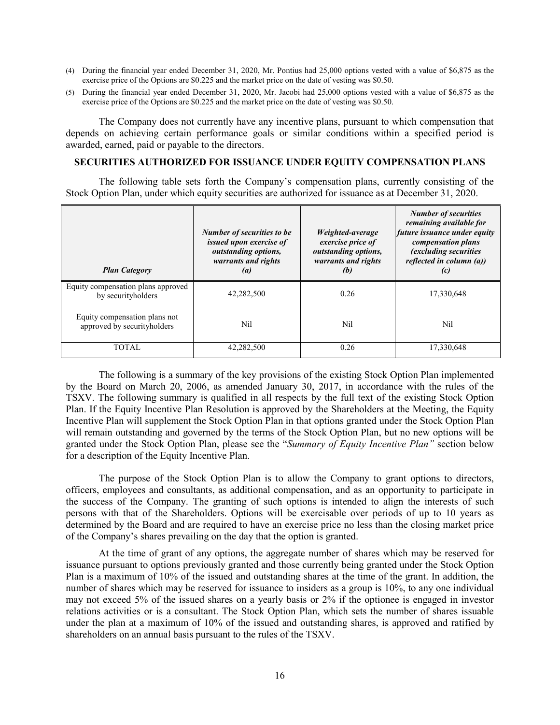- (4) During the financial year ended December 31, 2020, Mr. Pontius had 25,000 options vested with a value of \$6,875 as the exercise price of the Options are \$0.225 and the market price on the date of vesting was \$0.50.
- (5) During the financial year ended December 31, 2020, Mr. Jacobi had 25,000 options vested with a value of \$6,875 as the exercise price of the Options are \$0.225 and the market price on the date of vesting was \$0.50.

The Company does not currently have any incentive plans, pursuant to which compensation that depends on achieving certain performance goals or similar conditions within a specified period is awarded, earned, paid or payable to the directors.

#### **SECURITIES AUTHORIZED FOR ISSUANCE UNDER EQUITY COMPENSATION PLANS**

The following table sets forth the Company's compensation plans, currently consisting of the Stock Option Plan, under which equity securities are authorized for issuance as at December 31, 2020.

| <b>Plan Category</b>                                         | <b>Number of securities to be</b><br>issued upon exercise of<br><i>outstanding options,</i><br>warrants and rights<br>$\left( a\right)$ | Weighted-average<br>exercise price of<br><i>outstanding options,</i><br>warrants and rights<br>(b) | <b>Number of securities</b><br>remaining available for<br>future issuance under equity<br>compensation plans<br><i>(excluding securities)</i><br>reflected in column (a))<br>(c) |
|--------------------------------------------------------------|-----------------------------------------------------------------------------------------------------------------------------------------|----------------------------------------------------------------------------------------------------|----------------------------------------------------------------------------------------------------------------------------------------------------------------------------------|
| Equity compensation plans approved<br>by securityholders     | 42,282,500                                                                                                                              | 0.26                                                                                               | 17,330,648                                                                                                                                                                       |
| Equity compensation plans not<br>approved by securityholders | Nil                                                                                                                                     | Nil                                                                                                | Nil                                                                                                                                                                              |
| <b>TOTAL</b>                                                 | 42,282,500                                                                                                                              | 0.26                                                                                               | 17,330,648                                                                                                                                                                       |

The following is a summary of the key provisions of the existing Stock Option Plan implemented by the Board on March 20, 2006, as amended January 30, 2017, in accordance with the rules of the TSXV. The following summary is qualified in all respects by the full text of the existing Stock Option Plan. If the Equity Incentive Plan Resolution is approved by the Shareholders at the Meeting, the Equity Incentive Plan will supplement the Stock Option Plan in that options granted under the Stock Option Plan will remain outstanding and governed by the terms of the Stock Option Plan, but no new options will be granted under the Stock Option Plan, please see the "*Summary of Equity Incentive Plan"* section below for a description of the Equity Incentive Plan.

The purpose of the Stock Option Plan is to allow the Company to grant options to directors, officers, employees and consultants, as additional compensation, and as an opportunity to participate in the success of the Company. The granting of such options is intended to align the interests of such persons with that of the Shareholders. Options will be exercisable over periods of up to 10 years as determined by the Board and are required to have an exercise price no less than the closing market price of the Company's shares prevailing on the day that the option is granted.

At the time of grant of any options, the aggregate number of shares which may be reserved for issuance pursuant to options previously granted and those currently being granted under the Stock Option Plan is a maximum of 10% of the issued and outstanding shares at the time of the grant. In addition, the number of shares which may be reserved for issuance to insiders as a group is 10%, to any one individual may not exceed 5% of the issued shares on a yearly basis or 2% if the optionee is engaged in investor relations activities or is a consultant. The Stock Option Plan, which sets the number of shares issuable under the plan at a maximum of 10% of the issued and outstanding shares, is approved and ratified by shareholders on an annual basis pursuant to the rules of the TSXV.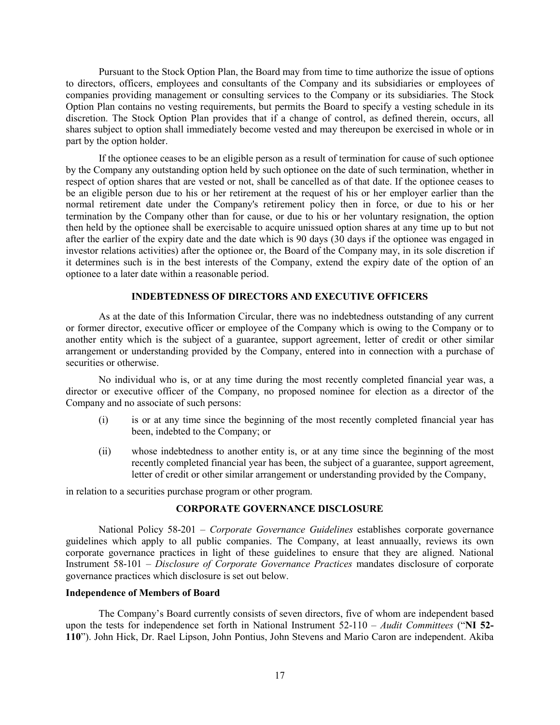Pursuant to the Stock Option Plan, the Board may from time to time authorize the issue of options to directors, officers, employees and consultants of the Company and its subsidiaries or employees of companies providing management or consulting services to the Company or its subsidiaries. The Stock Option Plan contains no vesting requirements, but permits the Board to specify a vesting schedule in its discretion. The Stock Option Plan provides that if a change of control, as defined therein, occurs, all shares subject to option shall immediately become vested and may thereupon be exercised in whole or in part by the option holder.

If the optionee ceases to be an eligible person as a result of termination for cause of such optionee by the Company any outstanding option held by such optionee on the date of such termination, whether in respect of option shares that are vested or not, shall be cancelled as of that date. If the optionee ceases to be an eligible person due to his or her retirement at the request of his or her employer earlier than the normal retirement date under the Company's retirement policy then in force, or due to his or her termination by the Company other than for cause, or due to his or her voluntary resignation, the option then held by the optionee shall be exercisable to acquire unissued option shares at any time up to but not after the earlier of the expiry date and the date which is 90 days (30 days if the optionee was engaged in investor relations activities) after the optionee or, the Board of the Company may, in its sole discretion if it determines such is in the best interests of the Company, extend the expiry date of the option of an optionee to a later date within a reasonable period.

## **INDEBTEDNESS OF DIRECTORS AND EXECUTIVE OFFICERS**

As at the date of this Information Circular, there was no indebtedness outstanding of any current or former director, executive officer or employee of the Company which is owing to the Company or to another entity which is the subject of a guarantee, support agreement, letter of credit or other similar arrangement or understanding provided by the Company, entered into in connection with a purchase of securities or otherwise.

No individual who is, or at any time during the most recently completed financial year was, a director or executive officer of the Company, no proposed nominee for election as a director of the Company and no associate of such persons:

- (i) is or at any time since the beginning of the most recently completed financial year has been, indebted to the Company; or
- (ii) whose indebtedness to another entity is, or at any time since the beginning of the most recently completed financial year has been, the subject of a guarantee, support agreement, letter of credit or other similar arrangement or understanding provided by the Company,

in relation to a securities purchase program or other program.

## **CORPORATE GOVERNANCE DISCLOSURE**

National Policy 58-201 – *Corporate Governance Guidelines* establishes corporate governance guidelines which apply to all public companies. The Company, at least annuaally, reviews its own corporate governance practices in light of these guidelines to ensure that they are aligned. National Instrument 58-101 – *Disclosure of Corporate Governance Practices* mandates disclosure of corporate governance practices which disclosure is set out below.

#### **Independence of Members of Board**

The Company's Board currently consists of seven directors, five of whom are independent based upon the tests for independence set forth in National Instrument 52-110 – *Audit Committees* ("**NI 52- 110**"). John Hick, Dr. Rael Lipson, John Pontius, John Stevens and Mario Caron are independent. Akiba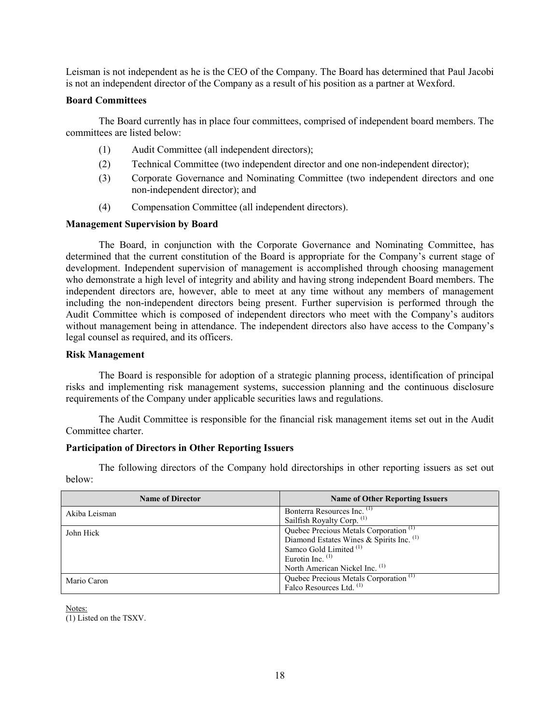Leisman is not independent as he is the CEO of the Company. The Board has determined that Paul Jacobi is not an independent director of the Company as a result of his position as a partner at Wexford.

## **Board Committees**

The Board currently has in place four committees, comprised of independent board members. The committees are listed below:

- (1) Audit Committee (all independent directors);
- (2) Technical Committee (two independent director and one non-independent director);
- (3) Corporate Governance and Nominating Committee (two independent directors and one non-independent director); and
- (4) Compensation Committee (all independent directors).

## **Management Supervision by Board**

The Board, in conjunction with the Corporate Governance and Nominating Committee, has determined that the current constitution of the Board is appropriate for the Company's current stage of development. Independent supervision of management is accomplished through choosing management who demonstrate a high level of integrity and ability and having strong independent Board members. The independent directors are, however, able to meet at any time without any members of management including the non-independent directors being present. Further supervision is performed through the Audit Committee which is composed of independent directors who meet with the Company's auditors without management being in attendance. The independent directors also have access to the Company's legal counsel as required, and its officers.

## **Risk Management**

The Board is responsible for adoption of a strategic planning process, identification of principal risks and implementing risk management systems, succession planning and the continuous disclosure requirements of the Company under applicable securities laws and regulations.

The Audit Committee is responsible for the financial risk management items set out in the Audit Committee charter.

## **Participation of Directors in Other Reporting Issuers**

The following directors of the Company hold directorships in other reporting issuers as set out below:

| <b>Name of Director</b> | <b>Name of Other Reporting Issuers</b>            |
|-------------------------|---------------------------------------------------|
| Akiba Leisman           | Bonterra Resources Inc. <sup>(1)</sup>            |
|                         | Sailfish Royalty Corp. (1)                        |
| John Hick               | Quebec Precious Metals Corporation <sup>(1)</sup> |
|                         | Diamond Estates Wines & Spirits Inc. (1)          |
|                         | Samco Gold Limited <sup>(1)</sup>                 |
|                         | Eurotin Inc. $(1)$                                |
|                         | North American Nickel Inc. <sup>(1)</sup>         |
| Mario Caron             | Quebec Precious Metals Corporation <sup>(1)</sup> |
|                         | Falco Resources Ltd. (1)                          |

Notes:

(1) Listed on the TSXV.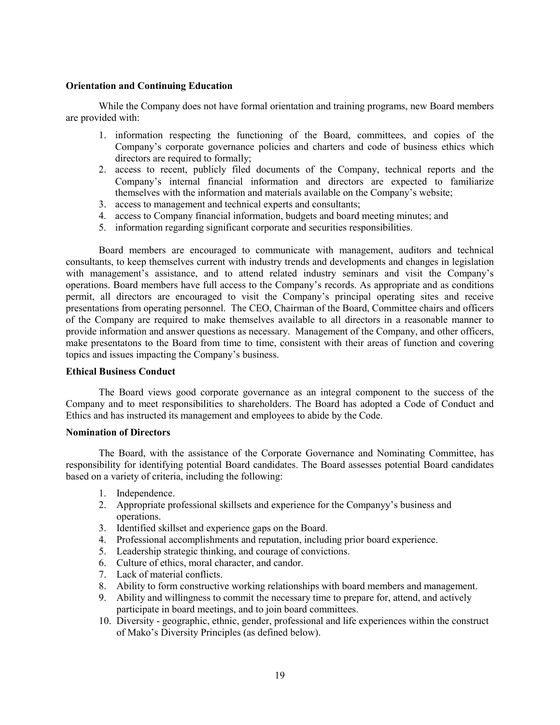## **Orientation and Continuing Education**

While the Company does not have formal orientation and training programs, new Board members are provided with:

- 1. information respecting the functioning of the Board, committees, and copies of the Company's corporate governance policies and charters and code of business ethics which directors are required to formally;
- 2. access to recent, publicly filed documents of the Company, technical reports and the Company's internal financial information and directors are expected to familiarize themselves with the information and materials available on the Company's website;
- 3. access to management and technical experts and consultants;
- 4. access to Company financial information, budgets and board meeting minutes; and
- 5. information regarding significant corporate and securities responsibilities.

Board members are encouraged to communicate with management, auditors and technical consultants, to keep themselves current with industry trends and developments and changes in legislation with management's assistance, and to attend related industry seminars and visit the Company's operations. Board members have full access to the Company's records. As appropriate and as conditions permit, all directors are encouraged to visit the Company's principal operating sites and receive presentations from operating personnel. The CEO, Chairman of the Board, Committee chairs and officers of the Company are required to make themselves available to all directors in a reasonable manner to provide information and answer questions as necessary. Management of the Company, and other officers, make presentatons to the Board from time to time, consistent with their areas of function and covering topics and issues impacting the Company's business.

#### **Ethical Business Conduct**

The Board views good corporate governance as an integral component to the success of the Company and to meet responsibilities to shareholders. The Board has adopted a Code of Conduct and Ethics and has instructed its management and employees to abide by the Code.

## **Nomination of Directors**

The Board, with the assistance of the Corporate Governance and Nominating Committee, has responsibility for identifying potential Board candidates. The Board assesses potential Board candidates based on a variety of criteria, including the following:

- 1. Independence.
- 2. Appropriate professional skillsets and experience for the Companyy's business and operations.
- 3. Identified skillset and experience gaps on the Board.
- 4. Professional accomplishments and reputation, including prior board experience.
- 5. Leadership strategic thinking, and courage of convictions.
- 6. Culture of ethics, moral character, and candor.
- 7. Lack of material conflicts.
- 8. Ability to form constructive working relationships with board members and management.
- 9. Ability and willingness to commit the necessary time to prepare for, attend, and actively participate in board meetings, and to join board committees.
- 10. Diversity geographic, ethnic, gender, professional and life experiences within the construct of Mako's Diversity Principles (as defined below).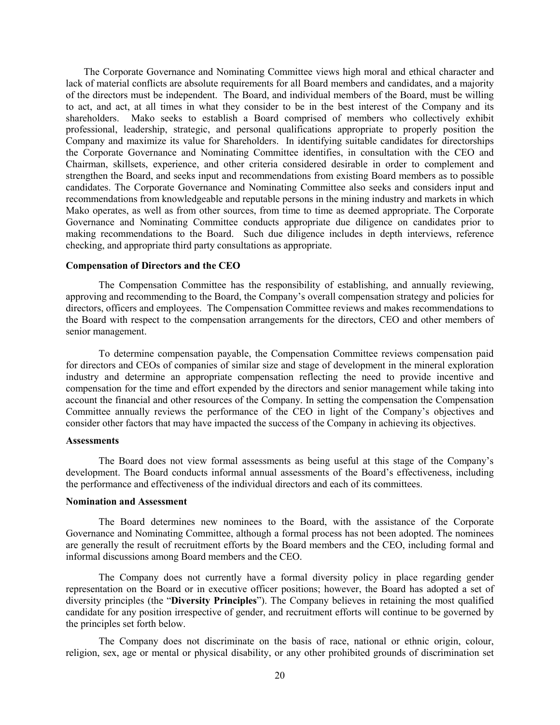The Corporate Governance and Nominating Committee views high moral and ethical character and lack of material conflicts are absolute requirements for all Board members and candidates, and a majority of the directors must be independent. The Board, and individual members of the Board, must be willing to act, and act, at all times in what they consider to be in the best interest of the Company and its shareholders. Mako seeks to establish a Board comprised of members who collectively exhibit professional, leadership, strategic, and personal qualifications appropriate to properly position the Company and maximize its value for Shareholders. In identifying suitable candidates for directorships the Corporate Governance and Nominating Committee identifies, in consultation with the CEO and Chairman, skillsets, experience, and other criteria considered desirable in order to complement and strengthen the Board, and seeks input and recommendations from existing Board members as to possible candidates. The Corporate Governance and Nominating Committee also seeks and considers input and recommendations from knowledgeable and reputable persons in the mining industry and markets in which Mako operates, as well as from other sources, from time to time as deemed appropriate. The Corporate Governance and Nominating Committee conducts appropriate due diligence on candidates prior to making recommendations to the Board. Such due diligence includes in depth interviews, reference checking, and appropriate third party consultations as appropriate.

#### **Compensation of Directors and the CEO**

The Compensation Committee has the responsibility of establishing, and annually reviewing, approving and recommending to the Board, the Company's overall compensation strategy and policies for directors, officers and employees. The Compensation Committee reviews and makes recommendations to the Board with respect to the compensation arrangements for the directors, CEO and other members of senior management.

To determine compensation payable, the Compensation Committee reviews compensation paid for directors and CEOs of companies of similar size and stage of development in the mineral exploration industry and determine an appropriate compensation reflecting the need to provide incentive and compensation for the time and effort expended by the directors and senior management while taking into account the financial and other resources of the Company. In setting the compensation the Compensation Committee annually reviews the performance of the CEO in light of the Company's objectives and consider other factors that may have impacted the success of the Company in achieving its objectives.

#### **Assessments**

The Board does not view formal assessments as being useful at this stage of the Company's development. The Board conducts informal annual assessments of the Board's effectiveness, including the performance and effectiveness of the individual directors and each of its committees.

#### **Nomination and Assessment**

The Board determines new nominees to the Board, with the assistance of the Corporate Governance and Nominating Committee, although a formal process has not been adopted. The nominees are generally the result of recruitment efforts by the Board members and the CEO, including formal and informal discussions among Board members and the CEO.

The Company does not currently have a formal diversity policy in place regarding gender representation on the Board or in executive officer positions; however, the Board has adopted a set of diversity principles (the "**Diversity Principles**"). The Company believes in retaining the most qualified candidate for any position irrespective of gender, and recruitment efforts will continue to be governed by the principles set forth below.

The Company does not discriminate on the basis of race, national or ethnic origin, colour, religion, sex, age or mental or physical disability, or any other prohibited grounds of discrimination set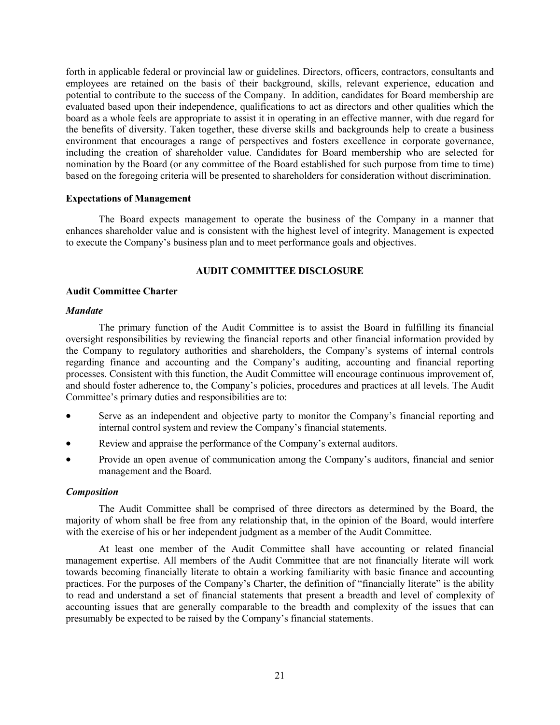forth in applicable federal or provincial law or guidelines. Directors, officers, contractors, consultants and employees are retained on the basis of their background, skills, relevant experience, education and potential to contribute to the success of the Company. In addition, candidates for Board membership are evaluated based upon their independence, qualifications to act as directors and other qualities which the board as a whole feels are appropriate to assist it in operating in an effective manner, with due regard for the benefits of diversity. Taken together, these diverse skills and backgrounds help to create a business environment that encourages a range of perspectives and fosters excellence in corporate governance, including the creation of shareholder value. Candidates for Board membership who are selected for nomination by the Board (or any committee of the Board established for such purpose from time to time) based on the foregoing criteria will be presented to shareholders for consideration without discrimination.

#### **Expectations of Management**

The Board expects management to operate the business of the Company in a manner that enhances shareholder value and is consistent with the highest level of integrity. Management is expected to execute the Company's business plan and to meet performance goals and objectives.

## **AUDIT COMMITTEE DISCLOSURE**

#### **Audit Committee Charter**

#### *Mandate*

The primary function of the Audit Committee is to assist the Board in fulfilling its financial oversight responsibilities by reviewing the financial reports and other financial information provided by the Company to regulatory authorities and shareholders, the Company's systems of internal controls regarding finance and accounting and the Company's auditing, accounting and financial reporting processes. Consistent with this function, the Audit Committee will encourage continuous improvement of, and should foster adherence to, the Company's policies, procedures and practices at all levels. The Audit Committee's primary duties and responsibilities are to:

- Serve as an independent and objective party to monitor the Company's financial reporting and internal control system and review the Company's financial statements.
- Review and appraise the performance of the Company's external auditors.
- Provide an open avenue of communication among the Company's auditors, financial and senior management and the Board.

#### *Composition*

The Audit Committee shall be comprised of three directors as determined by the Board, the majority of whom shall be free from any relationship that, in the opinion of the Board, would interfere with the exercise of his or her independent judgment as a member of the Audit Committee.

At least one member of the Audit Committee shall have accounting or related financial management expertise. All members of the Audit Committee that are not financially literate will work towards becoming financially literate to obtain a working familiarity with basic finance and accounting practices. For the purposes of the Company's Charter, the definition of "financially literate" is the ability to read and understand a set of financial statements that present a breadth and level of complexity of accounting issues that are generally comparable to the breadth and complexity of the issues that can presumably be expected to be raised by the Company's financial statements.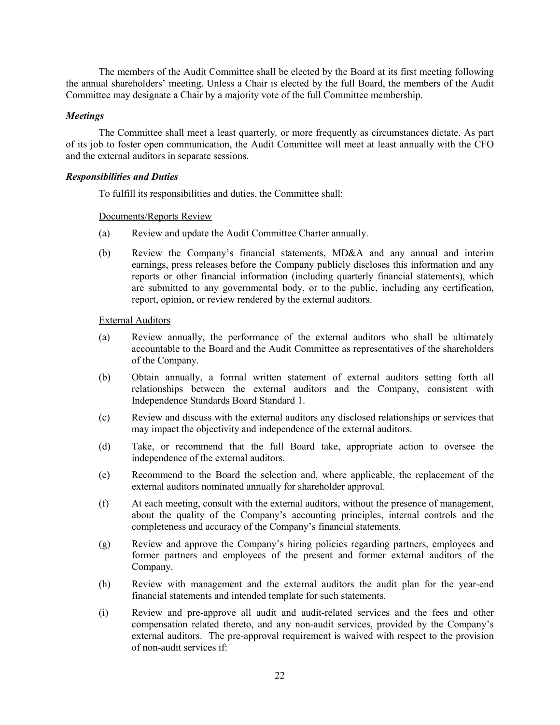The members of the Audit Committee shall be elected by the Board at its first meeting following the annual shareholders' meeting. Unless a Chair is elected by the full Board, the members of the Audit Committee may designate a Chair by a majority vote of the full Committee membership.

## *Meetings*

The Committee shall meet a least quarterly*,* or more frequently as circumstances dictate. As part of its job to foster open communication, the Audit Committee will meet at least annually with the CFO and the external auditors in separate sessions.

## *Responsibilities and Duties*

To fulfill its responsibilities and duties, the Committee shall:

## Documents/Reports Review

- (a) Review and update the Audit Committee Charter annually.
- (b) Review the Company's financial statements, MD&A and any annual and interim earnings, press releases before the Company publicly discloses this information and any reports or other financial information (including quarterly financial statements), which are submitted to any governmental body, or to the public, including any certification, report, opinion, or review rendered by the external auditors.

## External Auditors

- (a) Review annually, the performance of the external auditors who shall be ultimately accountable to the Board and the Audit Committee as representatives of the shareholders of the Company.
- (b) Obtain annually, a formal written statement of external auditors setting forth all relationships between the external auditors and the Company, consistent with Independence Standards Board Standard 1.
- (c) Review and discuss with the external auditors any disclosed relationships or services that may impact the objectivity and independence of the external auditors.
- (d) Take, or recommend that the full Board take, appropriate action to oversee the independence of the external auditors.
- (e) Recommend to the Board the selection and, where applicable, the replacement of the external auditors nominated annually for shareholder approval.
- (f) At each meeting, consult with the external auditors, without the presence of management, about the quality of the Company's accounting principles, internal controls and the completeness and accuracy of the Company's financial statements.
- (g) Review and approve the Company's hiring policies regarding partners, employees and former partners and employees of the present and former external auditors of the Company.
- (h) Review with management and the external auditors the audit plan for the year-end financial statements and intended template for such statements.
- (i) Review and pre-approve all audit and audit-related services and the fees and other compensation related thereto, and any non-audit services, provided by the Company's external auditors. The pre-approval requirement is waived with respect to the provision of non-audit services if: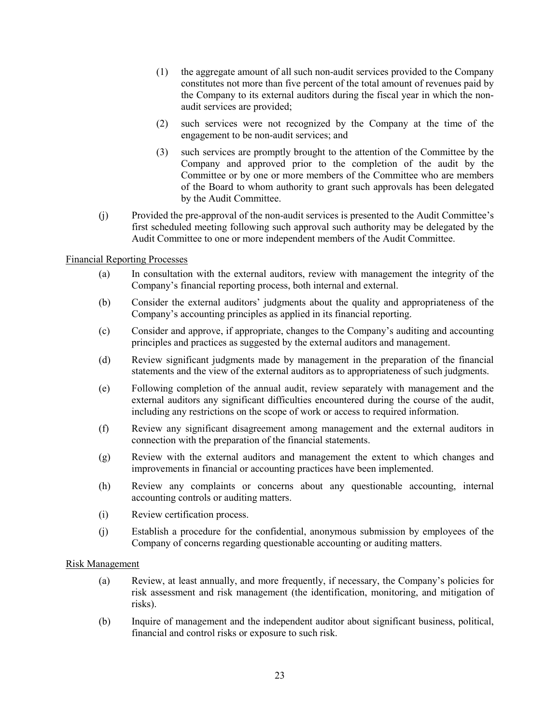- (1) the aggregate amount of all such non-audit services provided to the Company constitutes not more than five percent of the total amount of revenues paid by the Company to its external auditors during the fiscal year in which the nonaudit services are provided;
- (2) such services were not recognized by the Company at the time of the engagement to be non-audit services; and
- (3) such services are promptly brought to the attention of the Committee by the Company and approved prior to the completion of the audit by the Committee or by one or more members of the Committee who are members of the Board to whom authority to grant such approvals has been delegated by the Audit Committee.
- (j) Provided the pre-approval of the non-audit services is presented to the Audit Committee's first scheduled meeting following such approval such authority may be delegated by the Audit Committee to one or more independent members of the Audit Committee.

## Financial Reporting Processes

- (a) In consultation with the external auditors, review with management the integrity of the Company's financial reporting process, both internal and external.
- (b) Consider the external auditors' judgments about the quality and appropriateness of the Company's accounting principles as applied in its financial reporting.
- (c) Consider and approve, if appropriate, changes to the Company's auditing and accounting principles and practices as suggested by the external auditors and management.
- (d) Review significant judgments made by management in the preparation of the financial statements and the view of the external auditors as to appropriateness of such judgments.
- (e) Following completion of the annual audit, review separately with management and the external auditors any significant difficulties encountered during the course of the audit, including any restrictions on the scope of work or access to required information.
- (f) Review any significant disagreement among management and the external auditors in connection with the preparation of the financial statements.
- (g) Review with the external auditors and management the extent to which changes and improvements in financial or accounting practices have been implemented.
- (h) Review any complaints or concerns about any questionable accounting, internal accounting controls or auditing matters.
- (i) Review certification process.
- (j) Establish a procedure for the confidential, anonymous submission by employees of the Company of concerns regarding questionable accounting or auditing matters.

#### Risk Management

- (a) Review, at least annually, and more frequently, if necessary, the Company's policies for risk assessment and risk management (the identification, monitoring, and mitigation of risks).
- (b) Inquire of management and the independent auditor about significant business, political, financial and control risks or exposure to such risk.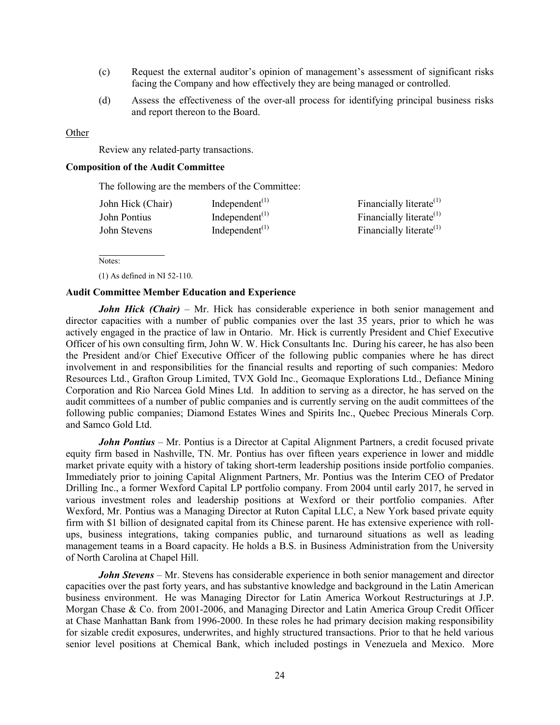- (c) Request the external auditor's opinion of management's assessment of significant risks facing the Company and how effectively they are being managed or controlled.
- (d) Assess the effectiveness of the over-all process for identifying principal business risks and report thereon to the Board.

#### **Other**

Review any related-party transactions.

#### **Composition of the Audit Committee**

The following are the members of the Committee:

| John Hick (Chair) | Independent <sup><math>(1)</math></sup> | Financially literate $(1)$          |
|-------------------|-----------------------------------------|-------------------------------------|
| John Pontius      | Independent $(1)$                       | Financially literate <sup>(1)</sup> |
| John Stevens      | Independent <sup><math>(1)</math></sup> | Financially literate <sup>(1)</sup> |

Notes:

(1) As defined in NI 52-110.

#### **Audit Committee Member Education and Experience**

*John Hick (Chair)* – Mr. Hick has considerable experience in both senior management and director capacities with a number of public companies over the last 35 years, prior to which he was actively engaged in the practice of law in Ontario. Mr. Hick is currently President and Chief Executive Officer of his own consulting firm, John W. W. Hick Consultants Inc. During his career, he has also been the President and/or Chief Executive Officer of the following public companies where he has direct involvement in and responsibilities for the financial results and reporting of such companies: Medoro Resources Ltd., Grafton Group Limited, TVX Gold Inc., Geomaque Explorations Ltd., Defiance Mining Corporation and Rio Narcea Gold Mines Ltd. In addition to serving as a director, he has served on the audit committees of a number of public companies and is currently serving on the audit committees of the following public companies; Diamond Estates Wines and Spirits Inc., Quebec Precious Minerals Corp. and Samco Gold Ltd.

*John Pontius* – Mr. Pontius is a Director at Capital Alignment Partners, a credit focused private equity firm based in Nashville, TN. Mr. Pontius has over fifteen years experience in lower and middle market private equity with a history of taking short-term leadership positions inside portfolio companies. Immediately prior to joining Capital Alignment Partners, Mr. Pontius was the Interim CEO of Predator Drilling Inc., a former Wexford Capital LP portfolio company. From 2004 until early 2017, he served in various investment roles and leadership positions at Wexford or their portfolio companies. After Wexford, Mr. Pontius was a Managing Director at Ruton Capital LLC, a New York based private equity firm with \$1 billion of designated capital from its Chinese parent. He has extensive experience with rollups, business integrations, taking companies public, and turnaround situations as well as leading management teams in a Board capacity. He holds a B.S. in Business Administration from the University of North Carolina at Chapel Hill.

*John Stevens* – Mr. Stevens has considerable experience in both senior management and director capacities over the past forty years, and has substantive knowledge and background in the Latin American business environment. He was Managing Director for Latin America Workout Restructurings at J.P. Morgan Chase & Co. from 2001-2006, and Managing Director and Latin America Group Credit Officer at Chase Manhattan Bank from 1996-2000. In these roles he had primary decision making responsibility for sizable credit exposures, underwrites, and highly structured transactions. Prior to that he held various senior level positions at Chemical Bank, which included postings in Venezuela and Mexico. More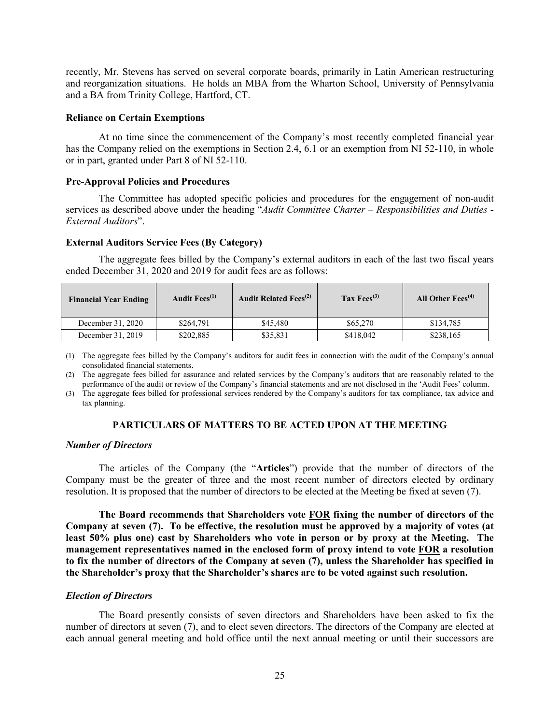recently, Mr. Stevens has served on several corporate boards, primarily in Latin American restructuring and reorganization situations. He holds an MBA from the Wharton School, University of Pennsylvania and a BA from Trinity College, Hartford, CT.

#### **Reliance on Certain Exemptions**

At no time since the commencement of the Company's most recently completed financial year has the Company relied on the exemptions in Section 2.4, 6.1 or an exemption from NI 52-110, in whole or in part, granted under Part 8 of NI 52-110.

#### **Pre-Approval Policies and Procedures**

The Committee has adopted specific policies and procedures for the engagement of non-audit services as described above under the heading "*Audit Committee Charter – Responsibilities and Duties - External Auditors*".

#### **External Auditors Service Fees (By Category)**

The aggregate fees billed by the Company's external auditors in each of the last two fiscal years ended December 31, 2020 and 2019 for audit fees are as follows:

| <b>Financial Year Ending</b> | Audit Fees <sup>(1)</sup> | <b>Audit Related Fees</b> <sup>(2)</sup> | Tax $Fess^{(3)}$ | All Other $Fees^{(4)}$ |
|------------------------------|---------------------------|------------------------------------------|------------------|------------------------|
| December 31, 2020            | \$264,791                 | \$45,480                                 | \$65,270         | \$134,785              |
| December 31, 2019            | \$202,885                 | \$35,831                                 | \$418,042        | \$238,165              |

(1) The aggregate fees billed by the Company's auditors for audit fees in connection with the audit of the Company's annual consolidated financial statements.

(2) The aggregate fees billed for assurance and related services by the Company's auditors that are reasonably related to the performance of the audit or review of the Company's financial statements and are not disclosed in the 'Audit Fees' column.

(3) The aggregate fees billed for professional services rendered by the Company's auditors for tax compliance, tax advice and tax planning.

## **PARTICULARS OF MATTERS TO BE ACTED UPON AT THE MEETING**

#### *Number of Directors*

The articles of the Company (the "**Articles**") provide that the number of directors of the Company must be the greater of three and the most recent number of directors elected by ordinary resolution. It is proposed that the number of directors to be elected at the Meeting be fixed at seven (7).

**The Board recommends that Shareholders vote FOR fixing the number of directors of the Company at seven (7). To be effective, the resolution must be approved by a majority of votes (at least 50% plus one) cast by Shareholders who vote in person or by proxy at the Meeting. The management representatives named in the enclosed form of proxy intend to vote FOR a resolution to fix the number of directors of the Company at seven (7), unless the Shareholder has specified in the Shareholder's proxy that the Shareholder's shares are to be voted against such resolution.**

#### *Election of Directors*

The Board presently consists of seven directors and Shareholders have been asked to fix the number of directors at seven (7), and to elect seven directors. The directors of the Company are elected at each annual general meeting and hold office until the next annual meeting or until their successors are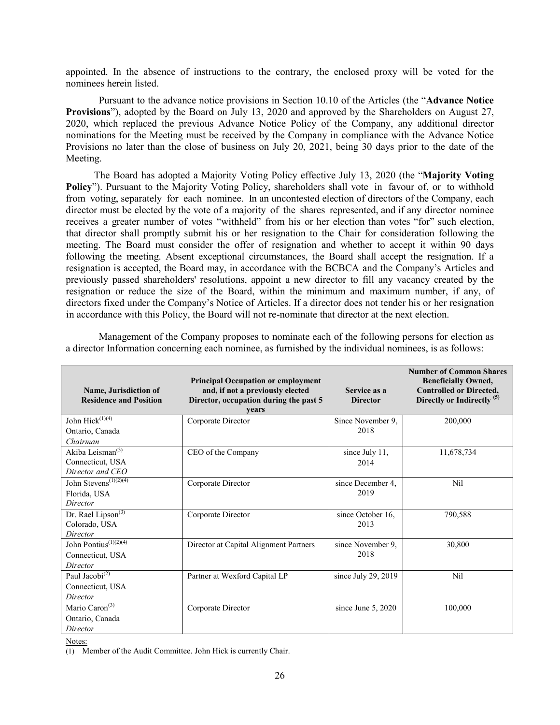appointed. In the absence of instructions to the contrary, the enclosed proxy will be voted for the nominees herein listed.

Pursuant to the advance notice provisions in Section 10.10 of the Articles (the "**Advance Notice Provisions**"), adopted by the Board on July 13, 2020 and approved by the Shareholders on August 27, 2020, which replaced the previous Advance Notice Policy of the Company, any additional director nominations for the Meeting must be received by the Company in compliance with the Advance Notice Provisions no later than the close of business on July 20, 2021, being 30 days prior to the date of the Meeting.

The Board has adopted a Majority Voting Policy effective July 13, 2020 (the "**Majority Voting Policy**"). Pursuant to the Majority Voting Policy, shareholders shall vote in favour of, or to withhold from voting, separately for each nominee. In an uncontested election of directors of the Company, each director must be elected by the vote of a majority of the shares represented, and if any director nominee receives a greater number of votes "withheld" from his or her election than votes "for" such election, that director shall promptly submit his or her resignation to the Chair for consideration following the meeting. The Board must consider the offer of resignation and whether to accept it within 90 days following the meeting. Absent exceptional circumstances, the Board shall accept the resignation. If a resignation is accepted, the Board may, in accordance with the BCBCA and the Company's Articles and previously passed shareholders' resolutions, appoint a new director to fill any vacancy created by the resignation or reduce the size of the Board, within the minimum and maximum number, if any, of directors fixed under the Company's Notice of Articles. If a director does not tender his or her resignation in accordance with this Policy, the Board will not re-nominate that director at the next election.

| Name, Jurisdiction of<br><b>Residence and Position</b>                           | <b>Principal Occupation or employment</b><br>and, if not a previously elected<br>Director, occupation during the past 5<br>vears | Service as a<br><b>Director</b> | <b>Number of Common Shares</b><br><b>Beneficially Owned,</b><br><b>Controlled or Directed,</b><br>Directly or Indirectly <sup>(5)</sup> |
|----------------------------------------------------------------------------------|----------------------------------------------------------------------------------------------------------------------------------|---------------------------------|-----------------------------------------------------------------------------------------------------------------------------------------|
| John Hick <sup>(1)(4)</sup>                                                      | Corporate Director                                                                                                               | Since November 9,               | 200,000                                                                                                                                 |
| Ontario, Canada                                                                  |                                                                                                                                  | 2018                            |                                                                                                                                         |
| Chairman<br>Akiba Leisman <sup>(3)</sup><br>Connecticut, USA<br>Director and CEO | CEO of the Company                                                                                                               | since July 11,<br>2014          | 11,678,734                                                                                                                              |
| John Stevens <sup>(1)(2)(4)</sup><br>Florida, USA<br>Director                    | Corporate Director                                                                                                               | since December 4,<br>2019       | Nil                                                                                                                                     |
| Dr. Rael Lipson <sup>(3)</sup><br>Colorado, USA<br>Director                      | Corporate Director                                                                                                               | since October 16,<br>2013       | 790,588                                                                                                                                 |
| John Pontius <sup>(1)(2)(4)</sup><br>Connecticut, USA<br>Director                | Director at Capital Alignment Partners                                                                                           | since November 9,<br>2018       | 30,800                                                                                                                                  |
| Paul Jacobi <sup>(2)</sup><br>Connecticut, USA<br>Director                       | Partner at Wexford Capital LP                                                                                                    | since July 29, 2019             | Nil                                                                                                                                     |
| Mario Caron <sup>(3)</sup><br>Ontario, Canada<br>Director                        | Corporate Director                                                                                                               | since June $5, 2020$            | 100,000                                                                                                                                 |

Management of the Company proposes to nominate each of the following persons for election as a director Information concerning each nominee, as furnished by the individual nominees, is as follows:

Notes:

(1) Member of the Audit Committee. John Hick is currently Chair.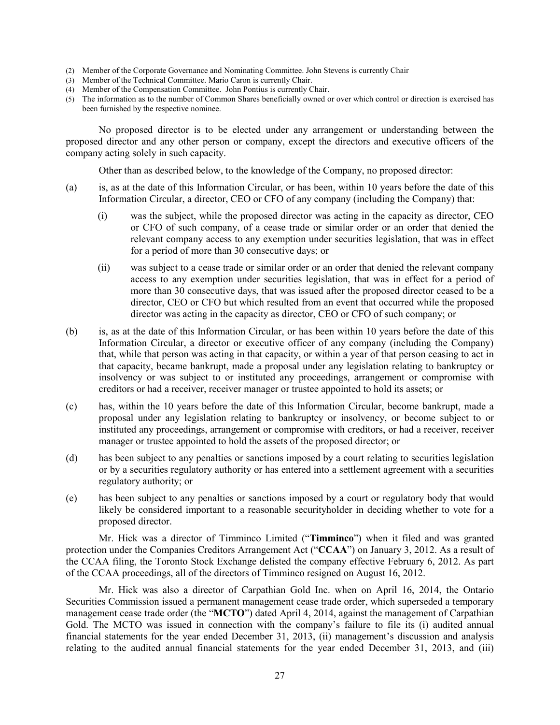- (2) Member of the Corporate Governance and Nominating Committee. John Stevens is currently Chair
- (3) Member of the Technical Committee. Mario Caron is currently Chair.
- (4) Member of the Compensation Committee. John Pontius is currently Chair.
- (5) The information as to the number of Common Shares beneficially owned or over which control or direction is exercised has been furnished by the respective nominee.

No proposed director is to be elected under any arrangement or understanding between the proposed director and any other person or company, except the directors and executive officers of the company acting solely in such capacity.

Other than as described below, to the knowledge of the Company, no proposed director:

- (a) is, as at the date of this Information Circular, or has been, within 10 years before the date of this Information Circular, a director, CEO or CFO of any company (including the Company) that:
	- (i) was the subject, while the proposed director was acting in the capacity as director, CEO or CFO of such company, of a cease trade or similar order or an order that denied the relevant company access to any exemption under securities legislation, that was in effect for a period of more than 30 consecutive days; or
	- (ii) was subject to a cease trade or similar order or an order that denied the relevant company access to any exemption under securities legislation, that was in effect for a period of more than 30 consecutive days, that was issued after the proposed director ceased to be a director, CEO or CFO but which resulted from an event that occurred while the proposed director was acting in the capacity as director, CEO or CFO of such company; or
- (b) is, as at the date of this Information Circular, or has been within 10 years before the date of this Information Circular, a director or executive officer of any company (including the Company) that, while that person was acting in that capacity, or within a year of that person ceasing to act in that capacity, became bankrupt, made a proposal under any legislation relating to bankruptcy or insolvency or was subject to or instituted any proceedings, arrangement or compromise with creditors or had a receiver, receiver manager or trustee appointed to hold its assets; or
- (c) has, within the 10 years before the date of this Information Circular, become bankrupt, made a proposal under any legislation relating to bankruptcy or insolvency, or become subject to or instituted any proceedings, arrangement or compromise with creditors, or had a receiver, receiver manager or trustee appointed to hold the assets of the proposed director; or
- (d) has been subject to any penalties or sanctions imposed by a court relating to securities legislation or by a securities regulatory authority or has entered into a settlement agreement with a securities regulatory authority; or
- (e) has been subject to any penalties or sanctions imposed by a court or regulatory body that would likely be considered important to a reasonable securityholder in deciding whether to vote for a proposed director.

Mr. Hick was a director of Timminco Limited ("**Timminco**") when it filed and was granted protection under the Companies Creditors Arrangement Act ("**CCAA**") on January 3, 2012. As a result of the CCAA filing, the Toronto Stock Exchange delisted the company effective February 6, 2012. As part of the CCAA proceedings, all of the directors of Timminco resigned on August 16, 2012.

Mr. Hick was also a director of Carpathian Gold Inc. when on April 16, 2014, the Ontario Securities Commission issued a permanent management cease trade order, which superseded a temporary management cease trade order (the "**MCTO**") dated April 4, 2014, against the management of Carpathian Gold. The MCTO was issued in connection with the company's failure to file its (i) audited annual financial statements for the year ended December 31, 2013, (ii) management's discussion and analysis relating to the audited annual financial statements for the year ended December 31, 2013, and (iii)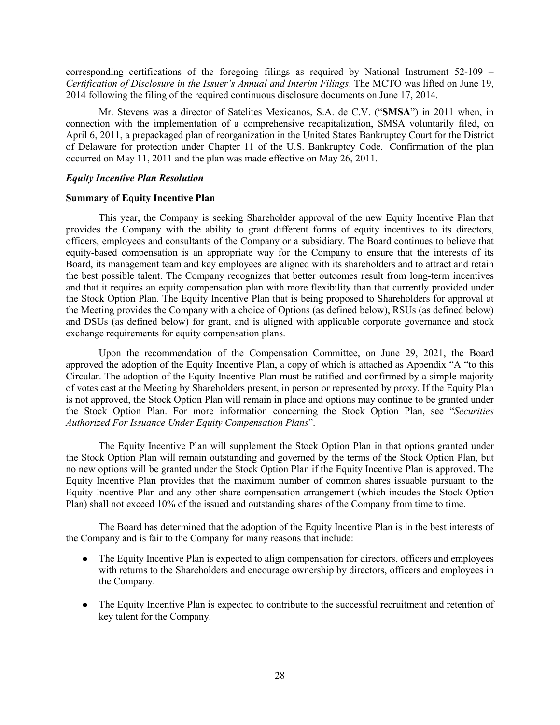corresponding certifications of the foregoing filings as required by National Instrument 52-109 – *Certification of Disclosure in the Issuer's Annual and Interim Filings*. The MCTO was lifted on June 19, 2014 following the filing of the required continuous disclosure documents on June 17, 2014.

Mr. Stevens was a director of Satelites Mexicanos, S.A. de C.V. ("**SMSA**") in 2011 when, in connection with the implementation of a comprehensive recapitalization, SMSA voluntarily filed, on April 6, 2011, a prepackaged plan of reorganization in the United States Bankruptcy Court for the District of Delaware for protection under Chapter 11 of the U.S. Bankruptcy Code. Confirmation of the plan occurred on May 11, 2011 and the plan was made effective on May 26, 2011.

### *Equity Incentive Plan Resolution*

#### **Summary of Equity Incentive Plan**

This year, the Company is seeking Shareholder approval of the new Equity Incentive Plan that provides the Company with the ability to grant different forms of equity incentives to its directors, officers, employees and consultants of the Company or a subsidiary. The Board continues to believe that equity-based compensation is an appropriate way for the Company to ensure that the interests of its Board, its management team and key employees are aligned with its shareholders and to attract and retain the best possible talent. The Company recognizes that better outcomes result from long-term incentives and that it requires an equity compensation plan with more flexibility than that currently provided under the Stock Option Plan. The Equity Incentive Plan that is being proposed to Shareholders for approval at the Meeting provides the Company with a choice of Options (as defined below), RSUs (as defined below) and DSUs (as defined below) for grant, and is aligned with applicable corporate governance and stock exchange requirements for equity compensation plans.

Upon the recommendation of the Compensation Committee, on June 29, 2021, the Board approved the adoption of the Equity Incentive Plan, a copy of which is attached as Appendix "A "to this Circular. The adoption of the Equity Incentive Plan must be ratified and confirmed by a simple majority of votes cast at the Meeting by Shareholders present, in person or represented by proxy. If the Equity Plan is not approved, the Stock Option Plan will remain in place and options may continue to be granted under the Stock Option Plan. For more information concerning the Stock Option Plan, see "*Securities Authorized For Issuance Under Equity Compensation Plans*".

The Equity Incentive Plan will supplement the Stock Option Plan in that options granted under the Stock Option Plan will remain outstanding and governed by the terms of the Stock Option Plan, but no new options will be granted under the Stock Option Plan if the Equity Incentive Plan is approved. The Equity Incentive Plan provides that the maximum number of common shares issuable pursuant to the Equity Incentive Plan and any other share compensation arrangement (which incudes the Stock Option Plan) shall not exceed 10% of the issued and outstanding shares of the Company from time to time.

The Board has determined that the adoption of the Equity Incentive Plan is in the best interests of the Company and is fair to the Company for many reasons that include:

- The Equity Incentive Plan is expected to align compensation for directors, officers and employees with returns to the Shareholders and encourage ownership by directors, officers and employees in the Company.
- The Equity Incentive Plan is expected to contribute to the successful recruitment and retention of key talent for the Company.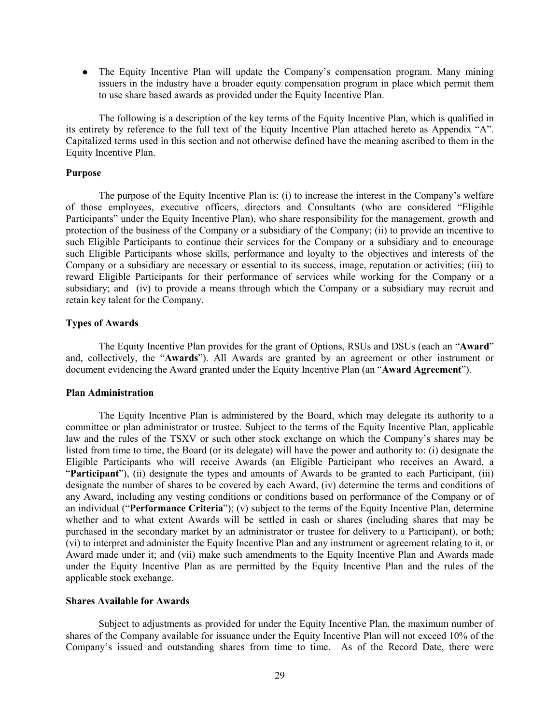• The Equity Incentive Plan will update the Company's compensation program. Many mining issuers in the industry have a broader equity compensation program in place which permit them to use share based awards as provided under the Equity Incentive Plan.

The following is a description of the key terms of the Equity Incentive Plan, which is qualified in its entirety by reference to the full text of the Equity Incentive Plan attached hereto as Appendix "A". Capitalized terms used in this section and not otherwise defined have the meaning ascribed to them in the Equity Incentive Plan.

#### **Purpose**

The purpose of the Equity Incentive Plan is: (i) to increase the interest in the Company's welfare of those employees, executive officers, directors and Consultants (who are considered "Eligible Participants" under the Equity Incentive Plan), who share responsibility for the management, growth and protection of the business of the Company or a subsidiary of the Company; (ii) to provide an incentive to such Eligible Participants to continue their services for the Company or a subsidiary and to encourage such Eligible Participants whose skills, performance and loyalty to the objectives and interests of the Company or a subsidiary are necessary or essential to its success, image, reputation or activities; (iii) to reward Eligible Participants for their performance of services while working for the Company or a subsidiary; and (iv) to provide a means through which the Company or a subsidiary may recruit and retain key talent for the Company.

#### **Types of Awards**

The Equity Incentive Plan provides for the grant of Options, RSUs and DSUs (each an "**Award**" and, collectively, the "**Awards**"). All Awards are granted by an agreement or other instrument or document evidencing the Award granted under the Equity Incentive Plan (an "**Award Agreement**").

## **Plan Administration**

The Equity Incentive Plan is administered by the Board, which may delegate its authority to a committee or plan administrator or trustee. Subject to the terms of the Equity Incentive Plan, applicable law and the rules of the TSXV or such other stock exchange on which the Company's shares may be listed from time to time, the Board (or its delegate) will have the power and authority to: (i) designate the Eligible Participants who will receive Awards (an Eligible Participant who receives an Award, a "**Participant**"), (ii) designate the types and amounts of Awards to be granted to each Participant, (iii) designate the number of shares to be covered by each Award, (iv) determine the terms and conditions of any Award, including any vesting conditions or conditions based on performance of the Company or of an individual ("**Performance Criteria**"); (v) subject to the terms of the Equity Incentive Plan, determine whether and to what extent Awards will be settled in cash or shares (including shares that may be purchased in the secondary market by an administrator or trustee for delivery to a Participant), or both; (vi) to interpret and administer the Equity Incentive Plan and any instrument or agreement relating to it, or Award made under it; and (vii) make such amendments to the Equity Incentive Plan and Awards made under the Equity Incentive Plan as are permitted by the Equity Incentive Plan and the rules of the applicable stock exchange.

### **Shares Available for Awards**

Subject to adjustments as provided for under the Equity Incentive Plan, the maximum number of shares of the Company available for issuance under the Equity Incentive Plan will not exceed 10% of the Company's issued and outstanding shares from time to time. As of the Record Date, there were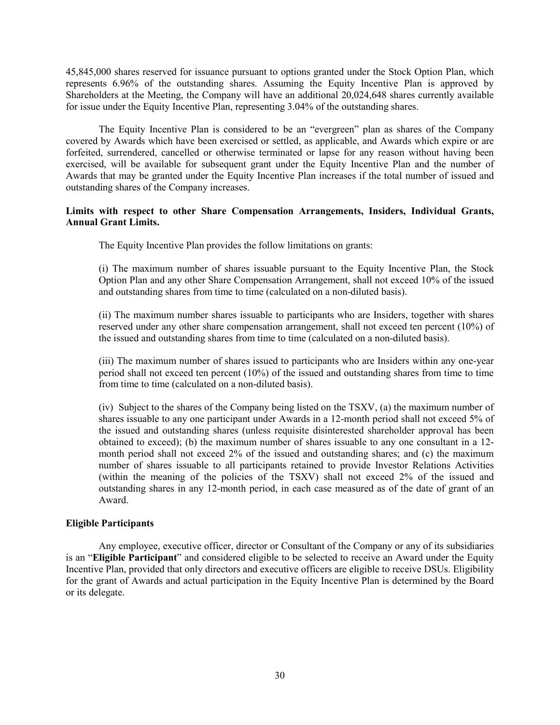45,845,000 shares reserved for issuance pursuant to options granted under the Stock Option Plan, which represents 6.96% of the outstanding shares. Assuming the Equity Incentive Plan is approved by Shareholders at the Meeting, the Company will have an additional 20,024,648 shares currently available for issue under the Equity Incentive Plan, representing 3.04% of the outstanding shares.

The Equity Incentive Plan is considered to be an "evergreen" plan as shares of the Company covered by Awards which have been exercised or settled, as applicable, and Awards which expire or are forfeited, surrendered, cancelled or otherwise terminated or lapse for any reason without having been exercised, will be available for subsequent grant under the Equity Incentive Plan and the number of Awards that may be granted under the Equity Incentive Plan increases if the total number of issued and outstanding shares of the Company increases.

## **Limits with respect to other Share Compensation Arrangements, Insiders, Individual Grants, Annual Grant Limits.**

The Equity Incentive Plan provides the follow limitations on grants:

(i) The maximum number of shares issuable pursuant to the Equity Incentive Plan, the Stock Option Plan and any other Share Compensation Arrangement, shall not exceed 10% of the issued and outstanding shares from time to time (calculated on a non-diluted basis).

(ii) The maximum number shares issuable to participants who are Insiders, together with shares reserved under any other share compensation arrangement, shall not exceed ten percent (10%) of the issued and outstanding shares from time to time (calculated on a non-diluted basis).

(iii) The maximum number of shares issued to participants who are Insiders within any one-year period shall not exceed ten percent (10%) of the issued and outstanding shares from time to time from time to time (calculated on a non-diluted basis).

(iv) Subject to the shares of the Company being listed on the TSXV, (a) the maximum number of shares issuable to any one participant under Awards in a 12-month period shall not exceed 5% of the issued and outstanding shares (unless requisite disinterested shareholder approval has been obtained to exceed); (b) the maximum number of shares issuable to any one consultant in a 12 month period shall not exceed 2% of the issued and outstanding shares; and (c) the maximum number of shares issuable to all participants retained to provide Investor Relations Activities (within the meaning of the policies of the TSXV) shall not exceed 2% of the issued and outstanding shares in any 12-month period, in each case measured as of the date of grant of an Award.

## **Eligible Participants**

Any employee, executive officer, director or Consultant of the Company or any of its subsidiaries is an "**Eligible Participant**" and considered eligible to be selected to receive an Award under the Equity Incentive Plan, provided that only directors and executive officers are eligible to receive DSUs. Eligibility for the grant of Awards and actual participation in the Equity Incentive Plan is determined by the Board or its delegate.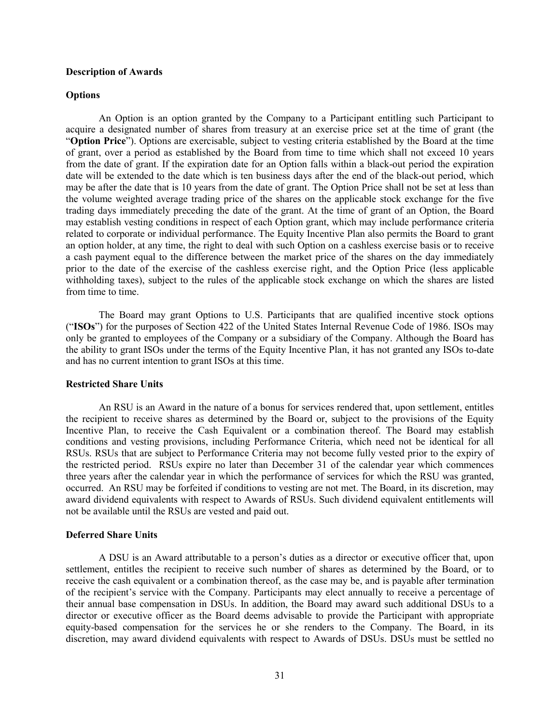#### **Description of Awards**

### **Options**

An Option is an option granted by the Company to a Participant entitling such Participant to acquire a designated number of shares from treasury at an exercise price set at the time of grant (the "**Option Price**"). Options are exercisable, subject to vesting criteria established by the Board at the time of grant, over a period as established by the Board from time to time which shall not exceed 10 years from the date of grant. If the expiration date for an Option falls within a black-out period the expiration date will be extended to the date which is ten business days after the end of the black-out period, which may be after the date that is 10 years from the date of grant. The Option Price shall not be set at less than the volume weighted average trading price of the shares on the applicable stock exchange for the five trading days immediately preceding the date of the grant. At the time of grant of an Option, the Board may establish vesting conditions in respect of each Option grant, which may include performance criteria related to corporate or individual performance. The Equity Incentive Plan also permits the Board to grant an option holder, at any time, the right to deal with such Option on a cashless exercise basis or to receive a cash payment equal to the difference between the market price of the shares on the day immediately prior to the date of the exercise of the cashless exercise right, and the Option Price (less applicable withholding taxes), subject to the rules of the applicable stock exchange on which the shares are listed from time to time.

The Board may grant Options to U.S. Participants that are qualified incentive stock options ("**ISOs**") for the purposes of Section 422 of the United States Internal Revenue Code of 1986. ISOs may only be granted to employees of the Company or a subsidiary of the Company. Although the Board has the ability to grant ISOs under the terms of the Equity Incentive Plan, it has not granted any ISOs to-date and has no current intention to grant ISOs at this time.

#### **Restricted Share Units**

An RSU is an Award in the nature of a bonus for services rendered that, upon settlement, entitles the recipient to receive shares as determined by the Board or, subject to the provisions of the Equity Incentive Plan, to receive the Cash Equivalent or a combination thereof. The Board may establish conditions and vesting provisions, including Performance Criteria, which need not be identical for all RSUs. RSUs that are subject to Performance Criteria may not become fully vested prior to the expiry of the restricted period. RSUs expire no later than December 31 of the calendar year which commences three years after the calendar year in which the performance of services for which the RSU was granted, occurred. An RSU may be forfeited if conditions to vesting are not met. The Board, in its discretion, may award dividend equivalents with respect to Awards of RSUs. Such dividend equivalent entitlements will not be available until the RSUs are vested and paid out.

## **Deferred Share Units**

A DSU is an Award attributable to a person's duties as a director or executive officer that, upon settlement, entitles the recipient to receive such number of shares as determined by the Board, or to receive the cash equivalent or a combination thereof, as the case may be, and is payable after termination of the recipient's service with the Company. Participants may elect annually to receive a percentage of their annual base compensation in DSUs. In addition, the Board may award such additional DSUs to a director or executive officer as the Board deems advisable to provide the Participant with appropriate equity-based compensation for the services he or she renders to the Company. The Board, in its discretion, may award dividend equivalents with respect to Awards of DSUs. DSUs must be settled no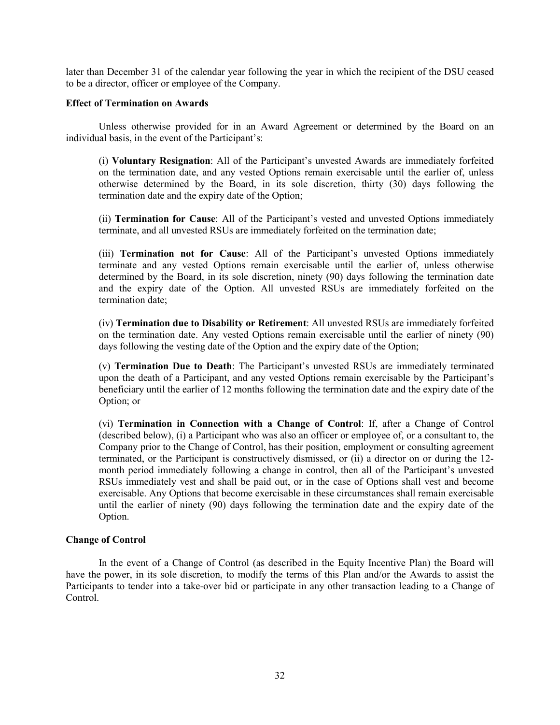later than December 31 of the calendar year following the year in which the recipient of the DSU ceased to be a director, officer or employee of the Company.

## **Effect of Termination on Awards**

Unless otherwise provided for in an Award Agreement or determined by the Board on an individual basis, in the event of the Participant's:

(i) **Voluntary Resignation**: All of the Participant's unvested Awards are immediately forfeited on the termination date, and any vested Options remain exercisable until the earlier of, unless otherwise determined by the Board, in its sole discretion, thirty (30) days following the termination date and the expiry date of the Option;

(ii) **Termination for Cause**: All of the Participant's vested and unvested Options immediately terminate, and all unvested RSUs are immediately forfeited on the termination date;

(iii) **Termination not for Cause**: All of the Participant's unvested Options immediately terminate and any vested Options remain exercisable until the earlier of, unless otherwise determined by the Board, in its sole discretion, ninety (90) days following the termination date and the expiry date of the Option. All unvested RSUs are immediately forfeited on the termination date;

(iv) **Termination due to Disability or Retirement**: All unvested RSUs are immediately forfeited on the termination date. Any vested Options remain exercisable until the earlier of ninety (90) days following the vesting date of the Option and the expiry date of the Option;

(v) **Termination Due to Death**: The Participant's unvested RSUs are immediately terminated upon the death of a Participant, and any vested Options remain exercisable by the Participant's beneficiary until the earlier of 12 months following the termination date and the expiry date of the Option; or

(vi) **Termination in Connection with a Change of Control**: If, after a Change of Control (described below), (i) a Participant who was also an officer or employee of, or a consultant to, the Company prior to the Change of Control, has their position, employment or consulting agreement terminated, or the Participant is constructively dismissed, or (ii) a director on or during the 12 month period immediately following a change in control, then all of the Participant's unvested RSUs immediately vest and shall be paid out, or in the case of Options shall vest and become exercisable. Any Options that become exercisable in these circumstances shall remain exercisable until the earlier of ninety (90) days following the termination date and the expiry date of the Option.

## **Change of Control**

In the event of a Change of Control (as described in the Equity Incentive Plan) the Board will have the power, in its sole discretion, to modify the terms of this Plan and/or the Awards to assist the Participants to tender into a take-over bid or participate in any other transaction leading to a Change of Control.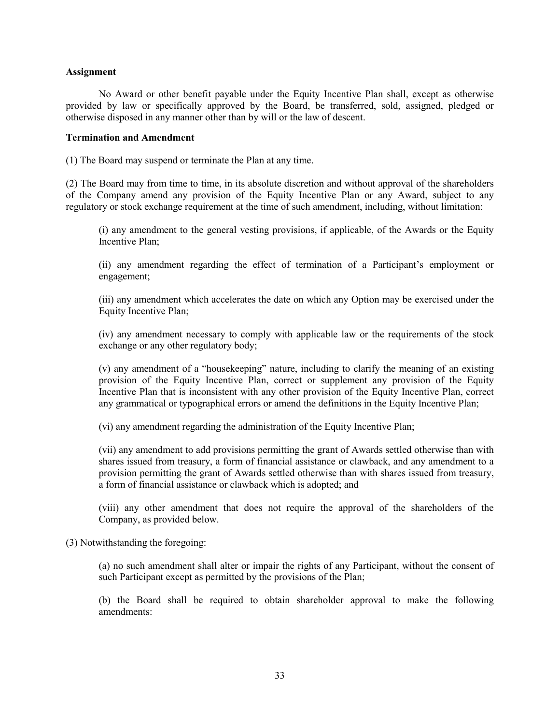#### **Assignment**

No Award or other benefit payable under the Equity Incentive Plan shall, except as otherwise provided by law or specifically approved by the Board, be transferred, sold, assigned, pledged or otherwise disposed in any manner other than by will or the law of descent.

## **Termination and Amendment**

(1) The Board may suspend or terminate the Plan at any time.

(2) The Board may from time to time, in its absolute discretion and without approval of the shareholders of the Company amend any provision of the Equity Incentive Plan or any Award, subject to any regulatory or stock exchange requirement at the time of such amendment, including, without limitation:

(i) any amendment to the general vesting provisions, if applicable, of the Awards or the Equity Incentive Plan;

(ii) any amendment regarding the effect of termination of a Participant's employment or engagement;

(iii) any amendment which accelerates the date on which any Option may be exercised under the Equity Incentive Plan;

(iv) any amendment necessary to comply with applicable law or the requirements of the stock exchange or any other regulatory body;

(v) any amendment of a "housekeeping" nature, including to clarify the meaning of an existing provision of the Equity Incentive Plan, correct or supplement any provision of the Equity Incentive Plan that is inconsistent with any other provision of the Equity Incentive Plan, correct any grammatical or typographical errors or amend the definitions in the Equity Incentive Plan;

(vi) any amendment regarding the administration of the Equity Incentive Plan;

(vii) any amendment to add provisions permitting the grant of Awards settled otherwise than with shares issued from treasury, a form of financial assistance or clawback, and any amendment to a provision permitting the grant of Awards settled otherwise than with shares issued from treasury, a form of financial assistance or clawback which is adopted; and

(viii) any other amendment that does not require the approval of the shareholders of the Company, as provided below.

(3) Notwithstanding the foregoing:

(a) no such amendment shall alter or impair the rights of any Participant, without the consent of such Participant except as permitted by the provisions of the Plan;

(b) the Board shall be required to obtain shareholder approval to make the following amendments: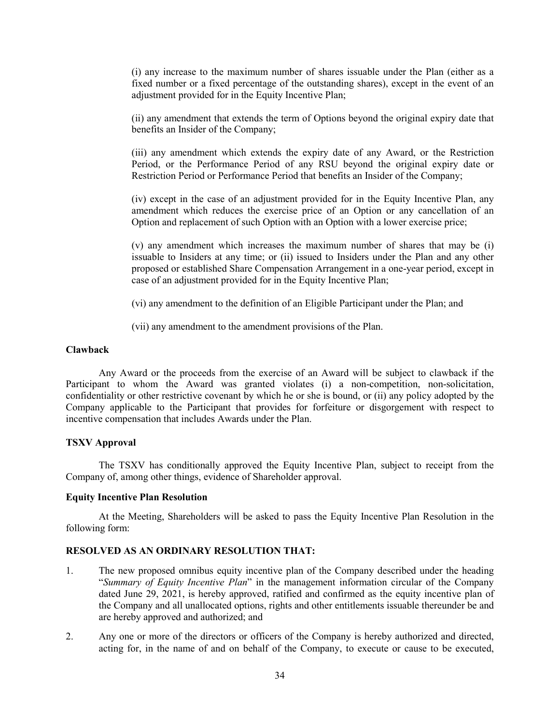(i) any increase to the maximum number of shares issuable under the Plan (either as a fixed number or a fixed percentage of the outstanding shares), except in the event of an adjustment provided for in the Equity Incentive Plan;

(ii) any amendment that extends the term of Options beyond the original expiry date that benefits an Insider of the Company;

(iii) any amendment which extends the expiry date of any Award, or the Restriction Period, or the Performance Period of any RSU beyond the original expiry date or Restriction Period or Performance Period that benefits an Insider of the Company;

(iv) except in the case of an adjustment provided for in the Equity Incentive Plan, any amendment which reduces the exercise price of an Option or any cancellation of an Option and replacement of such Option with an Option with a lower exercise price;

(v) any amendment which increases the maximum number of shares that may be (i) issuable to Insiders at any time; or (ii) issued to Insiders under the Plan and any other proposed or established Share Compensation Arrangement in a one-year period, except in case of an adjustment provided for in the Equity Incentive Plan;

(vi) any amendment to the definition of an Eligible Participant under the Plan; and

(vii) any amendment to the amendment provisions of the Plan.

## **Clawback**

Any Award or the proceeds from the exercise of an Award will be subject to clawback if the Participant to whom the Award was granted violates (i) a non-competition, non-solicitation, confidentiality or other restrictive covenant by which he or she is bound, or (ii) any policy adopted by the Company applicable to the Participant that provides for forfeiture or disgorgement with respect to incentive compensation that includes Awards under the Plan.

#### **TSXV Approval**

The TSXV has conditionally approved the Equity Incentive Plan, subject to receipt from the Company of, among other things, evidence of Shareholder approval.

#### **Equity Incentive Plan Resolution**

At the Meeting, Shareholders will be asked to pass the Equity Incentive Plan Resolution in the following form:

## **RESOLVED AS AN ORDINARY RESOLUTION THAT:**

- 1. The new proposed omnibus equity incentive plan of the Company described under the heading "*Summary of Equity Incentive Plan*" in the management information circular of the Company dated June 29, 2021, is hereby approved, ratified and confirmed as the equity incentive plan of the Company and all unallocated options, rights and other entitlements issuable thereunder be and are hereby approved and authorized; and
- 2. Any one or more of the directors or officers of the Company is hereby authorized and directed, acting for, in the name of and on behalf of the Company, to execute or cause to be executed,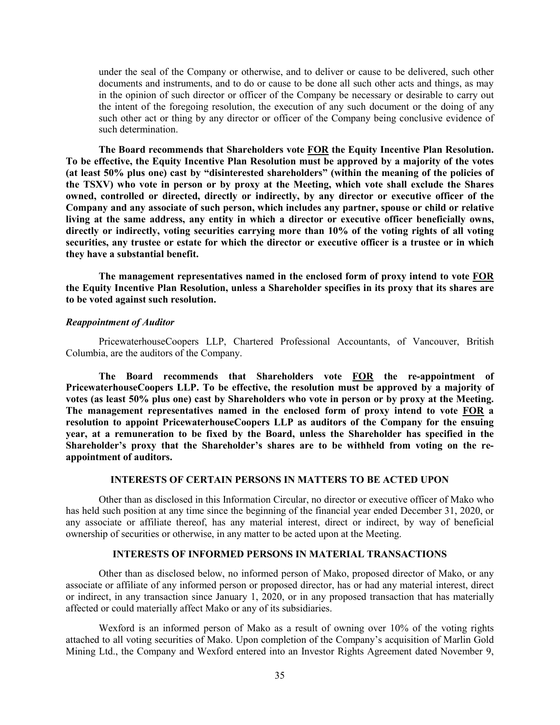under the seal of the Company or otherwise, and to deliver or cause to be delivered, such other documents and instruments, and to do or cause to be done all such other acts and things, as may in the opinion of such director or officer of the Company be necessary or desirable to carry out the intent of the foregoing resolution, the execution of any such document or the doing of any such other act or thing by any director or officer of the Company being conclusive evidence of such determination.

**The Board recommends that Shareholders vote FOR the Equity Incentive Plan Resolution. To be effective, the Equity Incentive Plan Resolution must be approved by a majority of the votes (at least 50% plus one) cast by "disinterested shareholders" (within the meaning of the policies of the TSXV) who vote in person or by proxy at the Meeting, which vote shall exclude the Shares owned, controlled or directed, directly or indirectly, by any director or executive officer of the Company and any associate of such person, which includes any partner, spouse or child or relative living at the same address, any entity in which a director or executive officer beneficially owns, directly or indirectly, voting securities carrying more than 10% of the voting rights of all voting securities, any trustee or estate for which the director or executive officer is a trustee or in which they have a substantial benefit.** 

**The management representatives named in the enclosed form of proxy intend to vote FOR the Equity Incentive Plan Resolution, unless a Shareholder specifies in its proxy that its shares are to be voted against such resolution.**

#### *Reappointment of Auditor*

PricewaterhouseCoopers LLP, Chartered Professional Accountants, of Vancouver, British Columbia, are the auditors of the Company.

**The Board recommends that Shareholders vote FOR the re-appointment of PricewaterhouseCoopers LLP. To be effective, the resolution must be approved by a majority of votes (as least 50% plus one) cast by Shareholders who vote in person or by proxy at the Meeting. The management representatives named in the enclosed form of proxy intend to vote FOR a resolution to appoint PricewaterhouseCoopers LLP as auditors of the Company for the ensuing year, at a remuneration to be fixed by the Board, unless the Shareholder has specified in the Shareholder's proxy that the Shareholder's shares are to be withheld from voting on the reappointment of auditors.**

## **INTERESTS OF CERTAIN PERSONS IN MATTERS TO BE ACTED UPON**

Other than as disclosed in this Information Circular, no director or executive officer of Mako who has held such position at any time since the beginning of the financial year ended December 31, 2020, or any associate or affiliate thereof, has any material interest, direct or indirect, by way of beneficial ownership of securities or otherwise, in any matter to be acted upon at the Meeting.

### **INTERESTS OF INFORMED PERSONS IN MATERIAL TRANSACTIONS**

Other than as disclosed below, no informed person of Mako, proposed director of Mako, or any associate or affiliate of any informed person or proposed director, has or had any material interest, direct or indirect, in any transaction since January 1, 2020, or in any proposed transaction that has materially affected or could materially affect Mako or any of its subsidiaries.

Wexford is an informed person of Mako as a result of owning over 10% of the voting rights attached to all voting securities of Mako. Upon completion of the Company's acquisition of Marlin Gold Mining Ltd., the Company and Wexford entered into an Investor Rights Agreement dated November 9,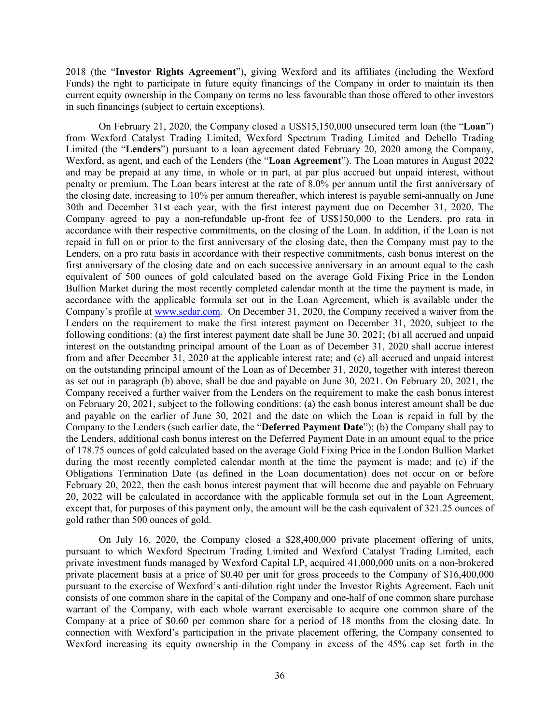2018 (the "**Investor Rights Agreement**"), giving Wexford and its affiliates (including the Wexford Funds) the right to participate in future equity financings of the Company in order to maintain its then current equity ownership in the Company on terms no less favourable than those offered to other investors in such financings (subject to certain exceptions).

On February 21, 2020, the Company closed a US\$15,150,000 unsecured term loan (the "**Loan**") from Wexford Catalyst Trading Limited, Wexford Spectrum Trading Limited and Debello Trading Limited (the "**Lenders**") pursuant to a loan agreement dated February 20, 2020 among the Company, Wexford, as agent, and each of the Lenders (the "**Loan Agreement**"). The Loan matures in August 2022 and may be prepaid at any time, in whole or in part, at par plus accrued but unpaid interest, without penalty or premium. The Loan bears interest at the rate of 8.0% per annum until the first anniversary of the closing date, increasing to 10% per annum thereafter, which interest is payable semi-annually on June 30th and December 31st each year, with the first interest payment due on December 31, 2020. The Company agreed to pay a non-refundable up-front fee of US\$150,000 to the Lenders, pro rata in accordance with their respective commitments, on the closing of the Loan. In addition, if the Loan is not repaid in full on or prior to the first anniversary of the closing date, then the Company must pay to the Lenders, on a pro rata basis in accordance with their respective commitments, cash bonus interest on the first anniversary of the closing date and on each successive anniversary in an amount equal to the cash equivalent of 500 ounces of gold calculated based on the average Gold Fixing Price in the London Bullion Market during the most recently completed calendar month at the time the payment is made, in accordance with the applicable formula set out in the Loan Agreement, which is available under the Company's profile at [www.sedar.com.](http://www.sedar.com/) On December 31, 2020, the Company received a waiver from the Lenders on the requirement to make the first interest payment on December 31, 2020, subject to the following conditions: (a) the first interest payment date shall be June 30, 2021; (b) all accrued and unpaid interest on the outstanding principal amount of the Loan as of December 31, 2020 shall accrue interest from and after December 31, 2020 at the applicable interest rate; and (c) all accrued and unpaid interest on the outstanding principal amount of the Loan as of December 31, 2020, together with interest thereon as set out in paragraph (b) above, shall be due and payable on June 30, 2021. On February 20, 2021, the Company received a further waiver from the Lenders on the requirement to make the cash bonus interest on February 20, 2021, subject to the following conditions: (a) the cash bonus interest amount shall be due and payable on the earlier of June 30, 2021 and the date on which the Loan is repaid in full by the Company to the Lenders (such earlier date, the "**Deferred Payment Date**"); (b) the Company shall pay to the Lenders, additional cash bonus interest on the Deferred Payment Date in an amount equal to the price of 178.75 ounces of gold calculated based on the average Gold Fixing Price in the London Bullion Market during the most recently completed calendar month at the time the payment is made; and (c) if the Obligations Termination Date (as defined in the Loan documentation) does not occur on or before February 20, 2022, then the cash bonus interest payment that will become due and payable on February 20, 2022 will be calculated in accordance with the applicable formula set out in the Loan Agreement, except that, for purposes of this payment only, the amount will be the cash equivalent of 321.25 ounces of gold rather than 500 ounces of gold.

On July 16, 2020, the Company closed a \$28,400,000 private placement offering of units, pursuant to which Wexford Spectrum Trading Limited and Wexford Catalyst Trading Limited, each private investment funds managed by Wexford Capital LP, acquired 41,000,000 units on a non-brokered private placement basis at a price of \$0.40 per unit for gross proceeds to the Company of \$16,400,000 pursuant to the exercise of Wexford's anti-dilution right under the Investor Rights Agreement. Each unit consists of one common share in the capital of the Company and one-half of one common share purchase warrant of the Company, with each whole warrant exercisable to acquire one common share of the Company at a price of \$0.60 per common share for a period of 18 months from the closing date. In connection with Wexford's participation in the private placement offering, the Company consented to Wexford increasing its equity ownership in the Company in excess of the 45% cap set forth in the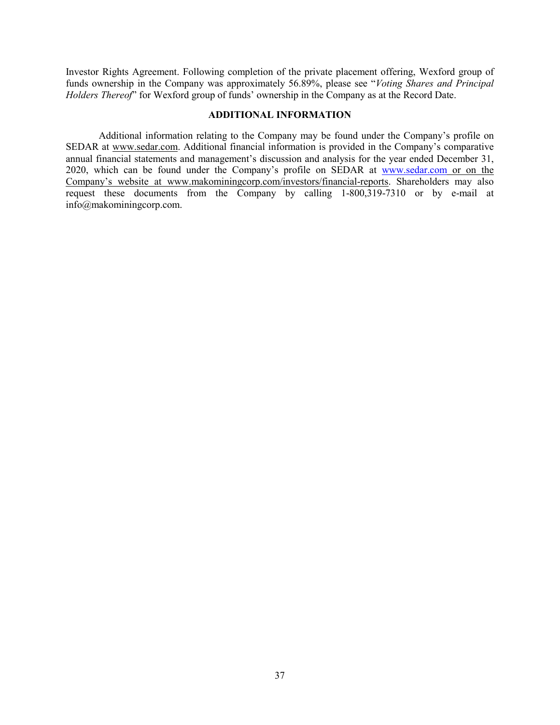Investor Rights Agreement. Following completion of the private placement offering, Wexford group of funds ownership in the Company was approximately 56.89%, please see "*Voting Shares and Principal Holders Thereof*" for Wexford group of funds' ownership in the Company as at the Record Date.

### **ADDITIONAL INFORMATION**

Additional information relating to the Company may be found under the Company's profile on SEDAR at www.sedar.com. Additional financial information is provided in the Company's comparative annual financial statements and management's discussion and analysis for the year ended December 31, 2020, which can be found under the Company's profile on SEDAR at [www.sedar.com](http://www.sedar.com/) or on the Company's website at www.makominingcorp.com/investors/financial-reports. Shareholders may also request these documents from the Company by calling 1-800,319-7310 or by e-mail at info@makominingcorp.com.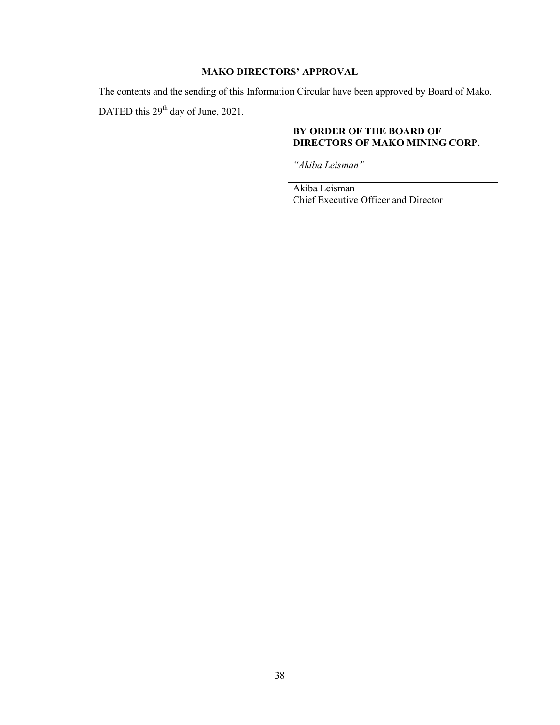## **MAKO DIRECTORS' APPROVAL**

The contents and the sending of this Information Circular have been approved by Board of Mako.

DATED this 29<sup>th</sup> day of June, 2021.

## **BY ORDER OF THE BOARD OF DIRECTORS OF MAKO MINING CORP.**

*"Akiba Leisman"*

Akiba Leisman Chief Executive Officer and Director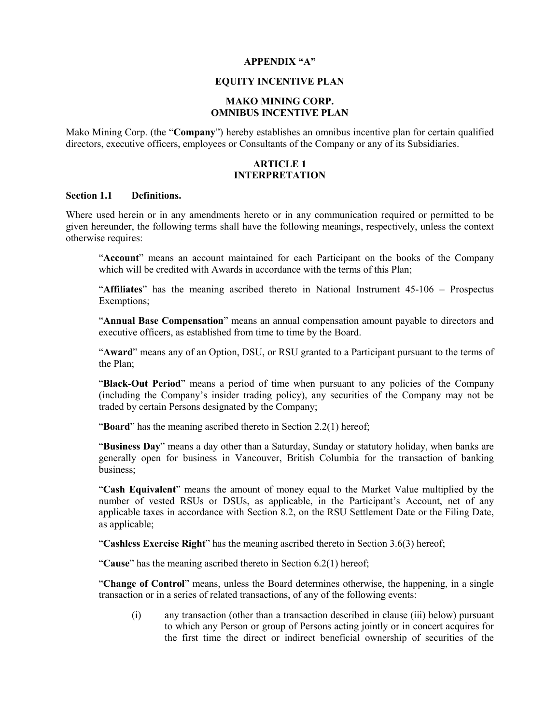#### **APPENDIX "A"**

## **EQUITY INCENTIVE PLAN**

## **MAKO MINING CORP. OMNIBUS INCENTIVE PLAN**

Mako Mining Corp. (the "**Company**") hereby establishes an omnibus incentive plan for certain qualified directors, executive officers, employees or Consultants of the Company or any of its Subsidiaries.

#### **ARTICLE 1 INTERPRETATION**

#### **Section 1.1 Definitions.**

Where used herein or in any amendments hereto or in any communication required or permitted to be given hereunder, the following terms shall have the following meanings, respectively, unless the context otherwise requires:

"**Account**" means an account maintained for each Participant on the books of the Company which will be credited with Awards in accordance with the terms of this Plan:

"**Affiliates**" has the meaning ascribed thereto in National Instrument 45-106 – Prospectus Exemptions;

"**Annual Base Compensation**" means an annual compensation amount payable to directors and executive officers, as established from time to time by the Board.

"**Award**" means any of an Option, DSU, or RSU granted to a Participant pursuant to the terms of the Plan;

"**Black-Out Period**" means a period of time when pursuant to any policies of the Company (including the Company's insider trading policy), any securities of the Company may not be traded by certain Persons designated by the Company;

"**Board**" has the meaning ascribed thereto in Section 2.2(1) hereof;

"**Business Day**" means a day other than a Saturday, Sunday or statutory holiday, when banks are generally open for business in Vancouver, British Columbia for the transaction of banking business;

"**Cash Equivalent**" means the amount of money equal to the Market Value multiplied by the number of vested RSUs or DSUs, as applicable, in the Participant's Account, net of any applicable taxes in accordance with Section 8.2, on the RSU Settlement Date or the Filing Date, as applicable;

"**Cashless Exercise Right**" has the meaning ascribed thereto in Section 3.6(3) hereof;

"**Cause**" has the meaning ascribed thereto in Section 6.2(1) hereof;

"**Change of Control**" means, unless the Board determines otherwise, the happening, in a single transaction or in a series of related transactions, of any of the following events:

(i) any transaction (other than a transaction described in clause (iii) below) pursuant to which any Person or group of Persons acting jointly or in concert acquires for the first time the direct or indirect beneficial ownership of securities of the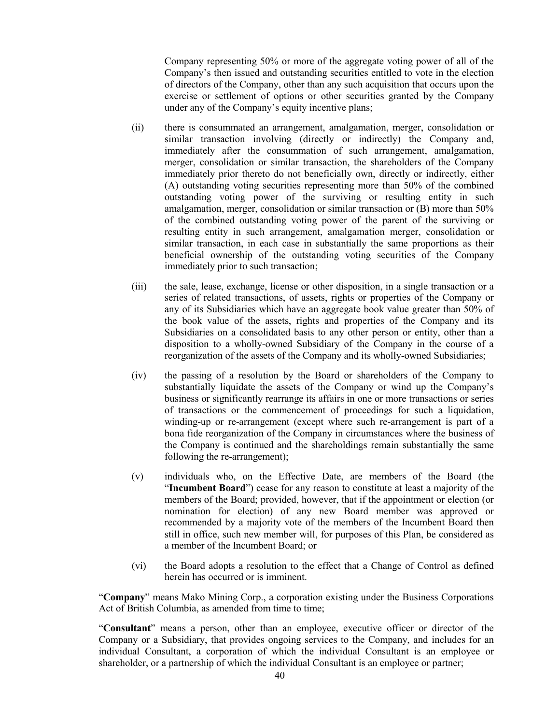Company representing 50% or more of the aggregate voting power of all of the Company's then issued and outstanding securities entitled to vote in the election of directors of the Company, other than any such acquisition that occurs upon the exercise or settlement of options or other securities granted by the Company under any of the Company's equity incentive plans;

- (ii) there is consummated an arrangement, amalgamation, merger, consolidation or similar transaction involving (directly or indirectly) the Company and, immediately after the consummation of such arrangement, amalgamation, merger, consolidation or similar transaction, the shareholders of the Company immediately prior thereto do not beneficially own, directly or indirectly, either (A) outstanding voting securities representing more than 50% of the combined outstanding voting power of the surviving or resulting entity in such amalgamation, merger, consolidation or similar transaction or (B) more than 50% of the combined outstanding voting power of the parent of the surviving or resulting entity in such arrangement, amalgamation merger, consolidation or similar transaction, in each case in substantially the same proportions as their beneficial ownership of the outstanding voting securities of the Company immediately prior to such transaction;
- (iii) the sale, lease, exchange, license or other disposition, in a single transaction or a series of related transactions, of assets, rights or properties of the Company or any of its Subsidiaries which have an aggregate book value greater than 50% of the book value of the assets, rights and properties of the Company and its Subsidiaries on a consolidated basis to any other person or entity, other than a disposition to a wholly-owned Subsidiary of the Company in the course of a reorganization of the assets of the Company and its wholly-owned Subsidiaries;
- (iv) the passing of a resolution by the Board or shareholders of the Company to substantially liquidate the assets of the Company or wind up the Company's business or significantly rearrange its affairs in one or more transactions or series of transactions or the commencement of proceedings for such a liquidation, winding-up or re-arrangement (except where such re-arrangement is part of a bona fide reorganization of the Company in circumstances where the business of the Company is continued and the shareholdings remain substantially the same following the re-arrangement);
- (v) individuals who, on the Effective Date, are members of the Board (the "**Incumbent Board**") cease for any reason to constitute at least a majority of the members of the Board; provided, however, that if the appointment or election (or nomination for election) of any new Board member was approved or recommended by a majority vote of the members of the Incumbent Board then still in office, such new member will, for purposes of this Plan, be considered as a member of the Incumbent Board; or
- (vi) the Board adopts a resolution to the effect that a Change of Control as defined herein has occurred or is imminent.

"**Company**" means Mako Mining Corp., a corporation existing under the Business Corporations Act of British Columbia, as amended from time to time;

"**Consultant**" means a person, other than an employee, executive officer or director of the Company or a Subsidiary, that provides ongoing services to the Company, and includes for an individual Consultant, a corporation of which the individual Consultant is an employee or shareholder, or a partnership of which the individual Consultant is an employee or partner;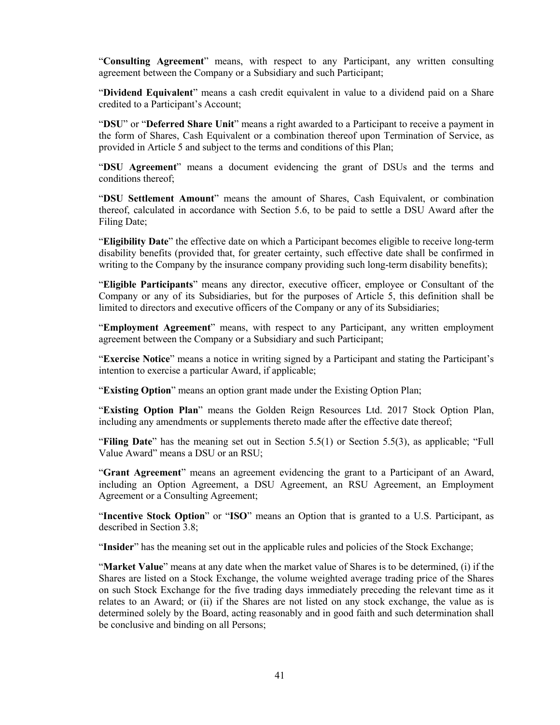"**Consulting Agreement**" means, with respect to any Participant, any written consulting agreement between the Company or a Subsidiary and such Participant;

"**Dividend Equivalent**" means a cash credit equivalent in value to a dividend paid on a Share credited to a Participant's Account;

"**DSU**" or "**Deferred Share Unit**" means a right awarded to a Participant to receive a payment in the form of Shares, Cash Equivalent or a combination thereof upon Termination of Service, as provided in Article 5 and subject to the terms and conditions of this Plan;

"**DSU Agreement**" means a document evidencing the grant of DSUs and the terms and conditions thereof;

"**DSU Settlement Amount**" means the amount of Shares, Cash Equivalent, or combination thereof, calculated in accordance with Section 5.6, to be paid to settle a DSU Award after the Filing Date;

"**Eligibility Date**" the effective date on which a Participant becomes eligible to receive long-term disability benefits (provided that, for greater certainty, such effective date shall be confirmed in writing to the Company by the insurance company providing such long-term disability benefits);

"**Eligible Participants**" means any director, executive officer, employee or Consultant of the Company or any of its Subsidiaries, but for the purposes of Article 5, this definition shall be limited to directors and executive officers of the Company or any of its Subsidiaries;

"**Employment Agreement**" means, with respect to any Participant, any written employment agreement between the Company or a Subsidiary and such Participant;

"**Exercise Notice**" means a notice in writing signed by a Participant and stating the Participant's intention to exercise a particular Award, if applicable;

"**Existing Option**" means an option grant made under the Existing Option Plan;

"**Existing Option Plan**" means the Golden Reign Resources Ltd. 2017 Stock Option Plan, including any amendments or supplements thereto made after the effective date thereof;

"**Filing Date**" has the meaning set out in Section 5.5(1) or Section 5.5(3), as applicable; "Full Value Award" means a DSU or an RSU;

"**Grant Agreement**" means an agreement evidencing the grant to a Participant of an Award, including an Option Agreement, a DSU Agreement, an RSU Agreement, an Employment Agreement or a Consulting Agreement;

"**Incentive Stock Option**" or "**ISO**" means an Option that is granted to a U.S. Participant, as described in Section 3.8;

"**Insider**" has the meaning set out in the applicable rules and policies of the Stock Exchange;

"**Market Value**" means at any date when the market value of Shares is to be determined, (i) if the Shares are listed on a Stock Exchange, the volume weighted average trading price of the Shares on such Stock Exchange for the five trading days immediately preceding the relevant time as it relates to an Award; or (ii) if the Shares are not listed on any stock exchange, the value as is determined solely by the Board, acting reasonably and in good faith and such determination shall be conclusive and binding on all Persons;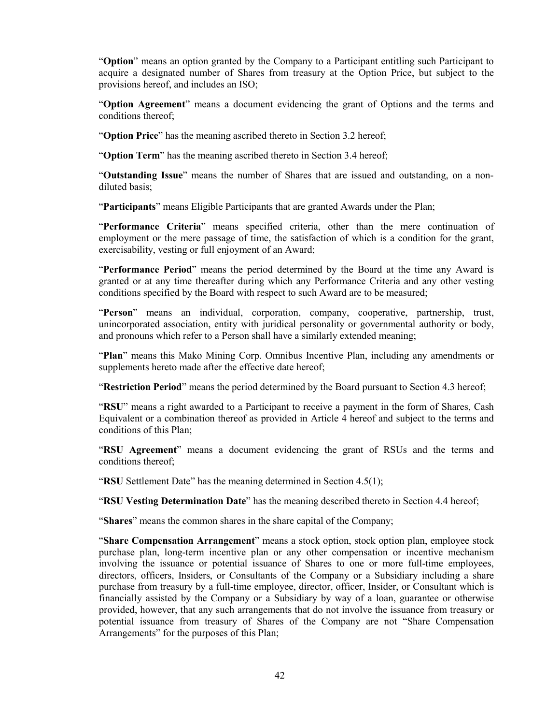"**Option**" means an option granted by the Company to a Participant entitling such Participant to acquire a designated number of Shares from treasury at the Option Price, but subject to the provisions hereof, and includes an ISO;

"**Option Agreement**" means a document evidencing the grant of Options and the terms and conditions thereof;

"**Option Price**" has the meaning ascribed thereto in Section 3.2 hereof;

"**Option Term**" has the meaning ascribed thereto in Section 3.4 hereof;

"**Outstanding Issue**" means the number of Shares that are issued and outstanding, on a nondiluted basis;

"**Participants**" means Eligible Participants that are granted Awards under the Plan;

"**Performance Criteria**" means specified criteria, other than the mere continuation of employment or the mere passage of time, the satisfaction of which is a condition for the grant, exercisability, vesting or full enjoyment of an Award;

"**Performance Period**" means the period determined by the Board at the time any Award is granted or at any time thereafter during which any Performance Criteria and any other vesting conditions specified by the Board with respect to such Award are to be measured;

"**Person**" means an individual, corporation, company, cooperative, partnership, trust, unincorporated association, entity with juridical personality or governmental authority or body, and pronouns which refer to a Person shall have a similarly extended meaning;

"**Plan**" means this Mako Mining Corp. Omnibus Incentive Plan, including any amendments or supplements hereto made after the effective date hereof;

"**Restriction Period**" means the period determined by the Board pursuant to Section 4.3 hereof;

"**RSU**" means a right awarded to a Participant to receive a payment in the form of Shares, Cash Equivalent or a combination thereof as provided in Article 4 hereof and subject to the terms and conditions of this Plan;

"**RSU Agreement**" means a document evidencing the grant of RSUs and the terms and conditions thereof;

"**RSU** Settlement Date" has the meaning determined in Section 4.5(1);

"**RSU Vesting Determination Date**" has the meaning described thereto in Section 4.4 hereof;

"**Shares**" means the common shares in the share capital of the Company;

"**Share Compensation Arrangement**" means a stock option, stock option plan, employee stock purchase plan, long-term incentive plan or any other compensation or incentive mechanism involving the issuance or potential issuance of Shares to one or more full-time employees, directors, officers, Insiders, or Consultants of the Company or a Subsidiary including a share purchase from treasury by a full-time employee, director, officer, Insider, or Consultant which is financially assisted by the Company or a Subsidiary by way of a loan, guarantee or otherwise provided, however, that any such arrangements that do not involve the issuance from treasury or potential issuance from treasury of Shares of the Company are not "Share Compensation Arrangements" for the purposes of this Plan;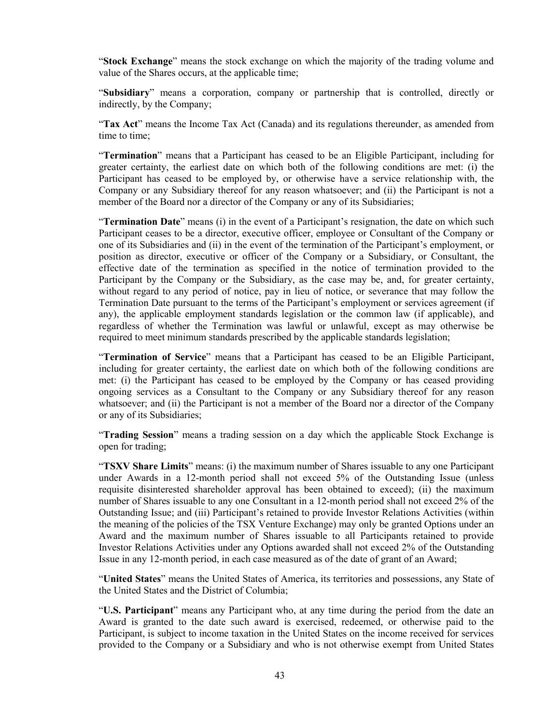"**Stock Exchange**" means the stock exchange on which the majority of the trading volume and value of the Shares occurs, at the applicable time;

"**Subsidiary**" means a corporation, company or partnership that is controlled, directly or indirectly, by the Company;

"Tax Act" means the Income Tax Act (Canada) and its regulations thereunder, as amended from time to time;

"**Termination**" means that a Participant has ceased to be an Eligible Participant, including for greater certainty, the earliest date on which both of the following conditions are met: (i) the Participant has ceased to be employed by, or otherwise have a service relationship with, the Company or any Subsidiary thereof for any reason whatsoever; and (ii) the Participant is not a member of the Board nor a director of the Company or any of its Subsidiaries;

"**Termination Date**" means (i) in the event of a Participant's resignation, the date on which such Participant ceases to be a director, executive officer, employee or Consultant of the Company or one of its Subsidiaries and (ii) in the event of the termination of the Participant's employment, or position as director, executive or officer of the Company or a Subsidiary, or Consultant, the effective date of the termination as specified in the notice of termination provided to the Participant by the Company or the Subsidiary, as the case may be, and, for greater certainty, without regard to any period of notice, pay in lieu of notice, or severance that may follow the Termination Date pursuant to the terms of the Participant's employment or services agreement (if any), the applicable employment standards legislation or the common law (if applicable), and regardless of whether the Termination was lawful or unlawful, except as may otherwise be required to meet minimum standards prescribed by the applicable standards legislation;

"**Termination of Service**" means that a Participant has ceased to be an Eligible Participant, including for greater certainty, the earliest date on which both of the following conditions are met: (i) the Participant has ceased to be employed by the Company or has ceased providing ongoing services as a Consultant to the Company or any Subsidiary thereof for any reason whatsoever; and (ii) the Participant is not a member of the Board nor a director of the Company or any of its Subsidiaries;

"**Trading Session**" means a trading session on a day which the applicable Stock Exchange is open for trading;

"**TSXV Share Limits**" means: (i) the maximum number of Shares issuable to any one Participant under Awards in a 12-month period shall not exceed 5% of the Outstanding Issue (unless requisite disinterested shareholder approval has been obtained to exceed); (ii) the maximum number of Shares issuable to any one Consultant in a 12-month period shall not exceed 2% of the Outstanding Issue; and (iii) Participant's retained to provide Investor Relations Activities (within the meaning of the policies of the TSX Venture Exchange) may only be granted Options under an Award and the maximum number of Shares issuable to all Participants retained to provide Investor Relations Activities under any Options awarded shall not exceed 2% of the Outstanding Issue in any 12-month period, in each case measured as of the date of grant of an Award;

"**United States**" means the United States of America, its territories and possessions, any State of the United States and the District of Columbia;

"**U.S. Participant**" means any Participant who, at any time during the period from the date an Award is granted to the date such award is exercised, redeemed, or otherwise paid to the Participant, is subject to income taxation in the United States on the income received for services provided to the Company or a Subsidiary and who is not otherwise exempt from United States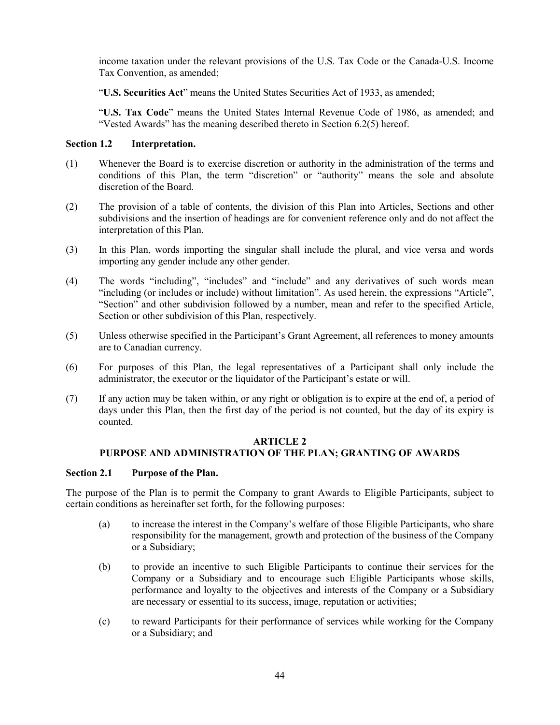income taxation under the relevant provisions of the U.S. Tax Code or the Canada-U.S. Income Tax Convention, as amended;

"**U.S. Securities Act**" means the United States Securities Act of 1933, as amended;

"**U.S. Tax Code**" means the United States Internal Revenue Code of 1986, as amended; and "Vested Awards" has the meaning described thereto in Section 6.2(5) hereof.

## **Section 1.2 Interpretation.**

- (1) Whenever the Board is to exercise discretion or authority in the administration of the terms and conditions of this Plan, the term "discretion" or "authority" means the sole and absolute discretion of the Board.
- (2) The provision of a table of contents, the division of this Plan into Articles, Sections and other subdivisions and the insertion of headings are for convenient reference only and do not affect the interpretation of this Plan.
- (3) In this Plan, words importing the singular shall include the plural, and vice versa and words importing any gender include any other gender.
- (4) The words "including", "includes" and "include" and any derivatives of such words mean "including (or includes or include) without limitation". As used herein, the expressions "Article", "Section" and other subdivision followed by a number, mean and refer to the specified Article, Section or other subdivision of this Plan, respectively.
- (5) Unless otherwise specified in the Participant's Grant Agreement, all references to money amounts are to Canadian currency.
- (6) For purposes of this Plan, the legal representatives of a Participant shall only include the administrator, the executor or the liquidator of the Participant's estate or will.
- (7) If any action may be taken within, or any right or obligation is to expire at the end of, a period of days under this Plan, then the first day of the period is not counted, but the day of its expiry is counted.

## **ARTICLE 2 PURPOSE AND ADMINISTRATION OF THE PLAN; GRANTING OF AWARDS**

### **Section 2.1 Purpose of the Plan.**

The purpose of the Plan is to permit the Company to grant Awards to Eligible Participants, subject to certain conditions as hereinafter set forth, for the following purposes:

- (a) to increase the interest in the Company's welfare of those Eligible Participants, who share responsibility for the management, growth and protection of the business of the Company or a Subsidiary;
- (b) to provide an incentive to such Eligible Participants to continue their services for the Company or a Subsidiary and to encourage such Eligible Participants whose skills, performance and loyalty to the objectives and interests of the Company or a Subsidiary are necessary or essential to its success, image, reputation or activities;
- (c) to reward Participants for their performance of services while working for the Company or a Subsidiary; and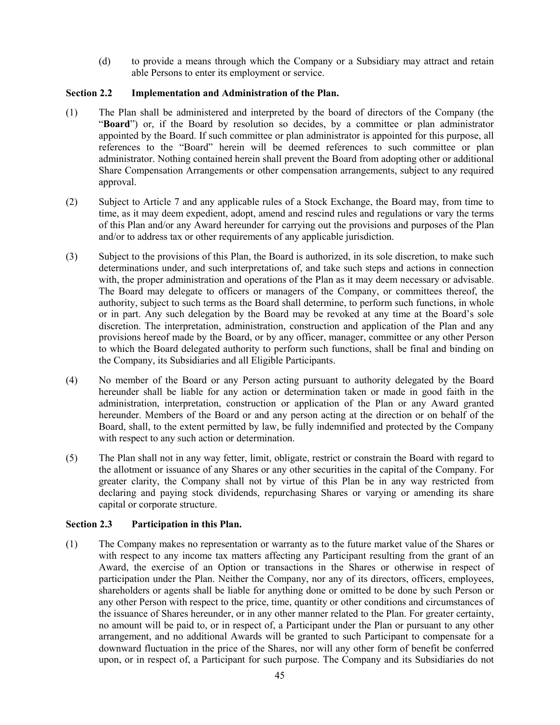(d) to provide a means through which the Company or a Subsidiary may attract and retain able Persons to enter its employment or service.

## **Section 2.2 Implementation and Administration of the Plan.**

- (1) The Plan shall be administered and interpreted by the board of directors of the Company (the "**Board**") or, if the Board by resolution so decides, by a committee or plan administrator appointed by the Board. If such committee or plan administrator is appointed for this purpose, all references to the "Board" herein will be deemed references to such committee or plan administrator. Nothing contained herein shall prevent the Board from adopting other or additional Share Compensation Arrangements or other compensation arrangements, subject to any required approval.
- (2) Subject to Article 7 and any applicable rules of a Stock Exchange, the Board may, from time to time, as it may deem expedient, adopt, amend and rescind rules and regulations or vary the terms of this Plan and/or any Award hereunder for carrying out the provisions and purposes of the Plan and/or to address tax or other requirements of any applicable jurisdiction.
- (3) Subject to the provisions of this Plan, the Board is authorized, in its sole discretion, to make such determinations under, and such interpretations of, and take such steps and actions in connection with, the proper administration and operations of the Plan as it may deem necessary or advisable. The Board may delegate to officers or managers of the Company, or committees thereof, the authority, subject to such terms as the Board shall determine, to perform such functions, in whole or in part. Any such delegation by the Board may be revoked at any time at the Board's sole discretion. The interpretation, administration, construction and application of the Plan and any provisions hereof made by the Board, or by any officer, manager, committee or any other Person to which the Board delegated authority to perform such functions, shall be final and binding on the Company, its Subsidiaries and all Eligible Participants.
- (4) No member of the Board or any Person acting pursuant to authority delegated by the Board hereunder shall be liable for any action or determination taken or made in good faith in the administration, interpretation, construction or application of the Plan or any Award granted hereunder. Members of the Board or and any person acting at the direction or on behalf of the Board, shall, to the extent permitted by law, be fully indemnified and protected by the Company with respect to any such action or determination.
- (5) The Plan shall not in any way fetter, limit, obligate, restrict or constrain the Board with regard to the allotment or issuance of any Shares or any other securities in the capital of the Company. For greater clarity, the Company shall not by virtue of this Plan be in any way restricted from declaring and paying stock dividends, repurchasing Shares or varying or amending its share capital or corporate structure.

## **Section 2.3 Participation in this Plan.**

(1) The Company makes no representation or warranty as to the future market value of the Shares or with respect to any income tax matters affecting any Participant resulting from the grant of an Award, the exercise of an Option or transactions in the Shares or otherwise in respect of participation under the Plan. Neither the Company, nor any of its directors, officers, employees, shareholders or agents shall be liable for anything done or omitted to be done by such Person or any other Person with respect to the price, time, quantity or other conditions and circumstances of the issuance of Shares hereunder, or in any other manner related to the Plan. For greater certainty, no amount will be paid to, or in respect of, a Participant under the Plan or pursuant to any other arrangement, and no additional Awards will be granted to such Participant to compensate for a downward fluctuation in the price of the Shares, nor will any other form of benefit be conferred upon, or in respect of, a Participant for such purpose. The Company and its Subsidiaries do not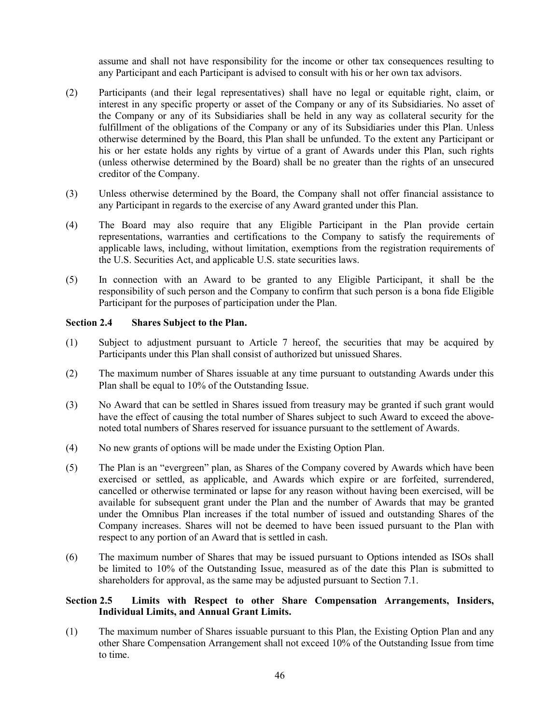assume and shall not have responsibility for the income or other tax consequences resulting to any Participant and each Participant is advised to consult with his or her own tax advisors.

- (2) Participants (and their legal representatives) shall have no legal or equitable right, claim, or interest in any specific property or asset of the Company or any of its Subsidiaries. No asset of the Company or any of its Subsidiaries shall be held in any way as collateral security for the fulfillment of the obligations of the Company or any of its Subsidiaries under this Plan. Unless otherwise determined by the Board, this Plan shall be unfunded. To the extent any Participant or his or her estate holds any rights by virtue of a grant of Awards under this Plan, such rights (unless otherwise determined by the Board) shall be no greater than the rights of an unsecured creditor of the Company.
- (3) Unless otherwise determined by the Board, the Company shall not offer financial assistance to any Participant in regards to the exercise of any Award granted under this Plan.
- (4) The Board may also require that any Eligible Participant in the Plan provide certain representations, warranties and certifications to the Company to satisfy the requirements of applicable laws, including, without limitation, exemptions from the registration requirements of the U.S. Securities Act, and applicable U.S. state securities laws.
- (5) In connection with an Award to be granted to any Eligible Participant, it shall be the responsibility of such person and the Company to confirm that such person is a bona fide Eligible Participant for the purposes of participation under the Plan.

## **Section 2.4 Shares Subject to the Plan.**

- (1) Subject to adjustment pursuant to Article 7 hereof, the securities that may be acquired by Participants under this Plan shall consist of authorized but unissued Shares.
- (2) The maximum number of Shares issuable at any time pursuant to outstanding Awards under this Plan shall be equal to 10% of the Outstanding Issue.
- (3) No Award that can be settled in Shares issued from treasury may be granted if such grant would have the effect of causing the total number of Shares subject to such Award to exceed the abovenoted total numbers of Shares reserved for issuance pursuant to the settlement of Awards.
- (4) No new grants of options will be made under the Existing Option Plan.
- (5) The Plan is an "evergreen" plan, as Shares of the Company covered by Awards which have been exercised or settled, as applicable, and Awards which expire or are forfeited, surrendered, cancelled or otherwise terminated or lapse for any reason without having been exercised, will be available for subsequent grant under the Plan and the number of Awards that may be granted under the Omnibus Plan increases if the total number of issued and outstanding Shares of the Company increases. Shares will not be deemed to have been issued pursuant to the Plan with respect to any portion of an Award that is settled in cash.
- (6) The maximum number of Shares that may be issued pursuant to Options intended as ISOs shall be limited to 10% of the Outstanding Issue, measured as of the date this Plan is submitted to shareholders for approval, as the same may be adjusted pursuant to Section 7.1.

## **Section 2.5 Limits with Respect to other Share Compensation Arrangements, Insiders, Individual Limits, and Annual Grant Limits.**

(1) The maximum number of Shares issuable pursuant to this Plan, the Existing Option Plan and any other Share Compensation Arrangement shall not exceed 10% of the Outstanding Issue from time to time.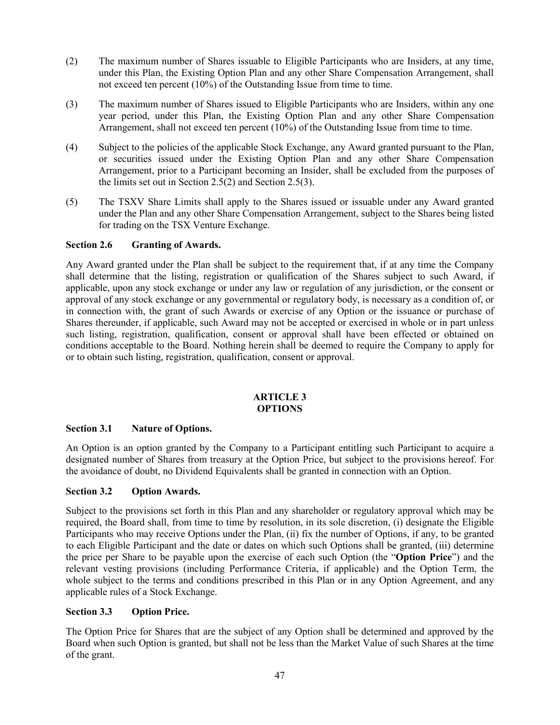- (2) The maximum number of Shares issuable to Eligible Participants who are Insiders, at any time, under this Plan, the Existing Option Plan and any other Share Compensation Arrangement, shall not exceed ten percent (10%) of the Outstanding Issue from time to time.
- (3) The maximum number of Shares issued to Eligible Participants who are Insiders, within any one year period, under this Plan, the Existing Option Plan and any other Share Compensation Arrangement, shall not exceed ten percent  $(10\%)$  of the Outstanding Issue from time to time.
- (4) Subject to the policies of the applicable Stock Exchange, any Award granted pursuant to the Plan, or securities issued under the Existing Option Plan and any other Share Compensation Arrangement, prior to a Participant becoming an Insider, shall be excluded from the purposes of the limits set out in Section 2.5(2) and Section 2.5(3).
- (5) The TSXV Share Limits shall apply to the Shares issued or issuable under any Award granted under the Plan and any other Share Compensation Arrangement, subject to the Shares being listed for trading on the TSX Venture Exchange.

## **Section 2.6 Granting of Awards.**

Any Award granted under the Plan shall be subject to the requirement that, if at any time the Company shall determine that the listing, registration or qualification of the Shares subject to such Award, if applicable, upon any stock exchange or under any law or regulation of any jurisdiction, or the consent or approval of any stock exchange or any governmental or regulatory body, is necessary as a condition of, or in connection with, the grant of such Awards or exercise of any Option or the issuance or purchase of Shares thereunder, if applicable, such Award may not be accepted or exercised in whole or in part unless such listing, registration, qualification, consent or approval shall have been effected or obtained on conditions acceptable to the Board. Nothing herein shall be deemed to require the Company to apply for or to obtain such listing, registration, qualification, consent or approval.

## **ARTICLE 3 OPTIONS**

## **Section 3.1 Nature of Options.**

An Option is an option granted by the Company to a Participant entitling such Participant to acquire a designated number of Shares from treasury at the Option Price, but subject to the provisions hereof. For the avoidance of doubt, no Dividend Equivalents shall be granted in connection with an Option.

## **Section 3.2 Option Awards.**

Subject to the provisions set forth in this Plan and any shareholder or regulatory approval which may be required, the Board shall, from time to time by resolution, in its sole discretion, (i) designate the Eligible Participants who may receive Options under the Plan, (ii) fix the number of Options, if any, to be granted to each Eligible Participant and the date or dates on which such Options shall be granted, (iii) determine the price per Share to be payable upon the exercise of each such Option (the "**Option Price**") and the relevant vesting provisions (including Performance Criteria, if applicable) and the Option Term, the whole subject to the terms and conditions prescribed in this Plan or in any Option Agreement, and any applicable rules of a Stock Exchange.

## **Section 3.3 Option Price.**

The Option Price for Shares that are the subject of any Option shall be determined and approved by the Board when such Option is granted, but shall not be less than the Market Value of such Shares at the time of the grant.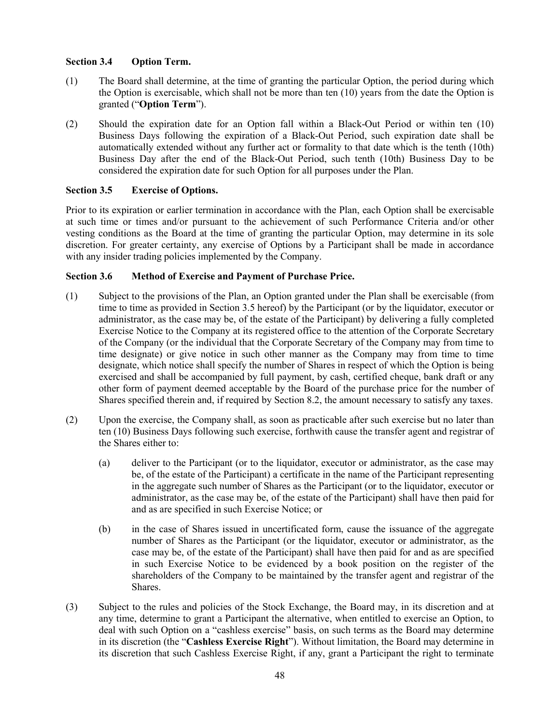## **Section 3.4 Option Term.**

- (1) The Board shall determine, at the time of granting the particular Option, the period during which the Option is exercisable, which shall not be more than ten (10) years from the date the Option is granted ("**Option Term**").
- (2) Should the expiration date for an Option fall within a Black-Out Period or within ten (10) Business Days following the expiration of a Black-Out Period, such expiration date shall be automatically extended without any further act or formality to that date which is the tenth (10th) Business Day after the end of the Black-Out Period, such tenth (10th) Business Day to be considered the expiration date for such Option for all purposes under the Plan.

## **Section 3.5 Exercise of Options.**

Prior to its expiration or earlier termination in accordance with the Plan, each Option shall be exercisable at such time or times and/or pursuant to the achievement of such Performance Criteria and/or other vesting conditions as the Board at the time of granting the particular Option, may determine in its sole discretion. For greater certainty, any exercise of Options by a Participant shall be made in accordance with any insider trading policies implemented by the Company.

## **Section 3.6 Method of Exercise and Payment of Purchase Price.**

- (1) Subject to the provisions of the Plan, an Option granted under the Plan shall be exercisable (from time to time as provided in Section 3.5 hereof) by the Participant (or by the liquidator, executor or administrator, as the case may be, of the estate of the Participant) by delivering a fully completed Exercise Notice to the Company at its registered office to the attention of the Corporate Secretary of the Company (or the individual that the Corporate Secretary of the Company may from time to time designate) or give notice in such other manner as the Company may from time to time designate, which notice shall specify the number of Shares in respect of which the Option is being exercised and shall be accompanied by full payment, by cash, certified cheque, bank draft or any other form of payment deemed acceptable by the Board of the purchase price for the number of Shares specified therein and, if required by Section 8.2, the amount necessary to satisfy any taxes.
- (2) Upon the exercise, the Company shall, as soon as practicable after such exercise but no later than ten (10) Business Days following such exercise, forthwith cause the transfer agent and registrar of the Shares either to:
	- (a) deliver to the Participant (or to the liquidator, executor or administrator, as the case may be, of the estate of the Participant) a certificate in the name of the Participant representing in the aggregate such number of Shares as the Participant (or to the liquidator, executor or administrator, as the case may be, of the estate of the Participant) shall have then paid for and as are specified in such Exercise Notice; or
	- (b) in the case of Shares issued in uncertificated form, cause the issuance of the aggregate number of Shares as the Participant (or the liquidator, executor or administrator, as the case may be, of the estate of the Participant) shall have then paid for and as are specified in such Exercise Notice to be evidenced by a book position on the register of the shareholders of the Company to be maintained by the transfer agent and registrar of the Shares.
- (3) Subject to the rules and policies of the Stock Exchange, the Board may, in its discretion and at any time, determine to grant a Participant the alternative, when entitled to exercise an Option, to deal with such Option on a "cashless exercise" basis, on such terms as the Board may determine in its discretion (the "**Cashless Exercise Right**"). Without limitation, the Board may determine in its discretion that such Cashless Exercise Right, if any, grant a Participant the right to terminate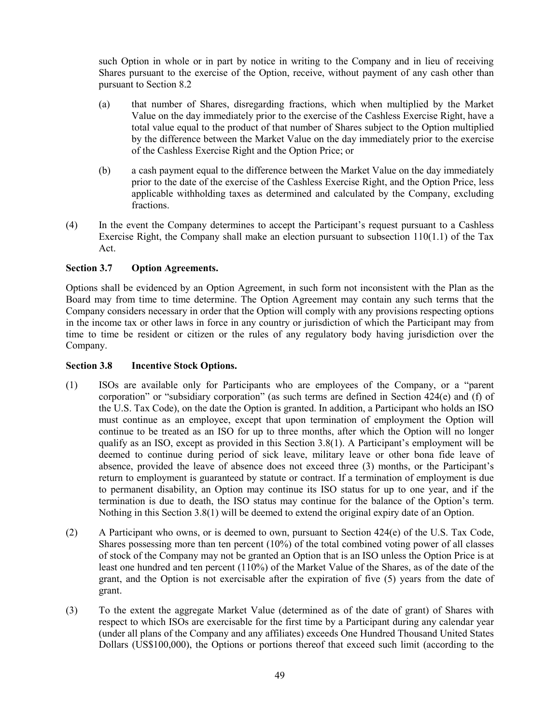such Option in whole or in part by notice in writing to the Company and in lieu of receiving Shares pursuant to the exercise of the Option, receive, without payment of any cash other than pursuant to Section 8.2

- (a) that number of Shares, disregarding fractions, which when multiplied by the Market Value on the day immediately prior to the exercise of the Cashless Exercise Right, have a total value equal to the product of that number of Shares subject to the Option multiplied by the difference between the Market Value on the day immediately prior to the exercise of the Cashless Exercise Right and the Option Price; or
- (b) a cash payment equal to the difference between the Market Value on the day immediately prior to the date of the exercise of the Cashless Exercise Right, and the Option Price, less applicable withholding taxes as determined and calculated by the Company, excluding fractions.
- (4) In the event the Company determines to accept the Participant's request pursuant to a Cashless Exercise Right, the Company shall make an election pursuant to subsection  $110(1.1)$  of the Tax Act.

## **Section 3.7 Option Agreements.**

Options shall be evidenced by an Option Agreement, in such form not inconsistent with the Plan as the Board may from time to time determine. The Option Agreement may contain any such terms that the Company considers necessary in order that the Option will comply with any provisions respecting options in the income tax or other laws in force in any country or jurisdiction of which the Participant may from time to time be resident or citizen or the rules of any regulatory body having jurisdiction over the Company.

## **Section 3.8 Incentive Stock Options.**

- (1) ISOs are available only for Participants who are employees of the Company, or a "parent corporation" or "subsidiary corporation" (as such terms are defined in Section 424(e) and (f) of the U.S. Tax Code), on the date the Option is granted. In addition, a Participant who holds an ISO must continue as an employee, except that upon termination of employment the Option will continue to be treated as an ISO for up to three months, after which the Option will no longer qualify as an ISO, except as provided in this Section 3.8(1). A Participant's employment will be deemed to continue during period of sick leave, military leave or other bona fide leave of absence, provided the leave of absence does not exceed three (3) months, or the Participant's return to employment is guaranteed by statute or contract. If a termination of employment is due to permanent disability, an Option may continue its ISO status for up to one year, and if the termination is due to death, the ISO status may continue for the balance of the Option's term. Nothing in this Section 3.8(1) will be deemed to extend the original expiry date of an Option.
- (2) A Participant who owns, or is deemed to own, pursuant to Section 424(e) of the U.S. Tax Code, Shares possessing more than ten percent (10%) of the total combined voting power of all classes of stock of the Company may not be granted an Option that is an ISO unless the Option Price is at least one hundred and ten percent (110%) of the Market Value of the Shares, as of the date of the grant, and the Option is not exercisable after the expiration of five (5) years from the date of grant.
- (3) To the extent the aggregate Market Value (determined as of the date of grant) of Shares with respect to which ISOs are exercisable for the first time by a Participant during any calendar year (under all plans of the Company and any affiliates) exceeds One Hundred Thousand United States Dollars (US\$100,000), the Options or portions thereof that exceed such limit (according to the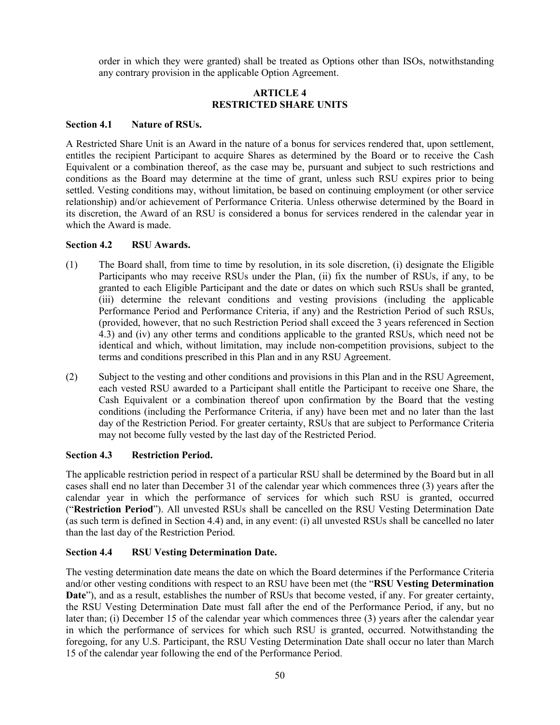order in which they were granted) shall be treated as Options other than ISOs, notwithstanding any contrary provision in the applicable Option Agreement.

## **ARTICLE 4 RESTRICTED SHARE UNITS**

## **Section 4.1 Nature of RSUs.**

A Restricted Share Unit is an Award in the nature of a bonus for services rendered that, upon settlement, entitles the recipient Participant to acquire Shares as determined by the Board or to receive the Cash Equivalent or a combination thereof, as the case may be, pursuant and subject to such restrictions and conditions as the Board may determine at the time of grant, unless such RSU expires prior to being settled. Vesting conditions may, without limitation, be based on continuing employment (or other service relationship) and/or achievement of Performance Criteria. Unless otherwise determined by the Board in its discretion, the Award of an RSU is considered a bonus for services rendered in the calendar year in which the Award is made.

## **Section 4.2 RSU Awards.**

- (1) The Board shall, from time to time by resolution, in its sole discretion, (i) designate the Eligible Participants who may receive RSUs under the Plan, (ii) fix the number of RSUs, if any, to be granted to each Eligible Participant and the date or dates on which such RSUs shall be granted, (iii) determine the relevant conditions and vesting provisions (including the applicable Performance Period and Performance Criteria, if any) and the Restriction Period of such RSUs, (provided, however, that no such Restriction Period shall exceed the 3 years referenced in Section 4.3) and (iv) any other terms and conditions applicable to the granted RSUs, which need not be identical and which, without limitation, may include non-competition provisions, subject to the terms and conditions prescribed in this Plan and in any RSU Agreement.
- (2) Subject to the vesting and other conditions and provisions in this Plan and in the RSU Agreement, each vested RSU awarded to a Participant shall entitle the Participant to receive one Share, the Cash Equivalent or a combination thereof upon confirmation by the Board that the vesting conditions (including the Performance Criteria, if any) have been met and no later than the last day of the Restriction Period. For greater certainty, RSUs that are subject to Performance Criteria may not become fully vested by the last day of the Restricted Period.

## **Section 4.3 Restriction Period.**

The applicable restriction period in respect of a particular RSU shall be determined by the Board but in all cases shall end no later than December 31 of the calendar year which commences three (3) years after the calendar year in which the performance of services for which such RSU is granted, occurred ("**Restriction Period**"). All unvested RSUs shall be cancelled on the RSU Vesting Determination Date (as such term is defined in Section 4.4) and, in any event: (i) all unvested RSUs shall be cancelled no later than the last day of the Restriction Period.

## **Section 4.4 RSU Vesting Determination Date.**

The vesting determination date means the date on which the Board determines if the Performance Criteria and/or other vesting conditions with respect to an RSU have been met (the "**RSU Vesting Determination Date**"), and as a result, establishes the number of RSUs that become vested, if any. For greater certainty, the RSU Vesting Determination Date must fall after the end of the Performance Period, if any, but no later than; (i) December 15 of the calendar year which commences three (3) years after the calendar year in which the performance of services for which such RSU is granted, occurred. Notwithstanding the foregoing, for any U.S. Participant, the RSU Vesting Determination Date shall occur no later than March 15 of the calendar year following the end of the Performance Period.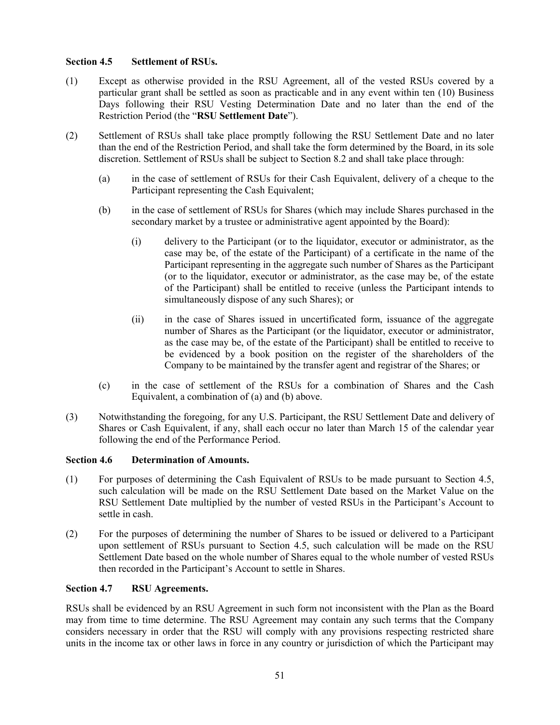## **Section 4.5 Settlement of RSUs.**

- (1) Except as otherwise provided in the RSU Agreement, all of the vested RSUs covered by a particular grant shall be settled as soon as practicable and in any event within ten (10) Business Days following their RSU Vesting Determination Date and no later than the end of the Restriction Period (the "**RSU Settlement Date**").
- (2) Settlement of RSUs shall take place promptly following the RSU Settlement Date and no later than the end of the Restriction Period, and shall take the form determined by the Board, in its sole discretion. Settlement of RSUs shall be subject to Section 8.2 and shall take place through:
	- (a) in the case of settlement of RSUs for their Cash Equivalent, delivery of a cheque to the Participant representing the Cash Equivalent;
	- (b) in the case of settlement of RSUs for Shares (which may include Shares purchased in the secondary market by a trustee or administrative agent appointed by the Board):
		- (i) delivery to the Participant (or to the liquidator, executor or administrator, as the case may be, of the estate of the Participant) of a certificate in the name of the Participant representing in the aggregate such number of Shares as the Participant (or to the liquidator, executor or administrator, as the case may be, of the estate of the Participant) shall be entitled to receive (unless the Participant intends to simultaneously dispose of any such Shares); or
		- (ii) in the case of Shares issued in uncertificated form, issuance of the aggregate number of Shares as the Participant (or the liquidator, executor or administrator, as the case may be, of the estate of the Participant) shall be entitled to receive to be evidenced by a book position on the register of the shareholders of the Company to be maintained by the transfer agent and registrar of the Shares; or
	- (c) in the case of settlement of the RSUs for a combination of Shares and the Cash Equivalent, a combination of (a) and (b) above.
- (3) Notwithstanding the foregoing, for any U.S. Participant, the RSU Settlement Date and delivery of Shares or Cash Equivalent, if any, shall each occur no later than March 15 of the calendar year following the end of the Performance Period.

## **Section 4.6 Determination of Amounts.**

- (1) For purposes of determining the Cash Equivalent of RSUs to be made pursuant to Section 4.5, such calculation will be made on the RSU Settlement Date based on the Market Value on the RSU Settlement Date multiplied by the number of vested RSUs in the Participant's Account to settle in cash.
- (2) For the purposes of determining the number of Shares to be issued or delivered to a Participant upon settlement of RSUs pursuant to Section 4.5, such calculation will be made on the RSU Settlement Date based on the whole number of Shares equal to the whole number of vested RSUs then recorded in the Participant's Account to settle in Shares.

## **Section 4.7 RSU Agreements.**

RSUs shall be evidenced by an RSU Agreement in such form not inconsistent with the Plan as the Board may from time to time determine. The RSU Agreement may contain any such terms that the Company considers necessary in order that the RSU will comply with any provisions respecting restricted share units in the income tax or other laws in force in any country or jurisdiction of which the Participant may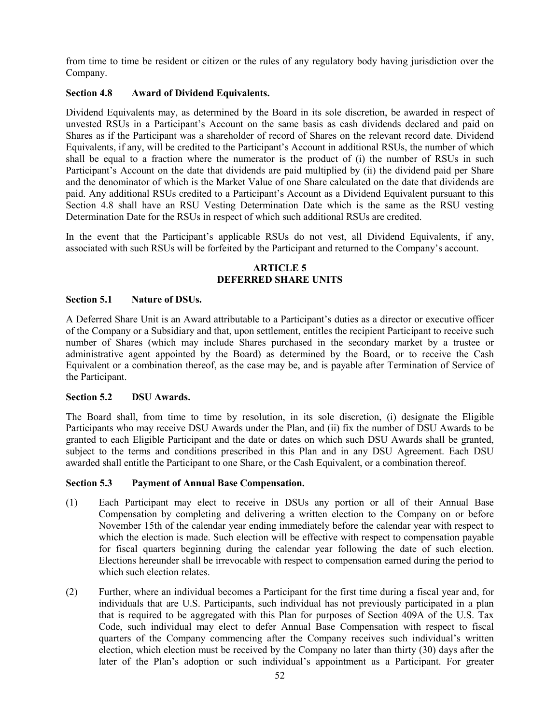from time to time be resident or citizen or the rules of any regulatory body having jurisdiction over the Company.

## **Section 4.8 Award of Dividend Equivalents.**

Dividend Equivalents may, as determined by the Board in its sole discretion, be awarded in respect of unvested RSUs in a Participant's Account on the same basis as cash dividends declared and paid on Shares as if the Participant was a shareholder of record of Shares on the relevant record date. Dividend Equivalents, if any, will be credited to the Participant's Account in additional RSUs, the number of which shall be equal to a fraction where the numerator is the product of (i) the number of RSUs in such Participant's Account on the date that dividends are paid multiplied by (ii) the dividend paid per Share and the denominator of which is the Market Value of one Share calculated on the date that dividends are paid. Any additional RSUs credited to a Participant's Account as a Dividend Equivalent pursuant to this Section 4.8 shall have an RSU Vesting Determination Date which is the same as the RSU vesting Determination Date for the RSUs in respect of which such additional RSUs are credited.

In the event that the Participant's applicable RSUs do not vest, all Dividend Equivalents, if any, associated with such RSUs will be forfeited by the Participant and returned to the Company's account.

## **ARTICLE 5 DEFERRED SHARE UNITS**

#### **Section 5.1 Nature of DSUs.**

A Deferred Share Unit is an Award attributable to a Participant's duties as a director or executive officer of the Company or a Subsidiary and that, upon settlement, entitles the recipient Participant to receive such number of Shares (which may include Shares purchased in the secondary market by a trustee or administrative agent appointed by the Board) as determined by the Board, or to receive the Cash Equivalent or a combination thereof, as the case may be, and is payable after Termination of Service of the Participant.

#### **Section 5.2 DSU Awards.**

The Board shall, from time to time by resolution, in its sole discretion, (i) designate the Eligible Participants who may receive DSU Awards under the Plan, and (ii) fix the number of DSU Awards to be granted to each Eligible Participant and the date or dates on which such DSU Awards shall be granted, subject to the terms and conditions prescribed in this Plan and in any DSU Agreement. Each DSU awarded shall entitle the Participant to one Share, or the Cash Equivalent, or a combination thereof.

## **Section 5.3 Payment of Annual Base Compensation.**

- (1) Each Participant may elect to receive in DSUs any portion or all of their Annual Base Compensation by completing and delivering a written election to the Company on or before November 15th of the calendar year ending immediately before the calendar year with respect to which the election is made. Such election will be effective with respect to compensation payable for fiscal quarters beginning during the calendar year following the date of such election. Elections hereunder shall be irrevocable with respect to compensation earned during the period to which such election relates.
- (2) Further, where an individual becomes a Participant for the first time during a fiscal year and, for individuals that are U.S. Participants, such individual has not previously participated in a plan that is required to be aggregated with this Plan for purposes of Section 409A of the U.S. Tax Code, such individual may elect to defer Annual Base Compensation with respect to fiscal quarters of the Company commencing after the Company receives such individual's written election, which election must be received by the Company no later than thirty (30) days after the later of the Plan's adoption or such individual's appointment as a Participant. For greater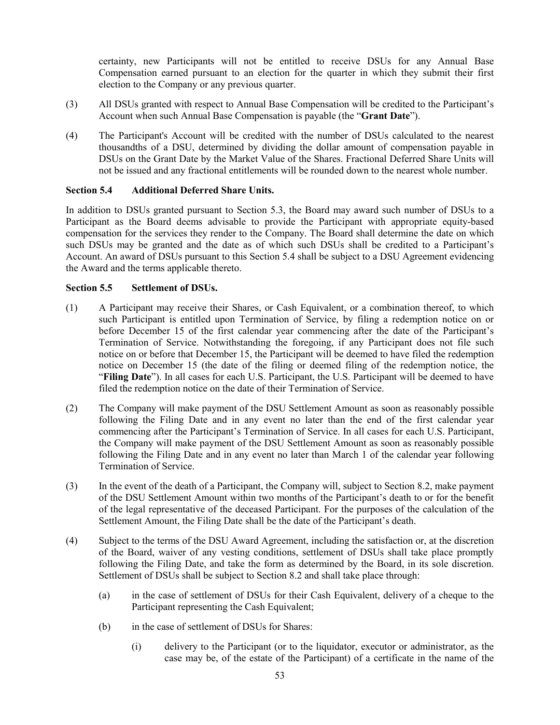certainty, new Participants will not be entitled to receive DSUs for any Annual Base Compensation earned pursuant to an election for the quarter in which they submit their first election to the Company or any previous quarter.

- (3) All DSUs granted with respect to Annual Base Compensation will be credited to the Participant's Account when such Annual Base Compensation is payable (the "**Grant Date**").
- (4) The Participant's Account will be credited with the number of DSUs calculated to the nearest thousandths of a DSU, determined by dividing the dollar amount of compensation payable in DSUs on the Grant Date by the Market Value of the Shares. Fractional Deferred Share Units will not be issued and any fractional entitlements will be rounded down to the nearest whole number.

## **Section 5.4 Additional Deferred Share Units.**

In addition to DSUs granted pursuant to Section 5.3, the Board may award such number of DSUs to a Participant as the Board deems advisable to provide the Participant with appropriate equity-based compensation for the services they render to the Company. The Board shall determine the date on which such DSUs may be granted and the date as of which such DSUs shall be credited to a Participant's Account. An award of DSUs pursuant to this Section 5.4 shall be subject to a DSU Agreement evidencing the Award and the terms applicable thereto.

## **Section 5.5 Settlement of DSUs.**

- (1) A Participant may receive their Shares, or Cash Equivalent, or a combination thereof, to which such Participant is entitled upon Termination of Service, by filing a redemption notice on or before December 15 of the first calendar year commencing after the date of the Participant's Termination of Service. Notwithstanding the foregoing, if any Participant does not file such notice on or before that December 15, the Participant will be deemed to have filed the redemption notice on December 15 (the date of the filing or deemed filing of the redemption notice, the "**Filing Date**"). In all cases for each U.S. Participant, the U.S. Participant will be deemed to have filed the redemption notice on the date of their Termination of Service.
- (2) The Company will make payment of the DSU Settlement Amount as soon as reasonably possible following the Filing Date and in any event no later than the end of the first calendar year commencing after the Participant's Termination of Service. In all cases for each U.S. Participant, the Company will make payment of the DSU Settlement Amount as soon as reasonably possible following the Filing Date and in any event no later than March 1 of the calendar year following Termination of Service.
- (3) In the event of the death of a Participant, the Company will, subject to Section 8.2, make payment of the DSU Settlement Amount within two months of the Participant's death to or for the benefit of the legal representative of the deceased Participant. For the purposes of the calculation of the Settlement Amount, the Filing Date shall be the date of the Participant's death.
- (4) Subject to the terms of the DSU Award Agreement, including the satisfaction or, at the discretion of the Board, waiver of any vesting conditions, settlement of DSUs shall take place promptly following the Filing Date, and take the form as determined by the Board, in its sole discretion. Settlement of DSUs shall be subject to Section 8.2 and shall take place through:
	- (a) in the case of settlement of DSUs for their Cash Equivalent, delivery of a cheque to the Participant representing the Cash Equivalent;
	- (b) in the case of settlement of DSUs for Shares:
		- (i) delivery to the Participant (or to the liquidator, executor or administrator, as the case may be, of the estate of the Participant) of a certificate in the name of the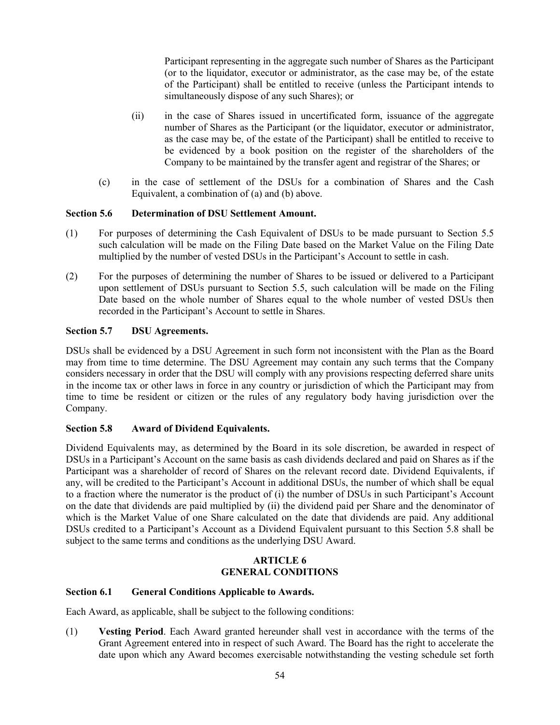Participant representing in the aggregate such number of Shares as the Participant (or to the liquidator, executor or administrator, as the case may be, of the estate of the Participant) shall be entitled to receive (unless the Participant intends to simultaneously dispose of any such Shares); or

- (ii) in the case of Shares issued in uncertificated form, issuance of the aggregate number of Shares as the Participant (or the liquidator, executor or administrator, as the case may be, of the estate of the Participant) shall be entitled to receive to be evidenced by a book position on the register of the shareholders of the Company to be maintained by the transfer agent and registrar of the Shares; or
- (c) in the case of settlement of the DSUs for a combination of Shares and the Cash Equivalent, a combination of (a) and (b) above.

## **Section 5.6 Determination of DSU Settlement Amount.**

- (1) For purposes of determining the Cash Equivalent of DSUs to be made pursuant to Section 5.5 such calculation will be made on the Filing Date based on the Market Value on the Filing Date multiplied by the number of vested DSUs in the Participant's Account to settle in cash.
- (2) For the purposes of determining the number of Shares to be issued or delivered to a Participant upon settlement of DSUs pursuant to Section 5.5, such calculation will be made on the Filing Date based on the whole number of Shares equal to the whole number of vested DSUs then recorded in the Participant's Account to settle in Shares.

#### **Section 5.7 DSU Agreements.**

DSUs shall be evidenced by a DSU Agreement in such form not inconsistent with the Plan as the Board may from time to time determine. The DSU Agreement may contain any such terms that the Company considers necessary in order that the DSU will comply with any provisions respecting deferred share units in the income tax or other laws in force in any country or jurisdiction of which the Participant may from time to time be resident or citizen or the rules of any regulatory body having jurisdiction over the Company.

## **Section 5.8 Award of Dividend Equivalents.**

Dividend Equivalents may, as determined by the Board in its sole discretion, be awarded in respect of DSUs in a Participant's Account on the same basis as cash dividends declared and paid on Shares as if the Participant was a shareholder of record of Shares on the relevant record date. Dividend Equivalents, if any, will be credited to the Participant's Account in additional DSUs, the number of which shall be equal to a fraction where the numerator is the product of (i) the number of DSUs in such Participant's Account on the date that dividends are paid multiplied by (ii) the dividend paid per Share and the denominator of which is the Market Value of one Share calculated on the date that dividends are paid. Any additional DSUs credited to a Participant's Account as a Dividend Equivalent pursuant to this Section 5.8 shall be subject to the same terms and conditions as the underlying DSU Award.

## **ARTICLE 6 GENERAL CONDITIONS**

#### **Section 6.1 General Conditions Applicable to Awards.**

Each Award, as applicable, shall be subject to the following conditions:

(1) **Vesting Period**. Each Award granted hereunder shall vest in accordance with the terms of the Grant Agreement entered into in respect of such Award. The Board has the right to accelerate the date upon which any Award becomes exercisable notwithstanding the vesting schedule set forth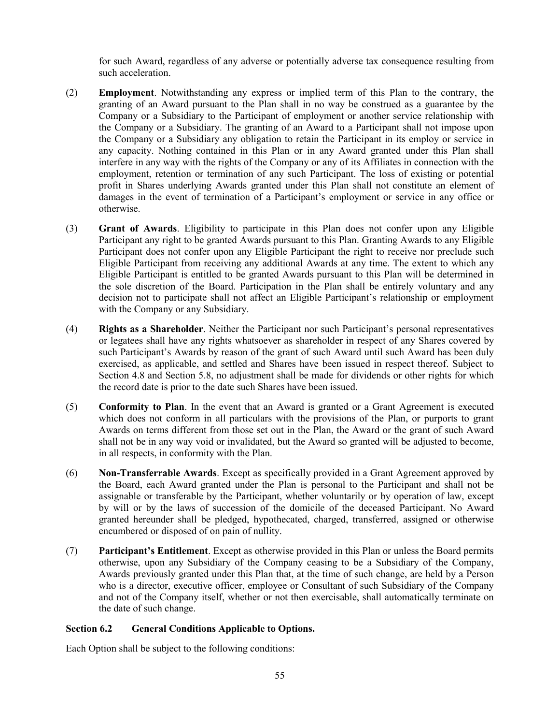for such Award, regardless of any adverse or potentially adverse tax consequence resulting from such acceleration.

- (2) **Employment**. Notwithstanding any express or implied term of this Plan to the contrary, the granting of an Award pursuant to the Plan shall in no way be construed as a guarantee by the Company or a Subsidiary to the Participant of employment or another service relationship with the Company or a Subsidiary. The granting of an Award to a Participant shall not impose upon the Company or a Subsidiary any obligation to retain the Participant in its employ or service in any capacity. Nothing contained in this Plan or in any Award granted under this Plan shall interfere in any way with the rights of the Company or any of its Affiliates in connection with the employment, retention or termination of any such Participant. The loss of existing or potential profit in Shares underlying Awards granted under this Plan shall not constitute an element of damages in the event of termination of a Participant's employment or service in any office or otherwise.
- (3) **Grant of Awards**. Eligibility to participate in this Plan does not confer upon any Eligible Participant any right to be granted Awards pursuant to this Plan. Granting Awards to any Eligible Participant does not confer upon any Eligible Participant the right to receive nor preclude such Eligible Participant from receiving any additional Awards at any time. The extent to which any Eligible Participant is entitled to be granted Awards pursuant to this Plan will be determined in the sole discretion of the Board. Participation in the Plan shall be entirely voluntary and any decision not to participate shall not affect an Eligible Participant's relationship or employment with the Company or any Subsidiary.
- (4) **Rights as a Shareholder**. Neither the Participant nor such Participant's personal representatives or legatees shall have any rights whatsoever as shareholder in respect of any Shares covered by such Participant's Awards by reason of the grant of such Award until such Award has been duly exercised, as applicable, and settled and Shares have been issued in respect thereof. Subject to Section 4.8 and Section 5.8, no adjustment shall be made for dividends or other rights for which the record date is prior to the date such Shares have been issued.
- (5) **Conformity to Plan**. In the event that an Award is granted or a Grant Agreement is executed which does not conform in all particulars with the provisions of the Plan, or purports to grant Awards on terms different from those set out in the Plan, the Award or the grant of such Award shall not be in any way void or invalidated, but the Award so granted will be adjusted to become, in all respects, in conformity with the Plan.
- (6) **Non-Transferrable Awards**. Except as specifically provided in a Grant Agreement approved by the Board, each Award granted under the Plan is personal to the Participant and shall not be assignable or transferable by the Participant, whether voluntarily or by operation of law, except by will or by the laws of succession of the domicile of the deceased Participant. No Award granted hereunder shall be pledged, hypothecated, charged, transferred, assigned or otherwise encumbered or disposed of on pain of nullity.
- (7) **Participant's Entitlement**. Except as otherwise provided in this Plan or unless the Board permits otherwise, upon any Subsidiary of the Company ceasing to be a Subsidiary of the Company, Awards previously granted under this Plan that, at the time of such change, are held by a Person who is a director, executive officer, employee or Consultant of such Subsidiary of the Company and not of the Company itself, whether or not then exercisable, shall automatically terminate on the date of such change.

## **Section 6.2 General Conditions Applicable to Options.**

Each Option shall be subject to the following conditions: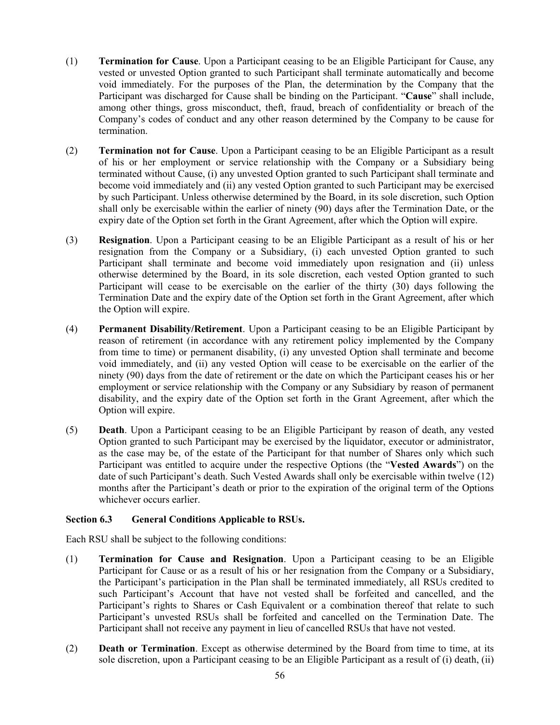- (1) **Termination for Cause**. Upon a Participant ceasing to be an Eligible Participant for Cause, any vested or unvested Option granted to such Participant shall terminate automatically and become void immediately. For the purposes of the Plan, the determination by the Company that the Participant was discharged for Cause shall be binding on the Participant. "**Cause**" shall include, among other things, gross misconduct, theft, fraud, breach of confidentiality or breach of the Company's codes of conduct and any other reason determined by the Company to be cause for termination.
- (2) **Termination not for Cause**. Upon a Participant ceasing to be an Eligible Participant as a result of his or her employment or service relationship with the Company or a Subsidiary being terminated without Cause, (i) any unvested Option granted to such Participant shall terminate and become void immediately and (ii) any vested Option granted to such Participant may be exercised by such Participant. Unless otherwise determined by the Board, in its sole discretion, such Option shall only be exercisable within the earlier of ninety (90) days after the Termination Date, or the expiry date of the Option set forth in the Grant Agreement, after which the Option will expire.
- (3) **Resignation**. Upon a Participant ceasing to be an Eligible Participant as a result of his or her resignation from the Company or a Subsidiary, (i) each unvested Option granted to such Participant shall terminate and become void immediately upon resignation and (ii) unless otherwise determined by the Board, in its sole discretion, each vested Option granted to such Participant will cease to be exercisable on the earlier of the thirty (30) days following the Termination Date and the expiry date of the Option set forth in the Grant Agreement, after which the Option will expire.
- (4) **Permanent Disability/Retirement**. Upon a Participant ceasing to be an Eligible Participant by reason of retirement (in accordance with any retirement policy implemented by the Company from time to time) or permanent disability, (i) any unvested Option shall terminate and become void immediately, and (ii) any vested Option will cease to be exercisable on the earlier of the ninety (90) days from the date of retirement or the date on which the Participant ceases his or her employment or service relationship with the Company or any Subsidiary by reason of permanent disability, and the expiry date of the Option set forth in the Grant Agreement, after which the Option will expire.
- (5) **Death**. Upon a Participant ceasing to be an Eligible Participant by reason of death, any vested Option granted to such Participant may be exercised by the liquidator, executor or administrator, as the case may be, of the estate of the Participant for that number of Shares only which such Participant was entitled to acquire under the respective Options (the "**Vested Awards**") on the date of such Participant's death. Such Vested Awards shall only be exercisable within twelve (12) months after the Participant's death or prior to the expiration of the original term of the Options whichever occurs earlier.

## **Section 6.3 General Conditions Applicable to RSUs.**

Each RSU shall be subject to the following conditions:

- (1) **Termination for Cause and Resignation**. Upon a Participant ceasing to be an Eligible Participant for Cause or as a result of his or her resignation from the Company or a Subsidiary, the Participant's participation in the Plan shall be terminated immediately, all RSUs credited to such Participant's Account that have not vested shall be forfeited and cancelled, and the Participant's rights to Shares or Cash Equivalent or a combination thereof that relate to such Participant's unvested RSUs shall be forfeited and cancelled on the Termination Date. The Participant shall not receive any payment in lieu of cancelled RSUs that have not vested.
- (2) **Death or Termination**. Except as otherwise determined by the Board from time to time, at its sole discretion, upon a Participant ceasing to be an Eligible Participant as a result of (i) death, (ii)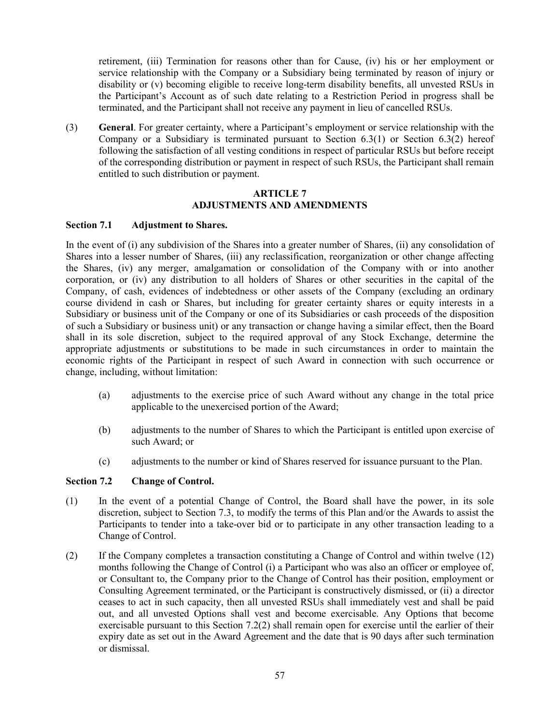retirement, (iii) Termination for reasons other than for Cause, (iv) his or her employment or service relationship with the Company or a Subsidiary being terminated by reason of injury or disability or (v) becoming eligible to receive long-term disability benefits, all unvested RSUs in the Participant's Account as of such date relating to a Restriction Period in progress shall be terminated, and the Participant shall not receive any payment in lieu of cancelled RSUs.

(3) **General**. For greater certainty, where a Participant's employment or service relationship with the Company or a Subsidiary is terminated pursuant to Section  $6.3(1)$  or Section  $6.3(2)$  hereof following the satisfaction of all vesting conditions in respect of particular RSUs but before receipt of the corresponding distribution or payment in respect of such RSUs, the Participant shall remain entitled to such distribution or payment.

### **ARTICLE 7 ADJUSTMENTS AND AMENDMENTS**

#### **Section 7.1 Adjustment to Shares.**

In the event of (i) any subdivision of the Shares into a greater number of Shares, (ii) any consolidation of Shares into a lesser number of Shares, (iii) any reclassification, reorganization or other change affecting the Shares, (iv) any merger, amalgamation or consolidation of the Company with or into another corporation, or (iv) any distribution to all holders of Shares or other securities in the capital of the Company, of cash, evidences of indebtedness or other assets of the Company (excluding an ordinary course dividend in cash or Shares, but including for greater certainty shares or equity interests in a Subsidiary or business unit of the Company or one of its Subsidiaries or cash proceeds of the disposition of such a Subsidiary or business unit) or any transaction or change having a similar effect, then the Board shall in its sole discretion, subject to the required approval of any Stock Exchange, determine the appropriate adjustments or substitutions to be made in such circumstances in order to maintain the economic rights of the Participant in respect of such Award in connection with such occurrence or change, including, without limitation:

- (a) adjustments to the exercise price of such Award without any change in the total price applicable to the unexercised portion of the Award;
- (b) adjustments to the number of Shares to which the Participant is entitled upon exercise of such Award; or
- (c) adjustments to the number or kind of Shares reserved for issuance pursuant to the Plan.

## **Section 7.2 Change of Control.**

- (1) In the event of a potential Change of Control, the Board shall have the power, in its sole discretion, subject to Section 7.3, to modify the terms of this Plan and/or the Awards to assist the Participants to tender into a take-over bid or to participate in any other transaction leading to a Change of Control.
- (2) If the Company completes a transaction constituting a Change of Control and within twelve (12) months following the Change of Control (i) a Participant who was also an officer or employee of, or Consultant to, the Company prior to the Change of Control has their position, employment or Consulting Agreement terminated, or the Participant is constructively dismissed, or (ii) a director ceases to act in such capacity, then all unvested RSUs shall immediately vest and shall be paid out, and all unvested Options shall vest and become exercisable. Any Options that become exercisable pursuant to this Section 7.2(2) shall remain open for exercise until the earlier of their expiry date as set out in the Award Agreement and the date that is 90 days after such termination or dismissal.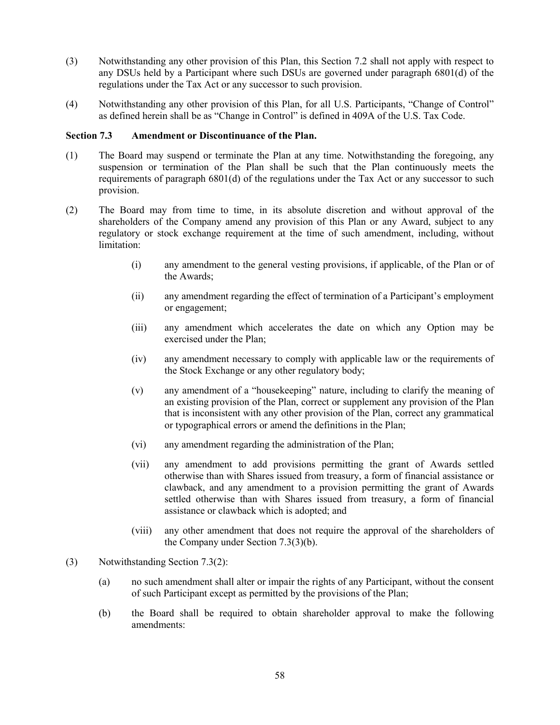- (3) Notwithstanding any other provision of this Plan, this Section 7.2 shall not apply with respect to any DSUs held by a Participant where such DSUs are governed under paragraph 6801(d) of the regulations under the Tax Act or any successor to such provision.
- (4) Notwithstanding any other provision of this Plan, for all U.S. Participants, "Change of Control" as defined herein shall be as "Change in Control" is defined in 409A of the U.S. Tax Code.

## **Section 7.3 Amendment or Discontinuance of the Plan.**

- (1) The Board may suspend or terminate the Plan at any time. Notwithstanding the foregoing, any suspension or termination of the Plan shall be such that the Plan continuously meets the requirements of paragraph 6801(d) of the regulations under the Tax Act or any successor to such provision.
- (2) The Board may from time to time, in its absolute discretion and without approval of the shareholders of the Company amend any provision of this Plan or any Award, subject to any regulatory or stock exchange requirement at the time of such amendment, including, without limitation:
	- (i) any amendment to the general vesting provisions, if applicable, of the Plan or of the Awards;
	- (ii) any amendment regarding the effect of termination of a Participant's employment or engagement;
	- (iii) any amendment which accelerates the date on which any Option may be exercised under the Plan;
	- (iv) any amendment necessary to comply with applicable law or the requirements of the Stock Exchange or any other regulatory body;
	- (v) any amendment of a "housekeeping" nature, including to clarify the meaning of an existing provision of the Plan, correct or supplement any provision of the Plan that is inconsistent with any other provision of the Plan, correct any grammatical or typographical errors or amend the definitions in the Plan;
	- (vi) any amendment regarding the administration of the Plan;
	- (vii) any amendment to add provisions permitting the grant of Awards settled otherwise than with Shares issued from treasury, a form of financial assistance or clawback, and any amendment to a provision permitting the grant of Awards settled otherwise than with Shares issued from treasury, a form of financial assistance or clawback which is adopted; and
	- (viii) any other amendment that does not require the approval of the shareholders of the Company under Section 7.3(3)(b).
- (3) Notwithstanding Section 7.3(2):
	- (a) no such amendment shall alter or impair the rights of any Participant, without the consent of such Participant except as permitted by the provisions of the Plan;
	- (b) the Board shall be required to obtain shareholder approval to make the following amendments: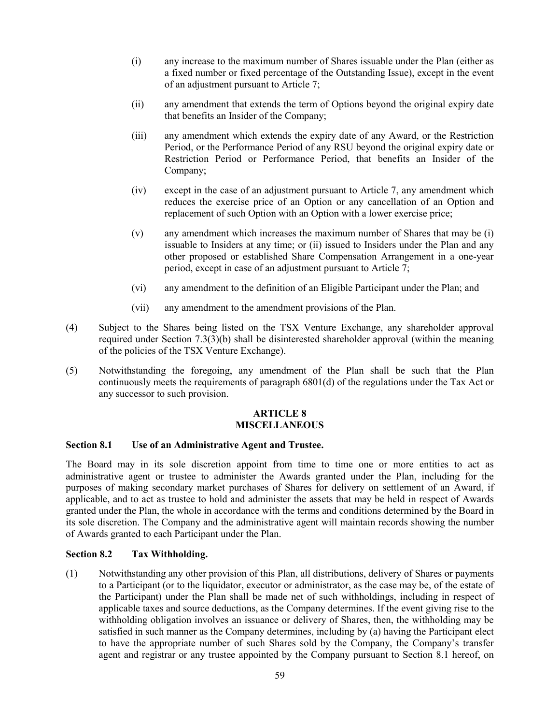- (i) any increase to the maximum number of Shares issuable under the Plan (either as a fixed number or fixed percentage of the Outstanding Issue), except in the event of an adjustment pursuant to Article 7;
- (ii) any amendment that extends the term of Options beyond the original expiry date that benefits an Insider of the Company;
- (iii) any amendment which extends the expiry date of any Award, or the Restriction Period, or the Performance Period of any RSU beyond the original expiry date or Restriction Period or Performance Period, that benefits an Insider of the Company;
- (iv) except in the case of an adjustment pursuant to Article 7, any amendment which reduces the exercise price of an Option or any cancellation of an Option and replacement of such Option with an Option with a lower exercise price;
- (v) any amendment which increases the maximum number of Shares that may be (i) issuable to Insiders at any time; or (ii) issued to Insiders under the Plan and any other proposed or established Share Compensation Arrangement in a one-year period, except in case of an adjustment pursuant to Article 7;
- (vi) any amendment to the definition of an Eligible Participant under the Plan; and
- (vii) any amendment to the amendment provisions of the Plan.
- (4) Subject to the Shares being listed on the TSX Venture Exchange, any shareholder approval required under Section 7.3(3)(b) shall be disinterested shareholder approval (within the meaning of the policies of the TSX Venture Exchange).
- (5) Notwithstanding the foregoing, any amendment of the Plan shall be such that the Plan continuously meets the requirements of paragraph 6801(d) of the regulations under the Tax Act or any successor to such provision.

#### **ARTICLE 8 MISCELLANEOUS**

#### **Section 8.1 Use of an Administrative Agent and Trustee.**

The Board may in its sole discretion appoint from time to time one or more entities to act as administrative agent or trustee to administer the Awards granted under the Plan, including for the purposes of making secondary market purchases of Shares for delivery on settlement of an Award, if applicable, and to act as trustee to hold and administer the assets that may be held in respect of Awards granted under the Plan, the whole in accordance with the terms and conditions determined by the Board in its sole discretion. The Company and the administrative agent will maintain records showing the number of Awards granted to each Participant under the Plan.

### **Section 8.2 Tax Withholding.**

(1) Notwithstanding any other provision of this Plan, all distributions, delivery of Shares or payments to a Participant (or to the liquidator, executor or administrator, as the case may be, of the estate of the Participant) under the Plan shall be made net of such withholdings, including in respect of applicable taxes and source deductions, as the Company determines. If the event giving rise to the withholding obligation involves an issuance or delivery of Shares, then, the withholding may be satisfied in such manner as the Company determines, including by (a) having the Participant elect to have the appropriate number of such Shares sold by the Company, the Company's transfer agent and registrar or any trustee appointed by the Company pursuant to Section 8.1 hereof, on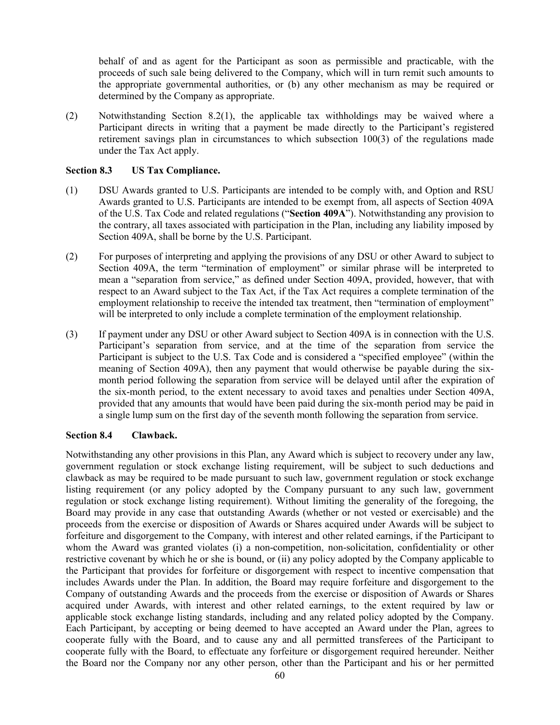behalf of and as agent for the Participant as soon as permissible and practicable, with the proceeds of such sale being delivered to the Company, which will in turn remit such amounts to the appropriate governmental authorities, or (b) any other mechanism as may be required or determined by the Company as appropriate.

(2) Notwithstanding Section 8.2(1), the applicable tax withholdings may be waived where a Participant directs in writing that a payment be made directly to the Participant's registered retirement savings plan in circumstances to which subsection 100(3) of the regulations made under the Tax Act apply.

## **Section 8.3 US Tax Compliance.**

- (1) DSU Awards granted to U.S. Participants are intended to be comply with, and Option and RSU Awards granted to U.S. Participants are intended to be exempt from, all aspects of Section 409A of the U.S. Tax Code and related regulations ("**Section 409A**"). Notwithstanding any provision to the contrary, all taxes associated with participation in the Plan, including any liability imposed by Section 409A, shall be borne by the U.S. Participant.
- (2) For purposes of interpreting and applying the provisions of any DSU or other Award to subject to Section 409A, the term "termination of employment" or similar phrase will be interpreted to mean a "separation from service," as defined under Section 409A, provided, however, that with respect to an Award subject to the Tax Act, if the Tax Act requires a complete termination of the employment relationship to receive the intended tax treatment, then "termination of employment" will be interpreted to only include a complete termination of the employment relationship.
- (3) If payment under any DSU or other Award subject to Section 409A is in connection with the U.S. Participant's separation from service, and at the time of the separation from service the Participant is subject to the U.S. Tax Code and is considered a "specified employee" (within the meaning of Section 409A), then any payment that would otherwise be payable during the sixmonth period following the separation from service will be delayed until after the expiration of the six-month period, to the extent necessary to avoid taxes and penalties under Section 409A, provided that any amounts that would have been paid during the six-month period may be paid in a single lump sum on the first day of the seventh month following the separation from service.

## **Section 8.4 Clawback.**

Notwithstanding any other provisions in this Plan, any Award which is subject to recovery under any law, government regulation or stock exchange listing requirement, will be subject to such deductions and clawback as may be required to be made pursuant to such law, government regulation or stock exchange listing requirement (or any policy adopted by the Company pursuant to any such law, government regulation or stock exchange listing requirement). Without limiting the generality of the foregoing, the Board may provide in any case that outstanding Awards (whether or not vested or exercisable) and the proceeds from the exercise or disposition of Awards or Shares acquired under Awards will be subject to forfeiture and disgorgement to the Company, with interest and other related earnings, if the Participant to whom the Award was granted violates (i) a non-competition, non-solicitation, confidentiality or other restrictive covenant by which he or she is bound, or (ii) any policy adopted by the Company applicable to the Participant that provides for forfeiture or disgorgement with respect to incentive compensation that includes Awards under the Plan. In addition, the Board may require forfeiture and disgorgement to the Company of outstanding Awards and the proceeds from the exercise or disposition of Awards or Shares acquired under Awards, with interest and other related earnings, to the extent required by law or applicable stock exchange listing standards, including and any related policy adopted by the Company. Each Participant, by accepting or being deemed to have accepted an Award under the Plan, agrees to cooperate fully with the Board, and to cause any and all permitted transferees of the Participant to cooperate fully with the Board, to effectuate any forfeiture or disgorgement required hereunder. Neither the Board nor the Company nor any other person, other than the Participant and his or her permitted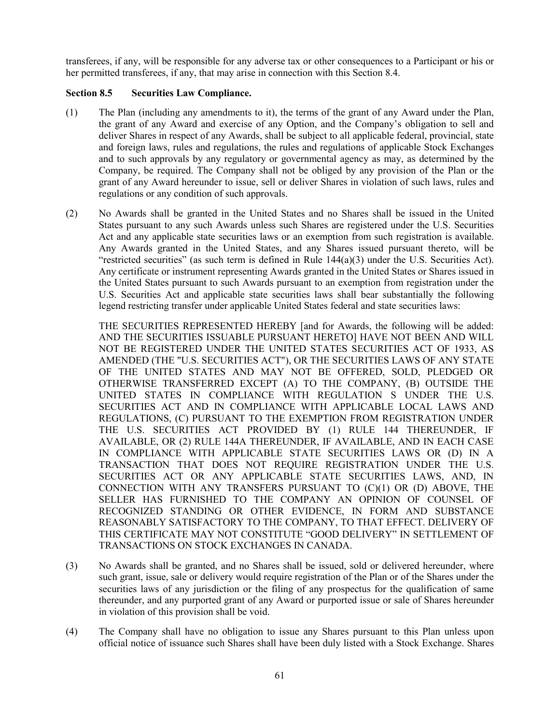transferees, if any, will be responsible for any adverse tax or other consequences to a Participant or his or her permitted transferees, if any, that may arise in connection with this Section 8.4.

## **Section 8.5 Securities Law Compliance.**

- (1) The Plan (including any amendments to it), the terms of the grant of any Award under the Plan, the grant of any Award and exercise of any Option, and the Company's obligation to sell and deliver Shares in respect of any Awards, shall be subject to all applicable federal, provincial, state and foreign laws, rules and regulations, the rules and regulations of applicable Stock Exchanges and to such approvals by any regulatory or governmental agency as may, as determined by the Company, be required. The Company shall not be obliged by any provision of the Plan or the grant of any Award hereunder to issue, sell or deliver Shares in violation of such laws, rules and regulations or any condition of such approvals.
- (2) No Awards shall be granted in the United States and no Shares shall be issued in the United States pursuant to any such Awards unless such Shares are registered under the U.S. Securities Act and any applicable state securities laws or an exemption from such registration is available. Any Awards granted in the United States, and any Shares issued pursuant thereto, will be "restricted securities" (as such term is defined in Rule 144(a)(3) under the U.S. Securities Act). Any certificate or instrument representing Awards granted in the United States or Shares issued in the United States pursuant to such Awards pursuant to an exemption from registration under the U.S. Securities Act and applicable state securities laws shall bear substantially the following legend restricting transfer under applicable United States federal and state securities laws:

THE SECURITIES REPRESENTED HEREBY [and for Awards, the following will be added: AND THE SECURITIES ISSUABLE PURSUANT HERETO] HAVE NOT BEEN AND WILL NOT BE REGISTERED UNDER THE UNITED STATES SECURITIES ACT OF 1933, AS AMENDED (THE "U.S. SECURITIES ACT"), OR THE SECURITIES LAWS OF ANY STATE OF THE UNITED STATES AND MAY NOT BE OFFERED, SOLD, PLEDGED OR OTHERWISE TRANSFERRED EXCEPT (A) TO THE COMPANY, (B) OUTSIDE THE UNITED STATES IN COMPLIANCE WITH REGULATION S UNDER THE U.S. SECURITIES ACT AND IN COMPLIANCE WITH APPLICABLE LOCAL LAWS AND REGULATIONS, (C) PURSUANT TO THE EXEMPTION FROM REGISTRATION UNDER THE U.S. SECURITIES ACT PROVIDED BY (1) RULE 144 THEREUNDER, IF AVAILABLE, OR (2) RULE 144A THEREUNDER, IF AVAILABLE, AND IN EACH CASE IN COMPLIANCE WITH APPLICABLE STATE SECURITIES LAWS OR (D) IN A TRANSACTION THAT DOES NOT REQUIRE REGISTRATION UNDER THE U.S. SECURITIES ACT OR ANY APPLICABLE STATE SECURITIES LAWS, AND, IN CONNECTION WITH ANY TRANSFERS PURSUANT TO (C)(1) OR (D) ABOVE, THE SELLER HAS FURNISHED TO THE COMPANY AN OPINION OF COUNSEL OF RECOGNIZED STANDING OR OTHER EVIDENCE, IN FORM AND SUBSTANCE REASONABLY SATISFACTORY TO THE COMPANY, TO THAT EFFECT. DELIVERY OF THIS CERTIFICATE MAY NOT CONSTITUTE "GOOD DELIVERY" IN SETTLEMENT OF TRANSACTIONS ON STOCK EXCHANGES IN CANADA.

- (3) No Awards shall be granted, and no Shares shall be issued, sold or delivered hereunder, where such grant, issue, sale or delivery would require registration of the Plan or of the Shares under the securities laws of any jurisdiction or the filing of any prospectus for the qualification of same thereunder, and any purported grant of any Award or purported issue or sale of Shares hereunder in violation of this provision shall be void.
- (4) The Company shall have no obligation to issue any Shares pursuant to this Plan unless upon official notice of issuance such Shares shall have been duly listed with a Stock Exchange. Shares